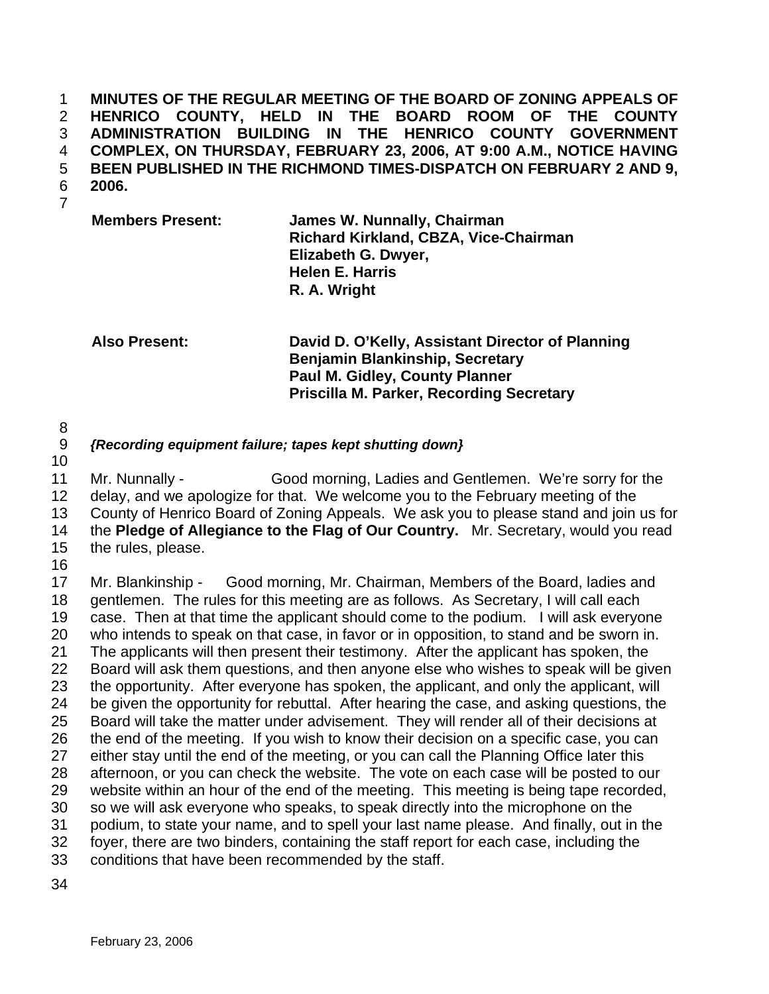**MINUTES OF THE REGULAR MEETING OF THE BOARD OF ZONING APPEALS OF HENRICO COUNTY, HELD IN THE BOARD ROOM OF THE COUNTY ADMINISTRATION BUILDING IN THE HENRICO COUNTY GOVERNMENT COMPLEX, ON THURSDAY, FEBRUARY 23, 2006, AT 9:00 A.M., NOTICE HAVING BEEN PUBLISHED IN THE RICHMOND TIMES-DISPATCH ON FEBRUARY 2 AND 9, 2006.**  1 2 3 4 5 6

7

**Members Present: James W. Nunnally, Chairman Richard Kirkland, CBZA, Vice-Chairman Elizabeth G. Dwyer, Helen E. Harris R. A. Wright** 

**Also Present: David D. O'Kelly, Assistant Director of Planning Benjamin Blankinship, Secretary Paul M. Gidley, County Planner Priscilla M. Parker, Recording Secretary** 

- 8
- 9 *{Recording equipment failure; tapes kept shutting down}*
- 10

11 12 13 14 15 Mr. Nunnally - Good morning, Ladies and Gentlemen. We're sorry for the delay, and we apologize for that. We welcome you to the February meeting of the County of Henrico Board of Zoning Appeals. We ask you to please stand and join us for the **Pledge of Allegiance to the Flag of Our Country.** Mr. Secretary, would you read the rules, please.

16

17 18 19 20 21 22 23 24 25 26 27 28 29 30 31 32 33 Mr. Blankinship - Good morning, Mr. Chairman, Members of the Board, ladies and gentlemen. The rules for this meeting are as follows. As Secretary, I will call each case. Then at that time the applicant should come to the podium. I will ask everyone who intends to speak on that case, in favor or in opposition, to stand and be sworn in. The applicants will then present their testimony. After the applicant has spoken, the Board will ask them questions, and then anyone else who wishes to speak will be given the opportunity. After everyone has spoken, the applicant, and only the applicant, will be given the opportunity for rebuttal. After hearing the case, and asking questions, the Board will take the matter under advisement. They will render all of their decisions at the end of the meeting. If you wish to know their decision on a specific case, you can either stay until the end of the meeting, or you can call the Planning Office later this afternoon, or you can check the website. The vote on each case will be posted to our website within an hour of the end of the meeting. This meeting is being tape recorded, so we will ask everyone who speaks, to speak directly into the microphone on the podium, to state your name, and to spell your last name please. And finally, out in the foyer, there are two binders, containing the staff report for each case, including the conditions that have been recommended by the staff.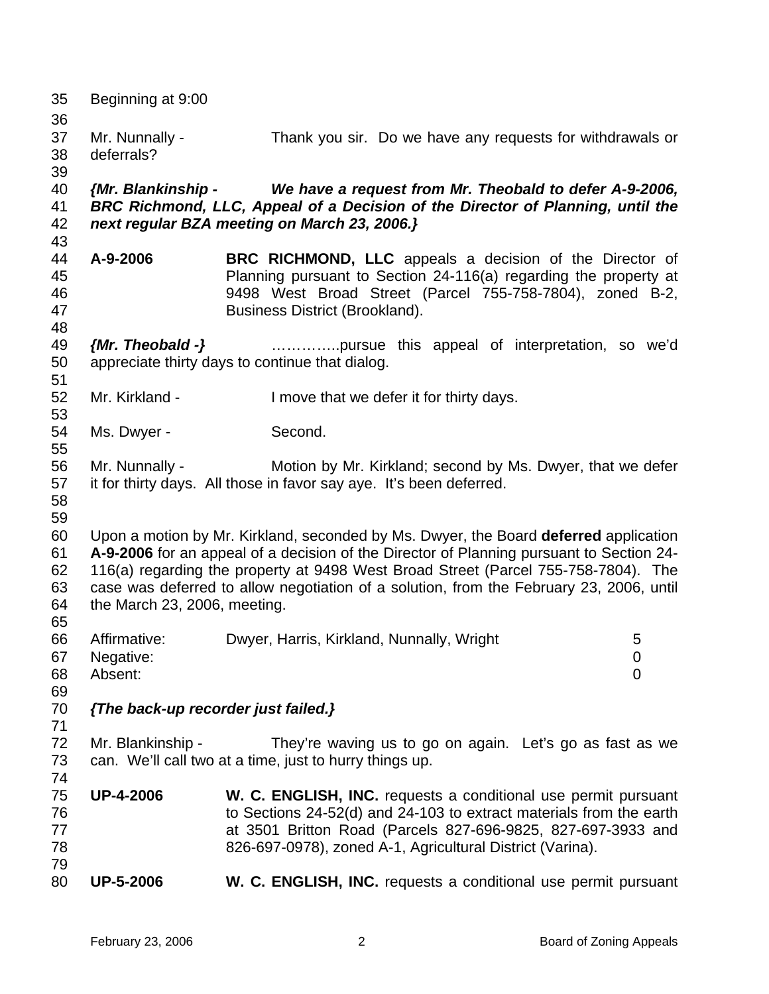| 35<br>36                         | Beginning at 9:00                    |                                                                                                                                                                                                                                                                                                                                                                   |
|----------------------------------|--------------------------------------|-------------------------------------------------------------------------------------------------------------------------------------------------------------------------------------------------------------------------------------------------------------------------------------------------------------------------------------------------------------------|
| 37<br>38<br>39                   | Mr. Nunnally -<br>deferrals?         | Thank you sir. Do we have any requests for withdrawals or                                                                                                                                                                                                                                                                                                         |
| 40<br>41<br>42<br>43             | {Mr. Blankinship -                   | We have a request from Mr. Theobald to defer A-9-2006,<br>BRC Richmond, LLC, Appeal of a Decision of the Director of Planning, until the<br>next regular BZA meeting on March 23, 2006.}                                                                                                                                                                          |
| 44<br>45<br>46<br>47<br>48       | A-9-2006                             | <b>BRC RICHMOND, LLC</b> appeals a decision of the Director of<br>Planning pursuant to Section 24-116(a) regarding the property at<br>9498 West Broad Street (Parcel 755-758-7804), zoned B-2,<br>Business District (Brookland).                                                                                                                                  |
| 49<br>50<br>51                   | ${Mr.}$ Theobald -}                  | pursue this appeal of interpretation, so we'd<br>appreciate thirty days to continue that dialog.                                                                                                                                                                                                                                                                  |
| 52<br>53                         | Mr. Kirkland -                       | I move that we defer it for thirty days.                                                                                                                                                                                                                                                                                                                          |
| 54<br>55                         | Ms. Dwyer -                          | Second.                                                                                                                                                                                                                                                                                                                                                           |
| 56<br>57<br>58<br>59             | Mr. Nunnally -                       | Motion by Mr. Kirkland; second by Ms. Dwyer, that we defer<br>it for thirty days. All those in favor say aye. It's been deferred.                                                                                                                                                                                                                                 |
| 60<br>61<br>62<br>63<br>64<br>65 | the March 23, 2006, meeting.         | Upon a motion by Mr. Kirkland, seconded by Ms. Dwyer, the Board deferred application<br>A-9-2006 for an appeal of a decision of the Director of Planning pursuant to Section 24-<br>116(a) regarding the property at 9498 West Broad Street (Parcel 755-758-7804). The<br>case was deferred to allow negotiation of a solution, from the February 23, 2006, until |
| 66<br>67<br>68<br>69             | Affirmative:<br>Negative:<br>Absent: | Dwyer, Harris, Kirkland, Nunnally, Wright<br>5<br>$\overline{0}$<br>$\mathbf 0$                                                                                                                                                                                                                                                                                   |
| 70<br>71                         | {The back-up recorder just failed.}  |                                                                                                                                                                                                                                                                                                                                                                   |
| 72<br>73<br>74                   | Mr. Blankinship -                    | They're waving us to go on again. Let's go as fast as we<br>can. We'll call two at a time, just to hurry things up.                                                                                                                                                                                                                                               |
| 75<br>76<br>77<br>78             | <b>UP-4-2006</b>                     | W. C. ENGLISH, INC. requests a conditional use permit pursuant<br>to Sections 24-52(d) and 24-103 to extract materials from the earth<br>at 3501 Britton Road (Parcels 827-696-9825, 827-697-3933 and<br>826-697-0978), zoned A-1, Agricultural District (Varina).                                                                                                |
| 79<br>80                         | <b>UP-5-2006</b>                     | W. C. ENGLISH, INC. requests a conditional use permit pursuant                                                                                                                                                                                                                                                                                                    |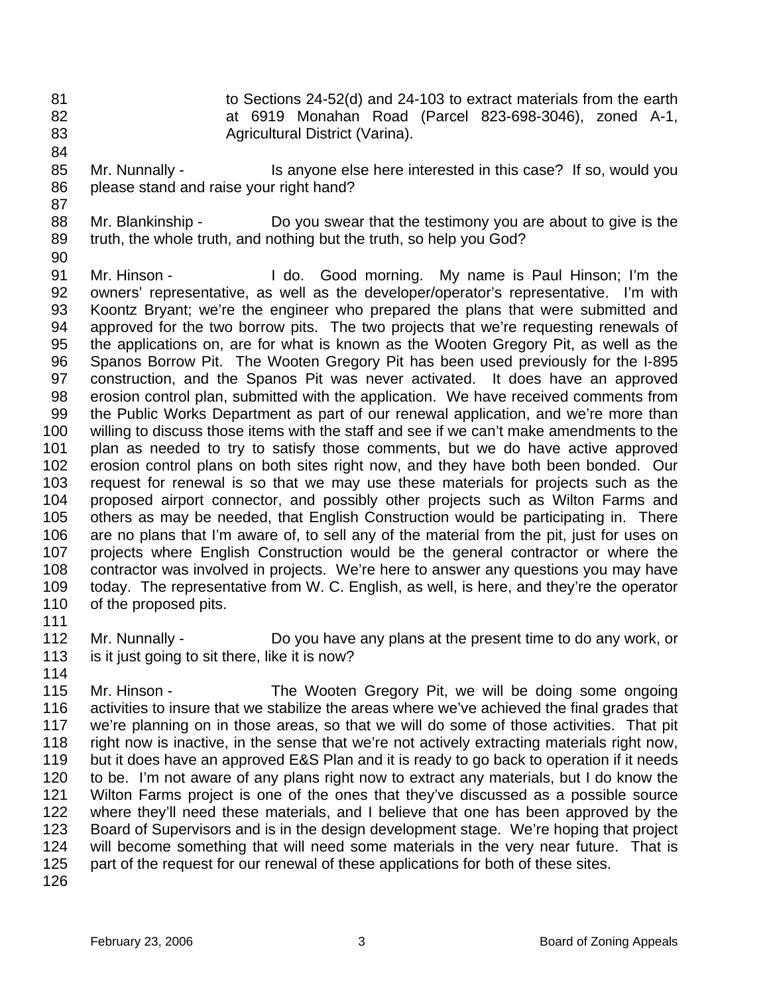- 81 82 83 to Sections 24-52(d) and 24-103 to extract materials from the earth at 6919 Monahan Road (Parcel 823-698-3046), zoned A-1, Agricultural District (Varina).
- 85 86 Mr. Nunnally - This anyone else here interested in this case? If so, would you please stand and raise your right hand?
- 88 89 Mr. Blankinship - Do you swear that the testimony you are about to give is the truth, the whole truth, and nothing but the truth, so help you God?
- 90

84

87

91 92 93 94 95 96 97 98 99 100 101 102 103 104 105 106 107 108 109 110 Mr. Hinson - I do. Good morning. My name is Paul Hinson; I'm the owners' representative, as well as the developer/operator's representative. I'm with Koontz Bryant; we're the engineer who prepared the plans that were submitted and approved for the two borrow pits. The two projects that we're requesting renewals of the applications on, are for what is known as the Wooten Gregory Pit, as well as the Spanos Borrow Pit. The Wooten Gregory Pit has been used previously for the I-895 construction, and the Spanos Pit was never activated. It does have an approved erosion control plan, submitted with the application. We have received comments from the Public Works Department as part of our renewal application, and we're more than willing to discuss those items with the staff and see if we can't make amendments to the plan as needed to try to satisfy those comments, but we do have active approved erosion control plans on both sites right now, and they have both been bonded. Our request for renewal is so that we may use these materials for projects such as the proposed airport connector, and possibly other projects such as Wilton Farms and others as may be needed, that English Construction would be participating in. There are no plans that I'm aware of, to sell any of the material from the pit, just for uses on projects where English Construction would be the general contractor or where the contractor was involved in projects. We're here to answer any questions you may have today. The representative from W. C. English, as well, is here, and they're the operator of the proposed pits.

111

112 113 Mr. Nunnally - Do you have any plans at the present time to do any work, or is it just going to sit there, like it is now?

114

115 116 117 118 119 120 121 122 123 124 125 Mr. Hinson - The Wooten Gregory Pit, we will be doing some ongoing activities to insure that we stabilize the areas where we've achieved the final grades that we're planning on in those areas, so that we will do some of those activities. That pit right now is inactive, in the sense that we're not actively extracting materials right now, but it does have an approved E&S Plan and it is ready to go back to operation if it needs to be. I'm not aware of any plans right now to extract any materials, but I do know the Wilton Farms project is one of the ones that they've discussed as a possible source where they'll need these materials, and I believe that one has been approved by the Board of Supervisors and is in the design development stage. We're hoping that project will become something that will need some materials in the very near future. That is part of the request for our renewal of these applications for both of these sites.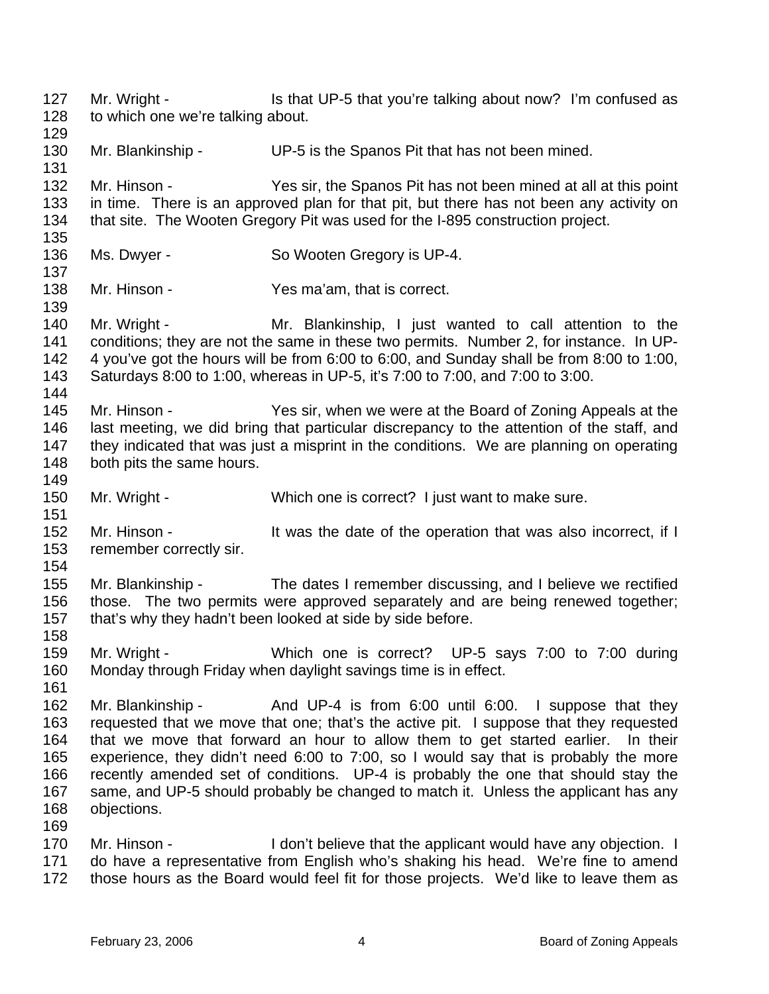127 128 129 Mr. Wright - The Is that UP-5 that you're talking about now? I'm confused as to which one we're talking about.

130 131 Mr. Blankinship - UP-5 is the Spanos Pit that has not been mined.

132 133 134 135 Mr. Hinson - Yes sir, the Spanos Pit has not been mined at all at this point in time. There is an approved plan for that pit, but there has not been any activity on that site. The Wooten Gregory Pit was used for the I-895 construction project.

- 136 Ms. Dwyer - So Wooten Gregory is UP-4.
- 138 Mr. Hinson - Yes ma'am, that is correct.
- 140 141 142 143 144 Mr. Wright - The Mr. Blankinship, I just wanted to call attention to the conditions; they are not the same in these two permits. Number 2, for instance. In UP-4 you've got the hours will be from 6:00 to 6:00, and Sunday shall be from 8:00 to 1:00, Saturdays 8:00 to 1:00, whereas in UP-5, it's 7:00 to 7:00, and 7:00 to 3:00.
- 145 146 147 148 Mr. Hinson - Yes sir, when we were at the Board of Zoning Appeals at the last meeting, we did bring that particular discrepancy to the attention of the staff, and they indicated that was just a misprint in the conditions. We are planning on operating both pits the same hours.
- 150 Mr. Wright - Which one is correct? I just want to make sure.
- 152 153 Mr. Hinson - The Unit was the date of the operation that was also incorrect, if I remember correctly sir.
- 154 155 156 157 Mr. Blankinship - The dates I remember discussing, and I believe we rectified those. The two permits were approved separately and are being renewed together; that's why they hadn't been looked at side by side before.
	- 158

149

151

137

139

- 159 160 Mr. Wright - Which one is correct? UP-5 says 7:00 to 7:00 during Monday through Friday when daylight savings time is in effect.
- 161

- 162 163 164 165 166 167 168 Mr. Blankinship - The And UP-4 is from 6:00 until 6:00. I suppose that they requested that we move that one; that's the active pit. I suppose that they requested that we move that forward an hour to allow them to get started earlier. In their experience, they didn't need 6:00 to 7:00, so I would say that is probably the more recently amended set of conditions. UP-4 is probably the one that should stay the same, and UP-5 should probably be changed to match it. Unless the applicant has any objections.
- 170 171 172 Mr. Hinson - I don't believe that the applicant would have any objection. I do have a representative from English who's shaking his head. We're fine to amend those hours as the Board would feel fit for those projects. We'd like to leave them as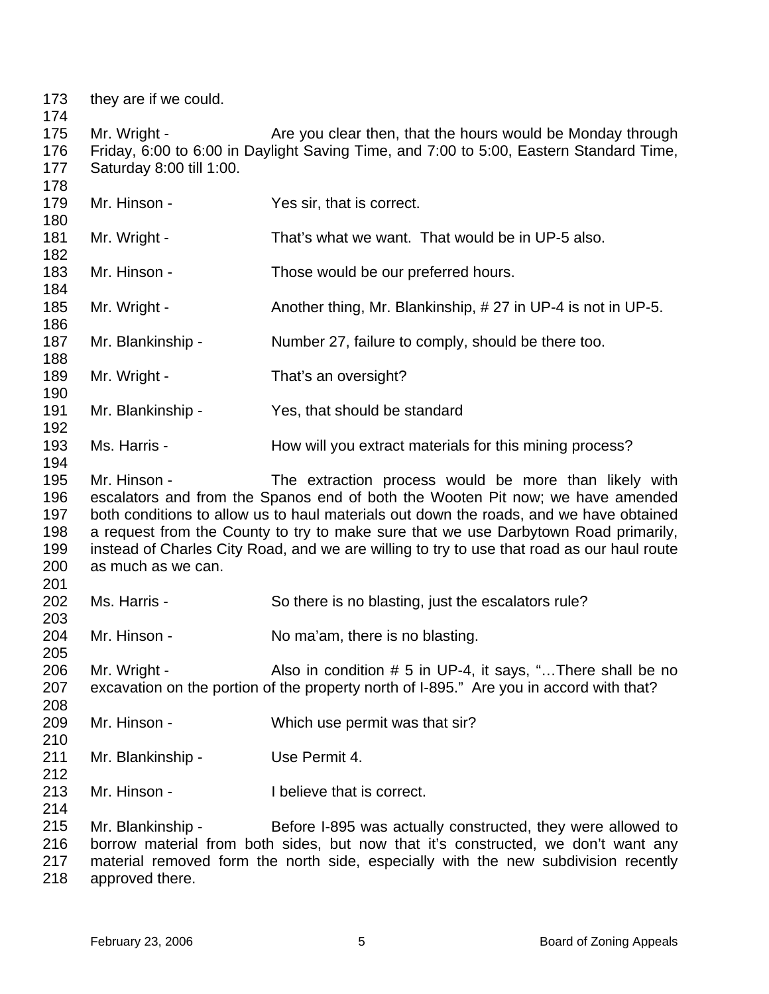they are if we could. Mr. Wright - Are you clear then, that the hours would be Monday through Friday, 6:00 to 6:00 in Daylight Saving Time, and 7:00 to 5:00, Eastern Standard Time, Saturday 8:00 till 1:00. Mr. Hinson - Yes sir, that is correct. Mr. Wright - That's what we want. That would be in UP-5 also. Mr. Hinson - Those would be our preferred hours. Mr. Wright - Another thing, Mr. Blankinship, # 27 in UP-4 is not in UP-5. Mr. Blankinship - Number 27, failure to comply, should be there too. Mr. Wright - That's an oversight? Mr. Blankinship - Yes, that should be standard Ms. Harris - **How will you extract materials for this mining process?** Mr. Hinson - The extraction process would be more than likely with escalators and from the Spanos end of both the Wooten Pit now; we have amended both conditions to allow us to haul materials out down the roads, and we have obtained a request from the County to try to make sure that we use Darbytown Road primarily, instead of Charles City Road, and we are willing to try to use that road as our haul route as much as we can. Ms. Harris - So there is no blasting, just the escalators rule? Mr. Hinson - No ma'am, there is no blasting. Mr. Wright - Also in condition # 5 in UP-4, it says, "...There shall be no excavation on the portion of the property north of I-895." Are you in accord with that? Mr. Hinson - Which use permit was that sir? Mr. Blankinship - Use Permit 4. Mr. Hinson - Thelieve that is correct. Mr. Blankinship - Before I-895 was actually constructed, they were allowed to borrow material from both sides, but now that it's constructed, we don't want any material removed form the north side, especially with the new subdivision recently

 approved there.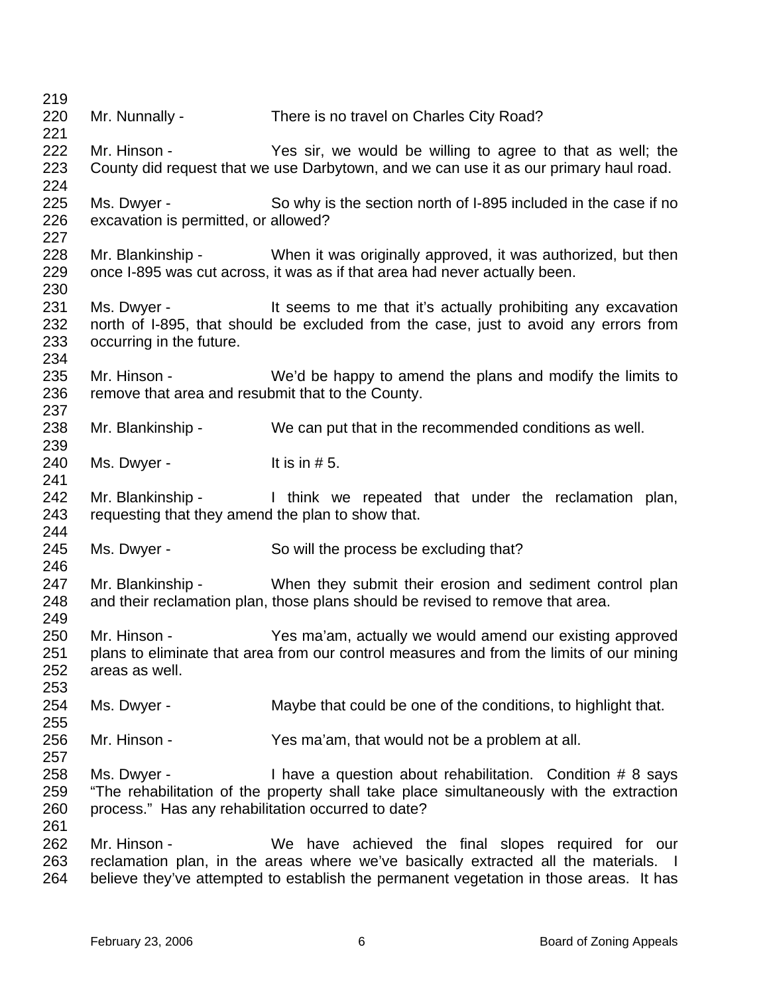| 219        |                                                    |                                                                                          |
|------------|----------------------------------------------------|------------------------------------------------------------------------------------------|
| 220        | Mr. Nunnally -                                     | There is no travel on Charles City Road?                                                 |
| 221        |                                                    |                                                                                          |
| 222        | Mr. Hinson -                                       | Yes sir, we would be willing to agree to that as well; the                               |
| 223        |                                                    | County did request that we use Darbytown, and we can use it as our primary haul road.    |
| 224        |                                                    |                                                                                          |
| 225        | Ms. Dwyer -                                        | So why is the section north of I-895 included in the case if no                          |
| 226        | excavation is permitted, or allowed?               |                                                                                          |
| 227        |                                                    |                                                                                          |
| 228        |                                                    | Mr. Blankinship - When it was originally approved, it was authorized, but then           |
| 229        |                                                    | once I-895 was cut across, it was as if that area had never actually been.               |
| 230        |                                                    |                                                                                          |
| 231        | Ms. Dwyer -                                        | It seems to me that it's actually prohibiting any excavation                             |
| 232        |                                                    | north of I-895, that should be excluded from the case, just to avoid any errors from     |
| 233<br>234 | occurring in the future.                           |                                                                                          |
| 235        | Mr. Hinson -                                       | We'd be happy to amend the plans and modify the limits to                                |
| 236        | remove that area and resubmit that to the County.  |                                                                                          |
| 237        |                                                    |                                                                                          |
| 238        | Mr. Blankinship -                                  | We can put that in the recommended conditions as well.                                   |
| 239        |                                                    |                                                                                          |
| 240        | Ms. Dwyer -                                        | It is in $# 5$ .                                                                         |
| 241        |                                                    |                                                                                          |
| 242        |                                                    | Mr. Blankinship - I think we repeated that under the reclamation plan,                   |
| 243        | requesting that they amend the plan to show that.  |                                                                                          |
| 244        |                                                    |                                                                                          |
| 245        | Ms. Dwyer -                                        | So will the process be excluding that?                                                   |
| 246        |                                                    |                                                                                          |
| 247        |                                                    | Mr. Blankinship - When they submit their erosion and sediment control plan               |
| 248        |                                                    | and their reclamation plan, those plans should be revised to remove that area.           |
| 249        |                                                    |                                                                                          |
| 250        | Mr. Hinson -                                       | Yes ma'am, actually we would amend our existing approved                                 |
| 251        |                                                    | plans to eliminate that area from our control measures and from the limits of our mining |
| 252        | areas as well.                                     |                                                                                          |
| 253        |                                                    |                                                                                          |
| 254        | Ms. Dwyer -                                        | Maybe that could be one of the conditions, to highlight that.                            |
| 255        |                                                    |                                                                                          |
| 256<br>257 | Mr. Hinson -                                       | Yes ma'am, that would not be a problem at all.                                           |
| 258        | Ms. Dwyer -                                        | I have a question about rehabilitation. Condition # 8 says                               |
| 259        |                                                    | "The rehabilitation of the property shall take place simultaneously with the extraction  |
| 260        | process." Has any rehabilitation occurred to date? |                                                                                          |
| 261        |                                                    |                                                                                          |
| 262        | Mr. Hinson -                                       | We have achieved the final slopes required for our                                       |
| 263        |                                                    | reclamation plan, in the areas where we've basically extracted all the materials. I      |
| 264        |                                                    | believe they've attempted to establish the permanent vegetation in those areas. It has   |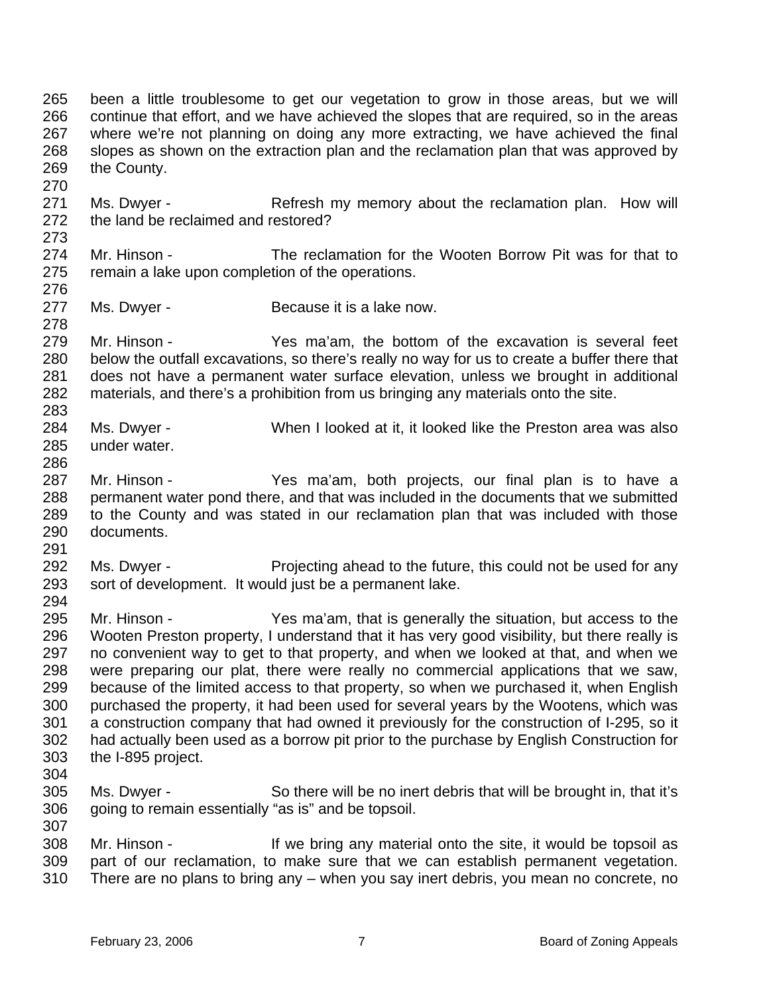265 266 267 268 269 270 been a little troublesome to get our vegetation to grow in those areas, but we will continue that effort, and we have achieved the slopes that are required, so in the areas where we're not planning on doing any more extracting, we have achieved the final slopes as shown on the extraction plan and the reclamation plan that was approved by the County.

271 272 273 Ms. Dwyer - The Refresh my memory about the reclamation plan. How will the land be reclaimed and restored?

- 274 275 276 Mr. Hinson - The reclamation for the Wooten Borrow Pit was for that to remain a lake upon completion of the operations.
- 277 Ms. Dwyer - Because it is a lake now.

279 280 281 282 283 Mr. Hinson - Yes ma'am, the bottom of the excavation is several feet below the outfall excavations, so there's really no way for us to create a buffer there that does not have a permanent water surface elevation, unless we brought in additional materials, and there's a prohibition from us bringing any materials onto the site.

- 284 285 Ms. Dwyer - When I looked at it, it looked like the Preston area was also under water.
- 287 288 289 290 Mr. Hinson - Yes ma'am, both projects, our final plan is to have a permanent water pond there, and that was included in the documents that we submitted to the County and was stated in our reclamation plan that was included with those documents.
- 292 293 294 Ms. Dwyer - Projecting ahead to the future, this could not be used for any sort of development. It would just be a permanent lake.
- 295 296 297 298 299 300 301 302 303 Mr. Hinson - Yes ma'am, that is generally the situation, but access to the Wooten Preston property, I understand that it has very good visibility, but there really is no convenient way to get to that property, and when we looked at that, and when we were preparing our plat, there were really no commercial applications that we saw, because of the limited access to that property, so when we purchased it, when English purchased the property, it had been used for several years by the Wootens, which was a construction company that had owned it previously for the construction of I-295, so it had actually been used as a borrow pit prior to the purchase by English Construction for the I-895 project.
- 304

278

286

291

305 306 307 Ms. Dwyer - So there will be no inert debris that will be brought in, that it's going to remain essentially "as is" and be topsoil.

308 309 310 Mr. Hinson - If we bring any material onto the site, it would be topsoil as part of our reclamation, to make sure that we can establish permanent vegetation. There are no plans to bring any – when you say inert debris, you mean no concrete, no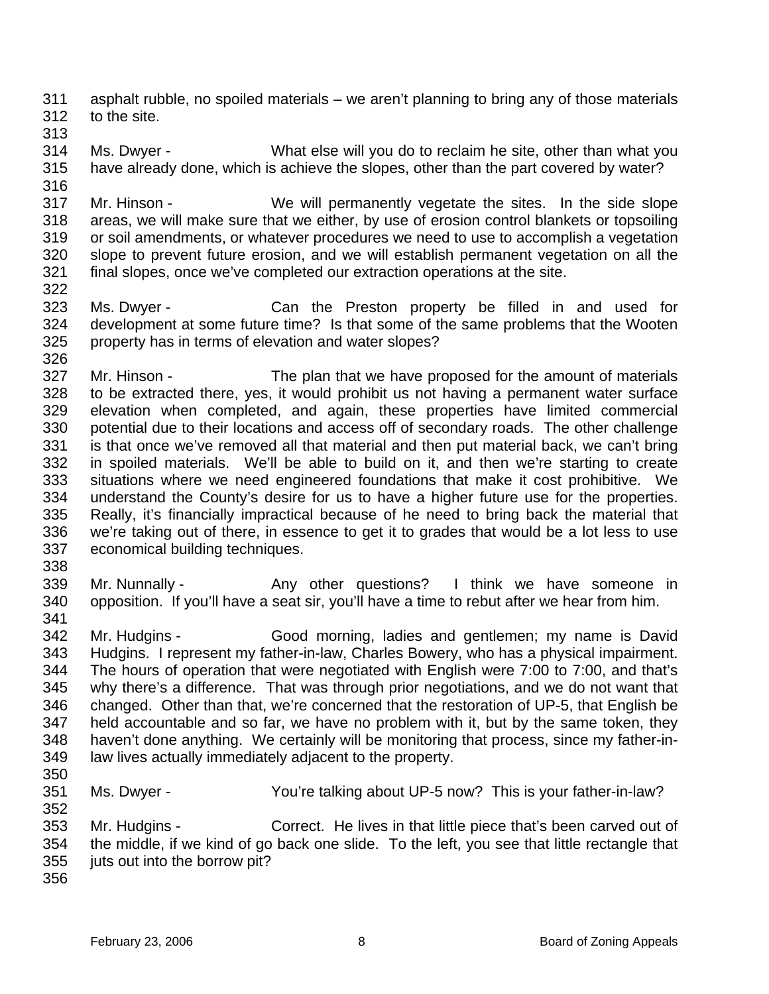311 312 asphalt rubble, no spoiled materials – we aren't planning to bring any of those materials to the site.

313

322

314 315 316 Ms. Dwyer - What else will you do to reclaim he site, other than what you have already done, which is achieve the slopes, other than the part covered by water?

317 318 319 320 321 Mr. Hinson - We will permanently vegetate the sites. In the side slope areas, we will make sure that we either, by use of erosion control blankets or topsoiling or soil amendments, or whatever procedures we need to use to accomplish a vegetation slope to prevent future erosion, and we will establish permanent vegetation on all the final slopes, once we've completed our extraction operations at the site.

323 324 325 Ms. Dwyer - The Can the Preston property be filled in and used for development at some future time? Is that some of the same problems that the Wooten property has in terms of elevation and water slopes?

326 327 328 329 330 331 332 333 334 335 336 337 Mr. Hinson - The plan that we have proposed for the amount of materials to be extracted there, yes, it would prohibit us not having a permanent water surface elevation when completed, and again, these properties have limited commercial potential due to their locations and access off of secondary roads. The other challenge is that once we've removed all that material and then put material back, we can't bring in spoiled materials. We'll be able to build on it, and then we're starting to create situations where we need engineered foundations that make it cost prohibitive. We understand the County's desire for us to have a higher future use for the properties. Really, it's financially impractical because of he need to bring back the material that we're taking out of there, in essence to get it to grades that would be a lot less to use economical building techniques.

338

341

339 340 Mr. Nunnally - Any other questions? I think we have someone in opposition. If you'll have a seat sir, you'll have a time to rebut after we hear from him.

- 342 343 344 345 346 347 348 349 Mr. Hudgins - Good morning, ladies and gentlemen; my name is David Hudgins. I represent my father-in-law, Charles Bowery, who has a physical impairment. The hours of operation that were negotiated with English were 7:00 to 7:00, and that's why there's a difference. That was through prior negotiations, and we do not want that changed. Other than that, we're concerned that the restoration of UP-5, that English be held accountable and so far, we have no problem with it, but by the same token, they haven't done anything. We certainly will be monitoring that process, since my father-inlaw lives actually immediately adjacent to the property.
- 350

351 352 Ms. Dwyer - You're talking about UP-5 now? This is your father-in-law?

353 354 355 Mr. Hudgins - Correct. He lives in that little piece that's been carved out of the middle, if we kind of go back one slide. To the left, you see that little rectangle that juts out into the borrow pit?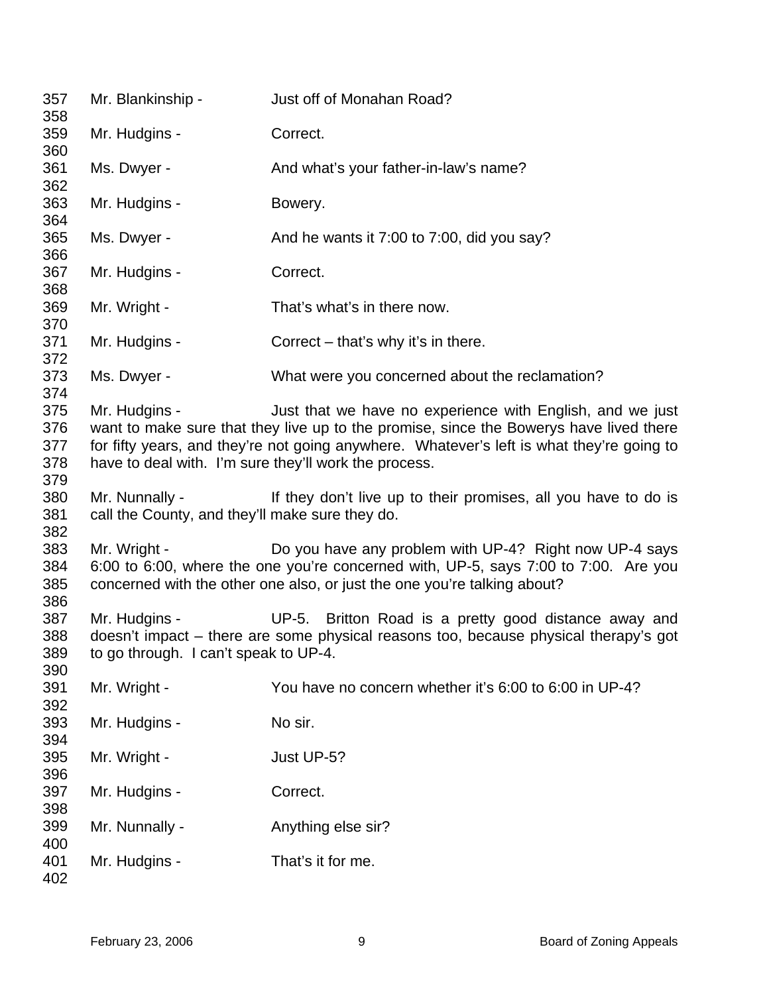| 357<br>358                      | Mr. Blankinship -                                                      | Just off of Monahan Road?                                                                                                                                                                                                                        |
|---------------------------------|------------------------------------------------------------------------|--------------------------------------------------------------------------------------------------------------------------------------------------------------------------------------------------------------------------------------------------|
| 359<br>360                      | Mr. Hudgins -                                                          | Correct.                                                                                                                                                                                                                                         |
| 361                             | Ms. Dwyer -                                                            | And what's your father-in-law's name?                                                                                                                                                                                                            |
| 362<br>363                      | Mr. Hudgins -                                                          | Bowery.                                                                                                                                                                                                                                          |
| 364<br>365                      | Ms. Dwyer -                                                            | And he wants it 7:00 to 7:00, did you say?                                                                                                                                                                                                       |
| 366<br>367                      | Mr. Hudgins -                                                          | Correct.                                                                                                                                                                                                                                         |
| 368<br>369                      | Mr. Wright -                                                           | That's what's in there now.                                                                                                                                                                                                                      |
| 370<br>371                      | Mr. Hudgins -                                                          | Correct $-$ that's why it's in there.                                                                                                                                                                                                            |
| 372<br>373                      | Ms. Dwyer -                                                            | What were you concerned about the reclamation?                                                                                                                                                                                                   |
| 374<br>375<br>376<br>377<br>378 | Mr. Hudgins -<br>have to deal with. I'm sure they'll work the process. | Just that we have no experience with English, and we just<br>want to make sure that they live up to the promise, since the Bowerys have lived there<br>for fifty years, and they're not going anywhere. Whatever's left is what they're going to |
| 379<br>380<br>381<br>382        | Mr. Nunnally -<br>call the County, and they'll make sure they do.      | If they don't live up to their promises, all you have to do is                                                                                                                                                                                   |
| 383<br>384<br>385<br>386        | Mr. Wright -                                                           | Do you have any problem with UP-4? Right now UP-4 says<br>6:00 to 6:00, where the one you're concerned with, UP-5, says 7:00 to 7:00. Are you<br>concerned with the other one also, or just the one you're talking about?                        |
| 387<br>388<br>389               | Mr. Hudgins -<br>to go through. I can't speak to UP-4.                 | UP-5. Britton Road is a pretty good distance away and<br>doesn't impact – there are some physical reasons too, because physical therapy's got                                                                                                    |
| 390<br>391<br>392               | Mr. Wright -                                                           | You have no concern whether it's 6:00 to 6:00 in UP-4?                                                                                                                                                                                           |
| 393<br>394                      | Mr. Hudgins -                                                          | No sir.                                                                                                                                                                                                                                          |
| 395                             | Mr. Wright -                                                           | Just UP-5?                                                                                                                                                                                                                                       |
| 396<br>397<br>398               | Mr. Hudgins -                                                          | Correct.                                                                                                                                                                                                                                         |
| 399                             | Mr. Nunnally -                                                         | Anything else sir?                                                                                                                                                                                                                               |
| 400<br>401<br>402               | Mr. Hudgins -                                                          | That's it for me.                                                                                                                                                                                                                                |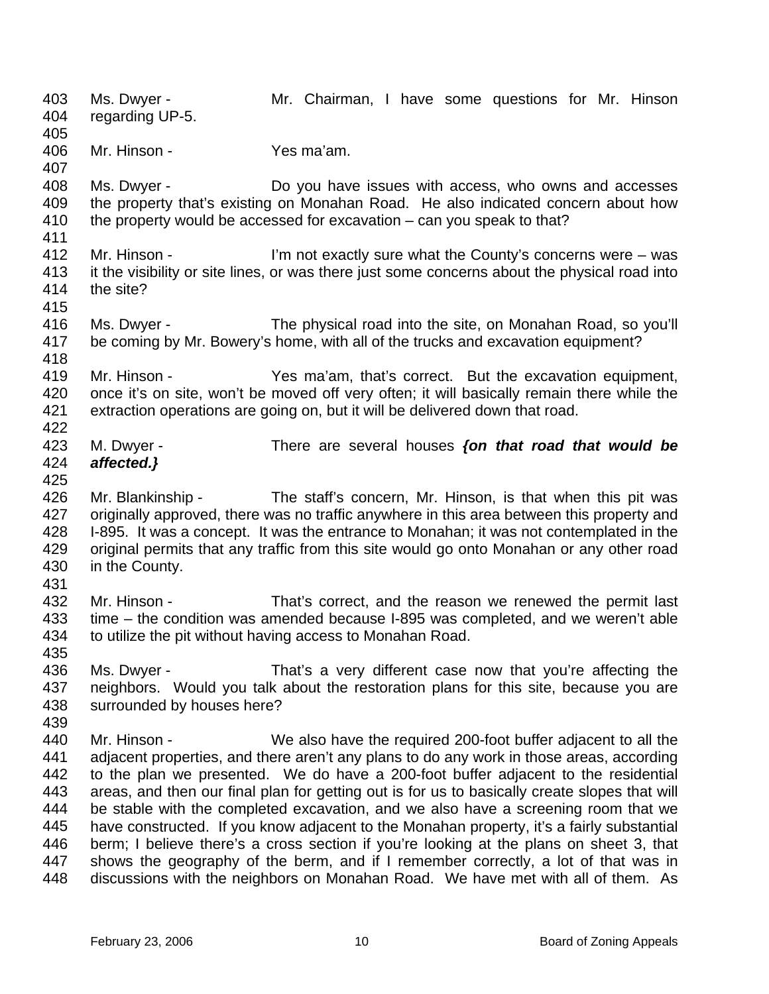403 404 405 406 407 408 409 410 411 412 413 414 415 416 417 418 419 420 421 422 423 424 425 426 427 428 429 430 431 432 433 434 435 436 437 438 439 440 441 442 443 444 445 446 447 448 Ms. Dwyer - The Mr. Chairman, I have some questions for Mr. Hinson regarding UP-5. Mr. Hinson - Yes ma'am. Ms. Dwyer - **Do you have issues with access, who owns and accesses** the property that's existing on Monahan Road. He also indicated concern about how the property would be accessed for excavation – can you speak to that? Mr. Hinson - I'm not exactly sure what the County's concerns were – was it the visibility or site lines, or was there just some concerns about the physical road into the site? Ms. Dwyer - The physical road into the site, on Monahan Road, so you'll be coming by Mr. Bowery's home, with all of the trucks and excavation equipment? Mr. Hinson - The Yes ma'am, that's correct. But the excavation equipment, once it's on site, won't be moved off very often; it will basically remain there while the extraction operations are going on, but it will be delivered down that road. M. Dwyer - There are several houses *{on that road that would be affected.}* Mr. Blankinship - The staff's concern, Mr. Hinson, is that when this pit was originally approved, there was no traffic anywhere in this area between this property and I-895. It was a concept. It was the entrance to Monahan; it was not contemplated in the original permits that any traffic from this site would go onto Monahan or any other road in the County. Mr. Hinson - That's correct, and the reason we renewed the permit last time – the condition was amended because I-895 was completed, and we weren't able to utilize the pit without having access to Monahan Road. Ms. Dwyer - That's a very different case now that you're affecting the neighbors. Would you talk about the restoration plans for this site, because you are surrounded by houses here? Mr. Hinson - We also have the required 200-foot buffer adjacent to all the adjacent properties, and there aren't any plans to do any work in those areas, according to the plan we presented. We do have a 200-foot buffer adjacent to the residential areas, and then our final plan for getting out is for us to basically create slopes that will be stable with the completed excavation, and we also have a screening room that we have constructed. If you know adjacent to the Monahan property, it's a fairly substantial berm; I believe there's a cross section if you're looking at the plans on sheet 3, that shows the geography of the berm, and if I remember correctly, a lot of that was in discussions with the neighbors on Monahan Road. We have met with all of them. As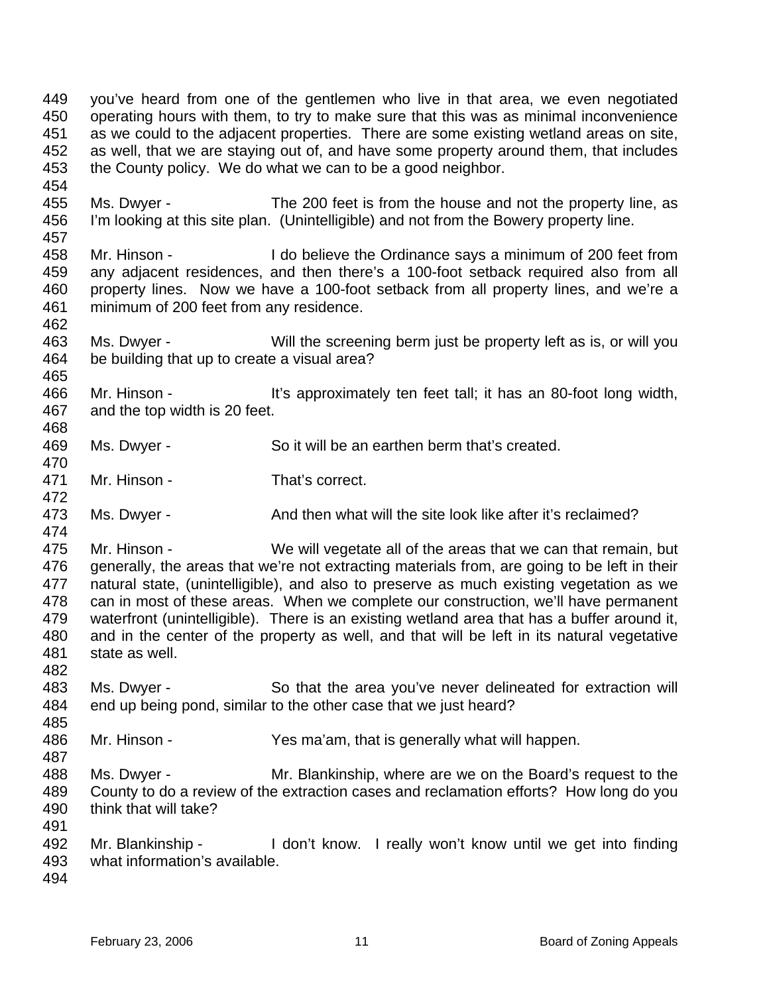453 454 455 456 457 458 459 460 461 462 463 464 465 466 467 468 469 470 471 472 473 474 475 476 477 478 479 480 481 482 483 484 485 486 487 488 489 490 491 492 the County policy. We do what we can to be a good neighbor. Ms. Dwyer - The 200 feet is from the house and not the property line, as I'm looking at this site plan. (Unintelligible) and not from the Bowery property line. Mr. Hinson - I do believe the Ordinance says a minimum of 200 feet from any adjacent residences, and then there's a 100-foot setback required also from all property lines. Now we have a 100-foot setback from all property lines, and we're a minimum of 200 feet from any residence. Ms. Dwyer - Will the screening berm just be property left as is, or will you be building that up to create a visual area? Mr. Hinson - It's approximately ten feet tall; it has an 80-foot long width, and the top width is 20 feet. Ms. Dwyer - So it will be an earthen berm that's created. Mr. Hinson - That's correct. Ms. Dwyer - The And then what will the site look like after it's reclaimed? Mr. Hinson - We will vegetate all of the areas that we can that remain, but generally, the areas that we're not extracting materials from, are going to be left in their natural state, (unintelligible), and also to preserve as much existing vegetation as we can in most of these areas. When we complete our construction, we'll have permanent waterfront (unintelligible). There is an existing wetland area that has a buffer around it, and in the center of the property as well, and that will be left in its natural vegetative state as well. Ms. Dwyer - So that the area you've never delineated for extraction will end up being pond, similar to the other case that we just heard? Mr. Hinson - Yes ma'am, that is generally what will happen. Ms. Dwyer - Mr. Blankinship, where are we on the Board's request to the County to do a review of the extraction cases and reclamation efforts? How long do you think that will take? Mr. Blankinship - I don't know. I really won't know until we get into finding

you've heard from one of the gentlemen who live in that area, we even negotiated operating hours with them, to try to make sure that this was as minimal inconvenience as we could to the adjacent properties. There are some existing wetland areas on site, as well, that we are staying out of, and have some property around them, that includes

- 493 what information's available.
- 494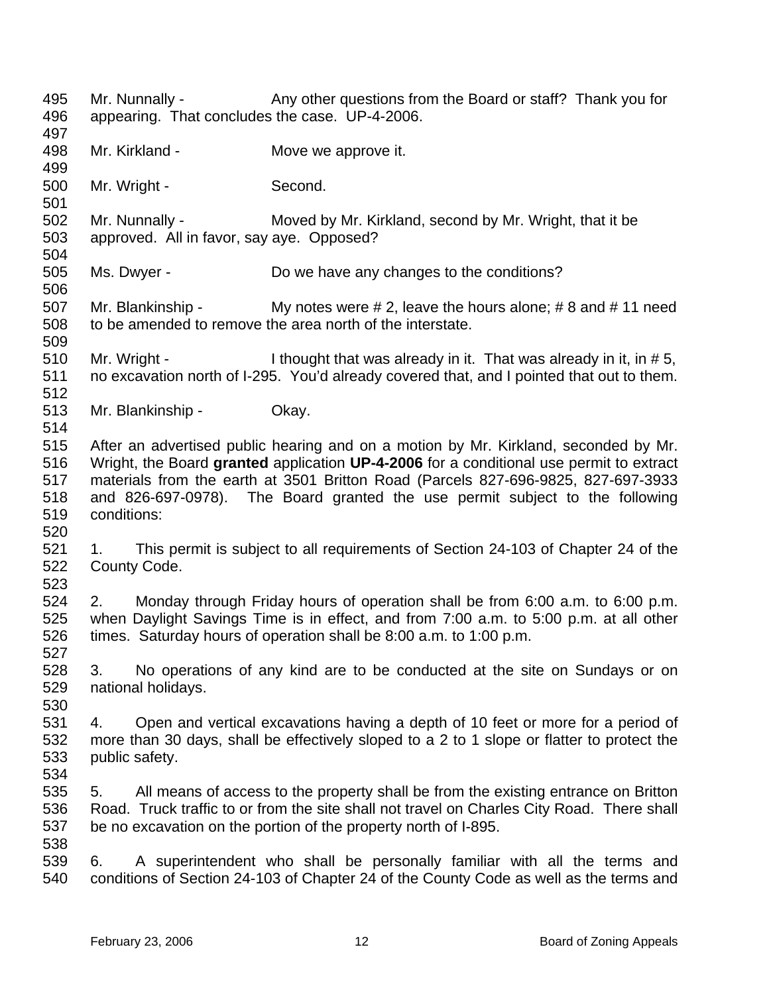495 496 497 498 499 500 501 502 503 504 505 506 507 508 509 510 511 512 513 514 515 516 517 518 519 520 521 522 523 524 525 526 527 528 529 530 531 532 533 534 535 536 537 538 539 540 Mr. Nunnally - Any other questions from the Board or staff? Thank you for appearing. That concludes the case. UP-4-2006. Mr. Kirkland - **Move we approve it.** Mr. Wright - Second. Mr. Nunnally - Moved by Mr. Kirkland, second by Mr. Wright, that it be approved. All in favor, say aye. Opposed? Ms. Dwyer - Do we have any changes to the conditions? Mr. Blankinship - My notes were  $\# 2$ , leave the hours alone;  $\# 8$  and  $\# 11$  need to be amended to remove the area north of the interstate. Mr. Wright - I thought that was already in it. That was already in it, in # 5, no excavation north of I-295. You'd already covered that, and I pointed that out to them. Mr. Blankinship - Okay. After an advertised public hearing and on a motion by Mr. Kirkland, seconded by Mr. Wright, the Board **granted** application **UP-4-2006** for a conditional use permit to extract materials from the earth at 3501 Britton Road (Parcels 827-696-9825, 827-697-3933 and 826-697-0978). The Board granted the use permit subject to the following conditions: 1. This permit is subject to all requirements of Section 24-103 of Chapter 24 of the County Code. 2. Monday through Friday hours of operation shall be from 6:00 a.m. to 6:00 p.m. when Daylight Savings Time is in effect, and from 7:00 a.m. to 5:00 p.m. at all other times. Saturday hours of operation shall be 8:00 a.m. to 1:00 p.m. 3. No operations of any kind are to be conducted at the site on Sundays or on national holidays. 4. Open and vertical excavations having a depth of 10 feet or more for a period of more than 30 days, shall be effectively sloped to a 2 to 1 slope or flatter to protect the public safety. 5. All means of access to the property shall be from the existing entrance on Britton Road. Truck traffic to or from the site shall not travel on Charles City Road. There shall be no excavation on the portion of the property north of I-895. 6. A superintendent who shall be personally familiar with all the terms and conditions of Section 24-103 of Chapter 24 of the County Code as well as the terms and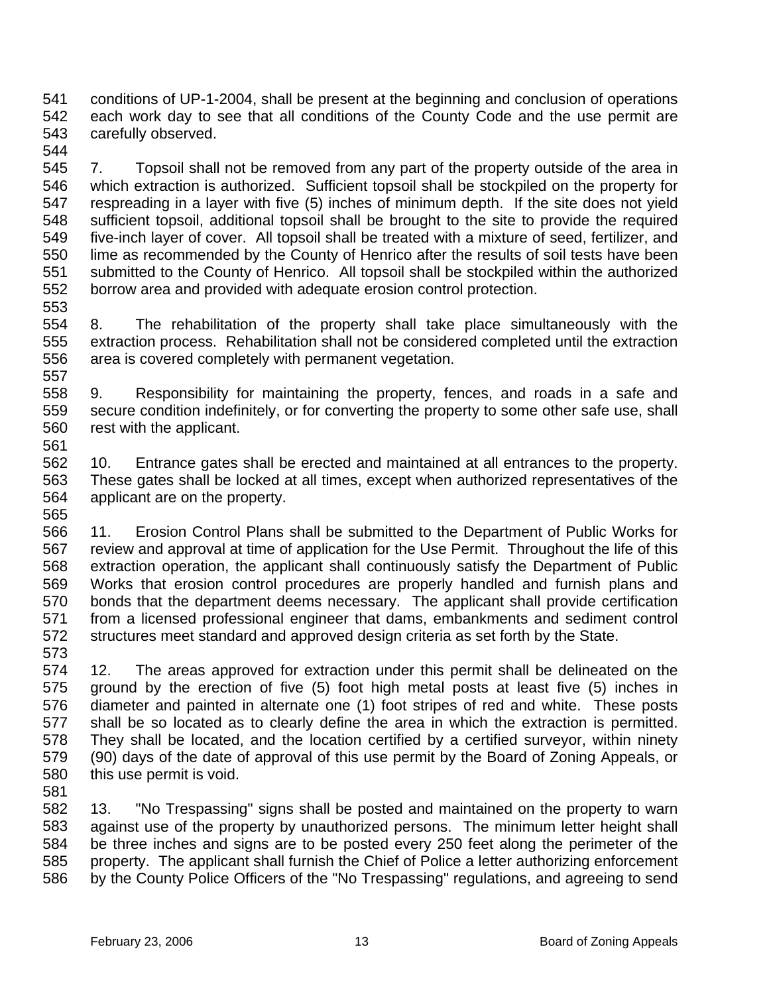541 542 543 conditions of UP-1-2004, shall be present at the beginning and conclusion of operations each work day to see that all conditions of the County Code and the use permit are carefully observed.

544

545 546 547 548 549 550 551 552 553 7. Topsoil shall not be removed from any part of the property outside of the area in which extraction is authorized. Sufficient topsoil shall be stockpiled on the property for respreading in a layer with five (5) inches of minimum depth. If the site does not yield sufficient topsoil, additional topsoil shall be brought to the site to provide the required five-inch layer of cover. All topsoil shall be treated with a mixture of seed, fertilizer, and lime as recommended by the County of Henrico after the results of soil tests have been submitted to the County of Henrico. All topsoil shall be stockpiled within the authorized borrow area and provided with adequate erosion control protection.

554 555 556 557 8. The rehabilitation of the property shall take place simultaneously with the extraction process. Rehabilitation shall not be considered completed until the extraction area is covered completely with permanent vegetation.

558 559 560 561 9. Responsibility for maintaining the property, fences, and roads in a safe and secure condition indefinitely, or for converting the property to some other safe use, shall rest with the applicant.

562 563 564 10. Entrance gates shall be erected and maintained at all entrances to the property. These gates shall be locked at all times, except when authorized representatives of the applicant are on the property.

566 567 568 569 570 571 572 11. Erosion Control Plans shall be submitted to the Department of Public Works for review and approval at time of application for the Use Permit. Throughout the life of this extraction operation, the applicant shall continuously satisfy the Department of Public Works that erosion control procedures are properly handled and furnish plans and bonds that the department deems necessary. The applicant shall provide certification from a licensed professional engineer that dams, embankments and sediment control structures meet standard and approved design criteria as set forth by the State.

573 574 575 576 577 578 579 580 12. The areas approved for extraction under this permit shall be delineated on the ground by the erection of five (5) foot high metal posts at least five (5) inches in diameter and painted in alternate one (1) foot stripes of red and white. These posts shall be so located as to clearly define the area in which the extraction is permitted. They shall be located, and the location certified by a certified surveyor, within ninety (90) days of the date of approval of this use permit by the Board of Zoning Appeals, or this use permit is void.

581

565

582 583 584 585 586 13. "No Trespassing" signs shall be posted and maintained on the property to warn against use of the property by unauthorized persons. The minimum letter height shall be three inches and signs are to be posted every 250 feet along the perimeter of the property. The applicant shall furnish the Chief of Police a letter authorizing enforcement by the County Police Officers of the "No Trespassing" regulations, and agreeing to send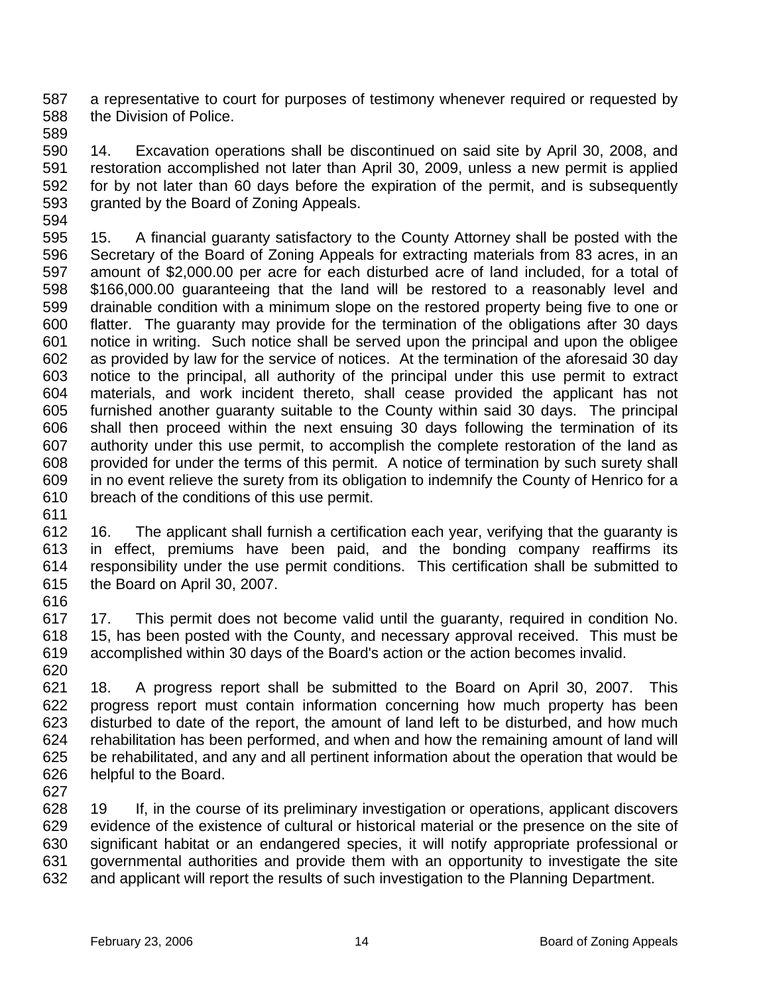587 588 a representative to court for purposes of testimony whenever required or requested by the Division of Police.

589

594

590 591 592 593 14. Excavation operations shall be discontinued on said site by April 30, 2008, and restoration accomplished not later than April 30, 2009, unless a new permit is applied for by not later than 60 days before the expiration of the permit, and is subsequently granted by the Board of Zoning Appeals.

- 595 596 597 598 599 600 601 602 603 604 605 606 607 608 609 610 15. A financial guaranty satisfactory to the County Attorney shall be posted with the Secretary of the Board of Zoning Appeals for extracting materials from 83 acres, in an amount of \$2,000.00 per acre for each disturbed acre of land included, for a total of \$166,000.00 guaranteeing that the land will be restored to a reasonably level and drainable condition with a minimum slope on the restored property being five to one or flatter. The guaranty may provide for the termination of the obligations after 30 days notice in writing. Such notice shall be served upon the principal and upon the obligee as provided by law for the service of notices. At the termination of the aforesaid 30 day notice to the principal, all authority of the principal under this use permit to extract materials, and work incident thereto, shall cease provided the applicant has not furnished another guaranty suitable to the County within said 30 days. The principal shall then proceed within the next ensuing 30 days following the termination of its authority under this use permit, to accomplish the complete restoration of the land as provided for under the terms of this permit. A notice of termination by such surety shall in no event relieve the surety from its obligation to indemnify the County of Henrico for a breach of the conditions of this use permit.
- 612 613 614 615 616 16. The applicant shall furnish a certification each year, verifying that the guaranty is in effect, premiums have been paid, and the bonding company reaffirms its responsibility under the use permit conditions. This certification shall be submitted to the Board on April 30, 2007.
- 617 618 619 620 17. This permit does not become valid until the guaranty, required in condition No. 15, has been posted with the County, and necessary approval received. This must be accomplished within 30 days of the Board's action or the action becomes invalid.
- 621 622 623 624 625 626 18. A progress report shall be submitted to the Board on April 30, 2007. This progress report must contain information concerning how much property has been disturbed to date of the report, the amount of land left to be disturbed, and how much rehabilitation has been performed, and when and how the remaining amount of land will be rehabilitated, and any and all pertinent information about the operation that would be helpful to the Board.
- 627

611

628 629 630 631 632 19 If, in the course of its preliminary investigation or operations, applicant discovers evidence of the existence of cultural or historical material or the presence on the site of significant habitat or an endangered species, it will notify appropriate professional or governmental authorities and provide them with an opportunity to investigate the site and applicant will report the results of such investigation to the Planning Department.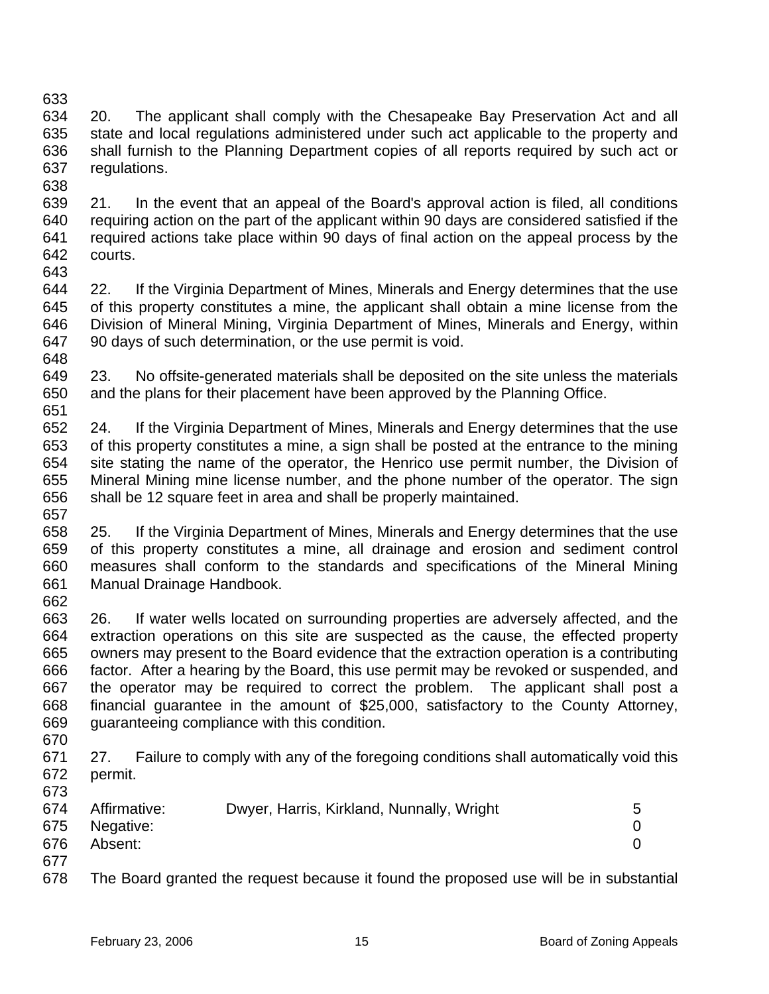633 634 635 636 637 20. The applicant shall comply with the Chesapeake Bay Preservation Act and all state and local regulations administered under such act applicable to the property and shall furnish to the Planning Department copies of all reports required by such act or regulations.

- 638 639 640 641 642 643 21. In the event that an appeal of the Board's approval action is filed, all conditions requiring action on the part of the applicant within 90 days are considered satisfied if the required actions take place within 90 days of final action on the appeal process by the courts.
- 644 645 646 647 22. If the Virginia Department of Mines, Minerals and Energy determines that the use of this property constitutes a mine, the applicant shall obtain a mine license from the Division of Mineral Mining, Virginia Department of Mines, Minerals and Energy, within 90 days of such determination, or the use permit is void.
- 649 650 651 23. No offsite-generated materials shall be deposited on the site unless the materials and the plans for their placement have been approved by the Planning Office.
- 652 653 654 655 656 657 24. If the Virginia Department of Mines, Minerals and Energy determines that the use of this property constitutes a mine, a sign shall be posted at the entrance to the mining site stating the name of the operator, the Henrico use permit number, the Division of Mineral Mining mine license number, and the phone number of the operator. The sign shall be 12 square feet in area and shall be properly maintained.
- 658 659 660 661 662 25. If the Virginia Department of Mines, Minerals and Energy determines that the use of this property constitutes a mine, all drainage and erosion and sediment control measures shall conform to the standards and specifications of the Mineral Mining Manual Drainage Handbook.
- 663 664 665 666 667 668 669 26. If water wells located on surrounding properties are adversely affected, and the extraction operations on this site are suspected as the cause, the effected property owners may present to the Board evidence that the extraction operation is a contributing factor. After a hearing by the Board, this use permit may be revoked or suspended, and the operator may be required to correct the problem. The applicant shall post a financial guarantee in the amount of \$25,000, satisfactory to the County Attorney, guaranteeing compliance with this condition.
- 670

673

648

671 672 27. Failure to comply with any of the foregoing conditions shall automatically void this permit.

| 674 | Affirmative:  | Dwyer, Harris, Kirkland, Nunnally, Wright | 5 |
|-----|---------------|-------------------------------------------|---|
|     | 675 Negative: |                                           |   |
| 676 | Absent:       |                                           |   |
| 677 |               |                                           |   |

678 The Board granted the request because it found the proposed use will be in substantial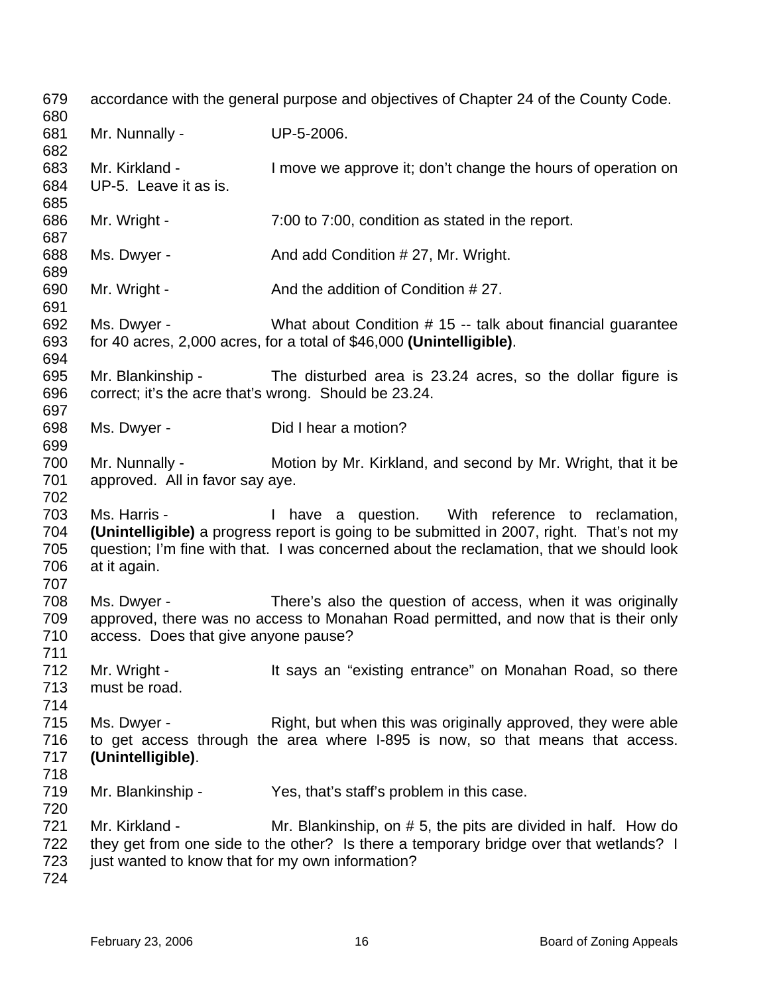679 680 681 682 683 684 685 686 687 688 689 690 691 692 693 694 695 696 697 698 699 700 701 702 703 704 705 706 707 708 709 710 711 712 713 714 715 716 717 718 719 720 721 722 723 724 accordance with the general purpose and objectives of Chapter 24 of the County Code. Mr. Nunnally - UP-5-2006. Mr. Kirkland - I move we approve it; don't change the hours of operation on UP-5. Leave it as is. Mr. Wright - 7:00 to 7:00, condition as stated in the report. Ms. Dwyer - And add Condition # 27, Mr. Wright. Mr. Wright - And the addition of Condition # 27. Ms. Dwyer - What about Condition # 15 -- talk about financial quarantee for 40 acres, 2,000 acres, for a total of \$46,000 **(Unintelligible)**. Mr. Blankinship - The disturbed area is 23.24 acres, so the dollar figure is correct; it's the acre that's wrong. Should be 23.24. Ms. Dwyer - Did I hear a motion? Mr. Nunnally - Motion by Mr. Kirkland, and second by Mr. Wright, that it be approved. All in favor say aye. Ms. Harris - The Mave a question. With reference to reclamation, **(Unintelligible)** a progress report is going to be submitted in 2007, right. That's not my question; I'm fine with that. I was concerned about the reclamation, that we should look at it again. Ms. Dwyer - There's also the question of access, when it was originally approved, there was no access to Monahan Road permitted, and now that is their only access. Does that give anyone pause? Mr. Wright - It says an "existing entrance" on Monahan Road, so there must be road. Ms. Dwyer - Right, but when this was originally approved, they were able to get access through the area where I-895 is now, so that means that access. **(Unintelligible)**. Mr. Blankinship - Yes, that's staff's problem in this case. Mr. Kirkland - Mr. Blankinship, on # 5, the pits are divided in half. How do they get from one side to the other? Is there a temporary bridge over that wetlands? I just wanted to know that for my own information?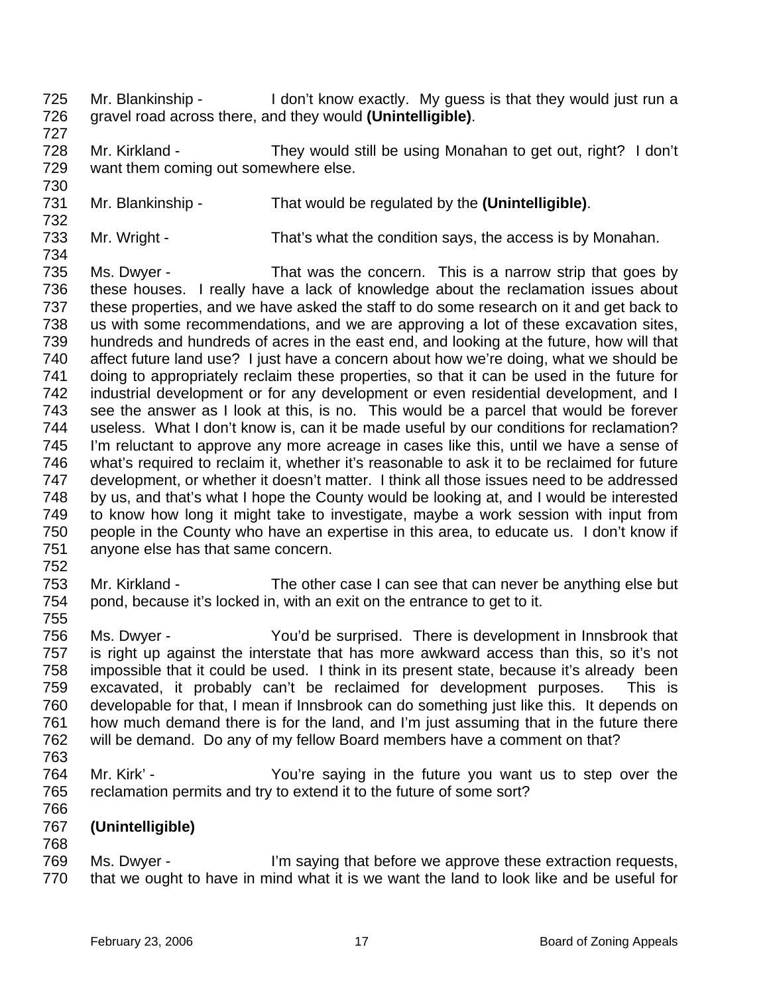- 725 726 Mr. Blankinship - I don't know exactly. My quess is that they would just run a gravel road across there, and they would **(Unintelligible)**.
- 728 729 Mr. Kirkland - They would still be using Monahan to get out, right? I don't want them coming out somewhere else.
- 731 Mr. Blankinship - That would be regulated by the **(Unintelligible)**.
- 733 734 Mr. Wright - That's what the condition says, the access is by Monahan.
- 735 736 737 738 739 740 741 742 743 744 745 746 747 748 749 750 751 Ms. Dwyer - That was the concern. This is a narrow strip that goes by these houses. I really have a lack of knowledge about the reclamation issues about these properties, and we have asked the staff to do some research on it and get back to us with some recommendations, and we are approving a lot of these excavation sites, hundreds and hundreds of acres in the east end, and looking at the future, how will that affect future land use? I just have a concern about how we're doing, what we should be doing to appropriately reclaim these properties, so that it can be used in the future for industrial development or for any development or even residential development, and I see the answer as I look at this, is no. This would be a parcel that would be forever useless. What I don't know is, can it be made useful by our conditions for reclamation? I'm reluctant to approve any more acreage in cases like this, until we have a sense of what's required to reclaim it, whether it's reasonable to ask it to be reclaimed for future development, or whether it doesn't matter. I think all those issues need to be addressed by us, and that's what I hope the County would be looking at, and I would be interested to know how long it might take to investigate, maybe a work session with input from people in the County who have an expertise in this area, to educate us. I don't know if anyone else has that same concern.
- 753 754 Mr. Kirkland - The other case I can see that can never be anything else but pond, because it's locked in, with an exit on the entrance to get to it.
- 756 757 758 759 760 761 762 Ms. Dwyer - You'd be surprised. There is development in Innsbrook that is right up against the interstate that has more awkward access than this, so it's not impossible that it could be used. I think in its present state, because it's already been excavated, it probably can't be reclaimed for development purposes. This is developable for that, I mean if Innsbrook can do something just like this. It depends on how much demand there is for the land, and I'm just assuming that in the future there will be demand. Do any of my fellow Board members have a comment on that?
- 763

752

755

727

730

- 764 765 766 Mr. Kirk' - You're saying in the future you want us to step over the reclamation permits and try to extend it to the future of some sort?
- 767 **(Unintelligible)**
- 768
- 769 770 Ms. Dwyer - I'm saying that before we approve these extraction requests, that we ought to have in mind what it is we want the land to look like and be useful for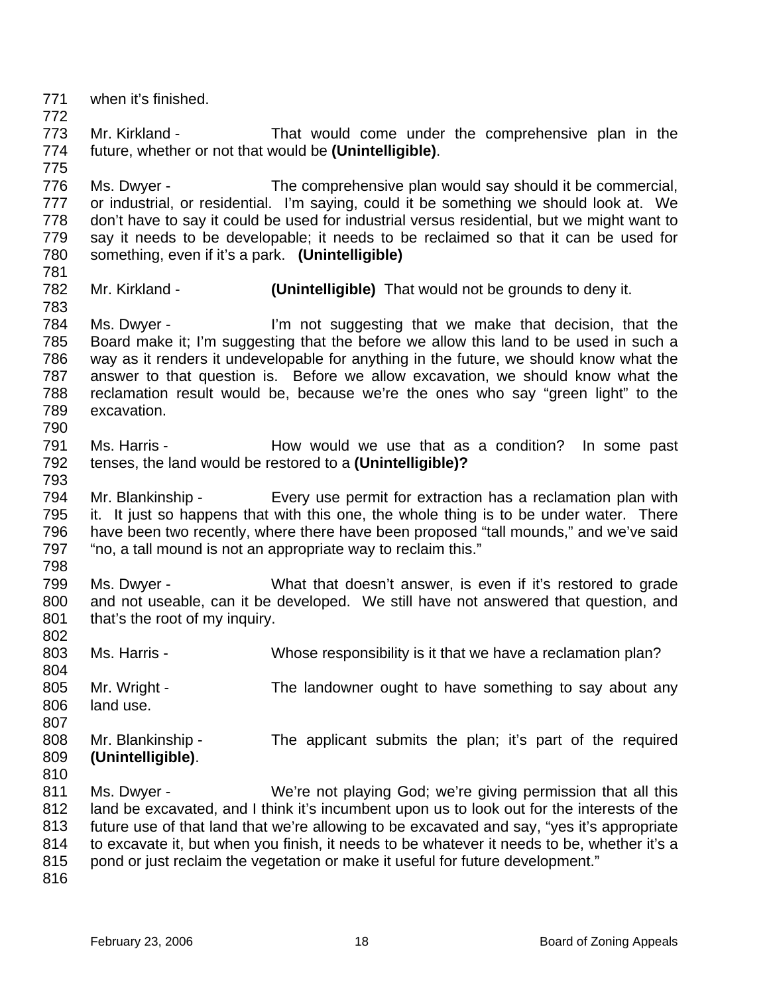771 772 773 774 775 776 777 778 779 780 781 782 783 784 785 786 787 788 789 790 791 792 793 794 795 796 797 798 799 800 801 802 803 804 805 806 807 808 809 810 811 812 813 814 815 816 when it's finished. Mr. Kirkland - That would come under the comprehensive plan in the future, whether or not that would be **(Unintelligible)**. Ms. Dwyer - The comprehensive plan would say should it be commercial, or industrial, or residential. I'm saying, could it be something we should look at. We don't have to say it could be used for industrial versus residential, but we might want to say it needs to be developable; it needs to be reclaimed so that it can be used for something, even if it's a park. **(Unintelligible)** Mr. Kirkland - **(Unintelligible)** That would not be grounds to deny it. Ms. Dwyer - I'm not suggesting that we make that decision, that the Board make it; I'm suggesting that the before we allow this land to be used in such a way as it renders it undevelopable for anything in the future, we should know what the answer to that question is. Before we allow excavation, we should know what the reclamation result would be, because we're the ones who say "green light" to the excavation. Ms. Harris - The Mow would we use that as a condition? In some past tenses, the land would be restored to a **(Unintelligible)?**  Mr. Blankinship - Every use permit for extraction has a reclamation plan with it. It just so happens that with this one, the whole thing is to be under water. There have been two recently, where there have been proposed "tall mounds," and we've said "no, a tall mound is not an appropriate way to reclaim this." Ms. Dwyer - What that doesn't answer, is even if it's restored to grade and not useable, can it be developed. We still have not answered that question, and that's the root of my inquiry. Ms. Harris - Whose responsibility is it that we have a reclamation plan? Mr. Wright - The landowner ought to have something to say about any land use. Mr. Blankinship - The applicant submits the plan; it's part of the required **(Unintelligible)**. Ms. Dwyer - We're not playing God; we're giving permission that all this land be excavated, and I think it's incumbent upon us to look out for the interests of the future use of that land that we're allowing to be excavated and say, "yes it's appropriate to excavate it, but when you finish, it needs to be whatever it needs to be, whether it's a pond or just reclaim the vegetation or make it useful for future development."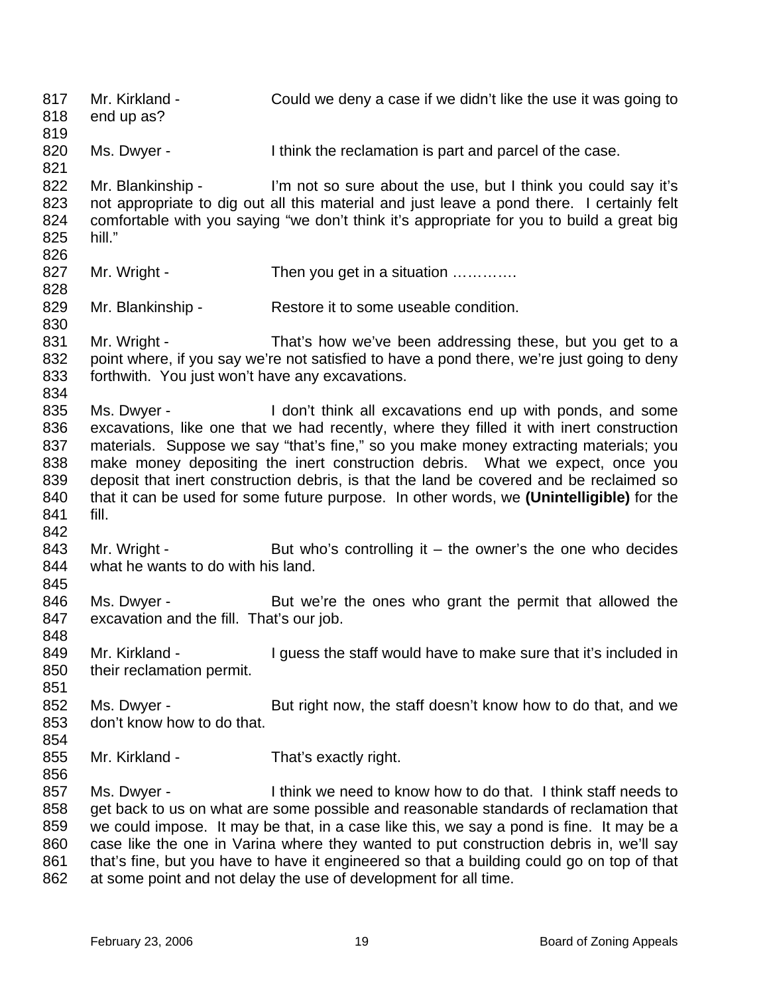817 818 819 820 821 822 823 824 825 826 827 828 829 830 831 832 833 834 835 836 837 838 839 840 841 842 843 844 845 846 847 848 849 850 851 852 853 854 855 856 857 858 859 860 861 862 Mr. Kirkland - Could we deny a case if we didn't like the use it was going to end up as? Ms. Dwyer - I think the reclamation is part and parcel of the case. Mr. Blankinship - I'm not so sure about the use, but I think you could say it's not appropriate to dig out all this material and just leave a pond there. I certainly felt comfortable with you saying "we don't think it's appropriate for you to build a great big hill." Mr. Wright - Then you get in a situation ............. Mr. Blankinship - Restore it to some useable condition. Mr. Wright - That's how we've been addressing these, but you get to a point where, if you say we're not satisfied to have a pond there, we're just going to deny forthwith. You just won't have any excavations. Ms. Dwyer - I don't think all excavations end up with ponds, and some excavations, like one that we had recently, where they filled it with inert construction materials. Suppose we say "that's fine," so you make money extracting materials; you make money depositing the inert construction debris. What we expect, once you deposit that inert construction debris, is that the land be covered and be reclaimed so that it can be used for some future purpose. In other words, we **(Unintelligible)** for the fill. Mr. Wright - But who's controlling it – the owner's the one who decides what he wants to do with his land. Ms. Dwyer - But we're the ones who grant the permit that allowed the excavation and the fill. That's our job. Mr. Kirkland - The Suppose the staff would have to make sure that it's included in their reclamation permit. Ms. Dwyer - But right now, the staff doesn't know how to do that, and we don't know how to do that. Mr. Kirkland - That's exactly right. Ms. Dwyer - Think we need to know how to do that. I think staff needs to get back to us on what are some possible and reasonable standards of reclamation that we could impose. It may be that, in a case like this, we say a pond is fine. It may be a case like the one in Varina where they wanted to put construction debris in, we'll say that's fine, but you have to have it engineered so that a building could go on top of that at some point and not delay the use of development for all time.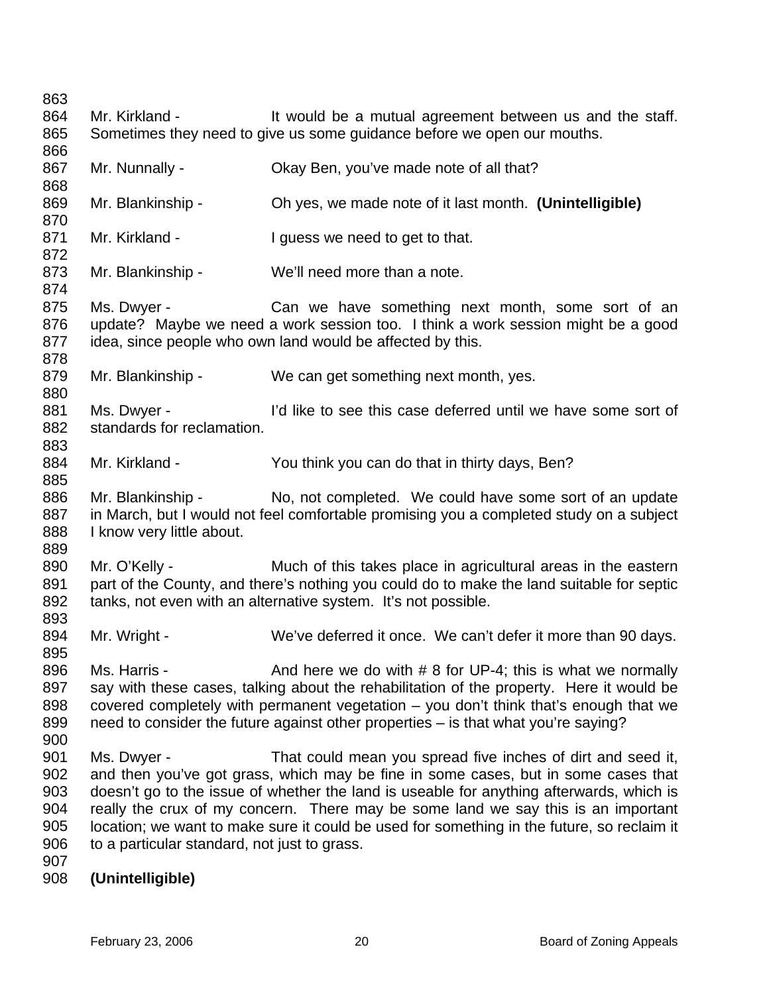863 864 865 866 867 868 869 870 871 872 873 874 875 876 877 878 879 880 881 882 883 884 885 886 887 888 889 890 891 892 893 894 895 896 897 898 899 900 901 902 903 904 905 906 907 908 Mr. Kirkland - It would be a mutual agreement between us and the staff. Sometimes they need to give us some guidance before we open our mouths. Mr. Nunnally - Ckay Ben, you've made note of all that? Mr. Blankinship - Oh yes, we made note of it last month. **(Unintelligible)**  Mr. Kirkland - The I guess we need to get to that. Mr. Blankinship - We'll need more than a note. Ms. Dwyer - Can we have something next month, some sort of an update? Maybe we need a work session too. I think a work session might be a good idea, since people who own land would be affected by this. Mr. Blankinship - We can get something next month, yes. Ms. Dwyer - I'd like to see this case deferred until we have some sort of standards for reclamation. Mr. Kirkland - You think you can do that in thirty days, Ben? Mr. Blankinship - No, not completed. We could have some sort of an update in March, but I would not feel comfortable promising you a completed study on a subject I know very little about. Mr. O'Kelly - Much of this takes place in agricultural areas in the eastern part of the County, and there's nothing you could do to make the land suitable for septic tanks, not even with an alternative system. It's not possible. Mr. Wright - We've deferred it once. We can't defer it more than 90 days. Ms. Harris -  $\blacksquare$  And here we do with  $\#$  8 for UP-4; this is what we normally say with these cases, talking about the rehabilitation of the property. Here it would be covered completely with permanent vegetation – you don't think that's enough that we need to consider the future against other properties – is that what you're saying? Ms. Dwyer - That could mean you spread five inches of dirt and seed it, and then you've got grass, which may be fine in some cases, but in some cases that doesn't go to the issue of whether the land is useable for anything afterwards, which is really the crux of my concern. There may be some land we say this is an important location; we want to make sure it could be used for something in the future, so reclaim it to a particular standard, not just to grass. **(Unintelligible)**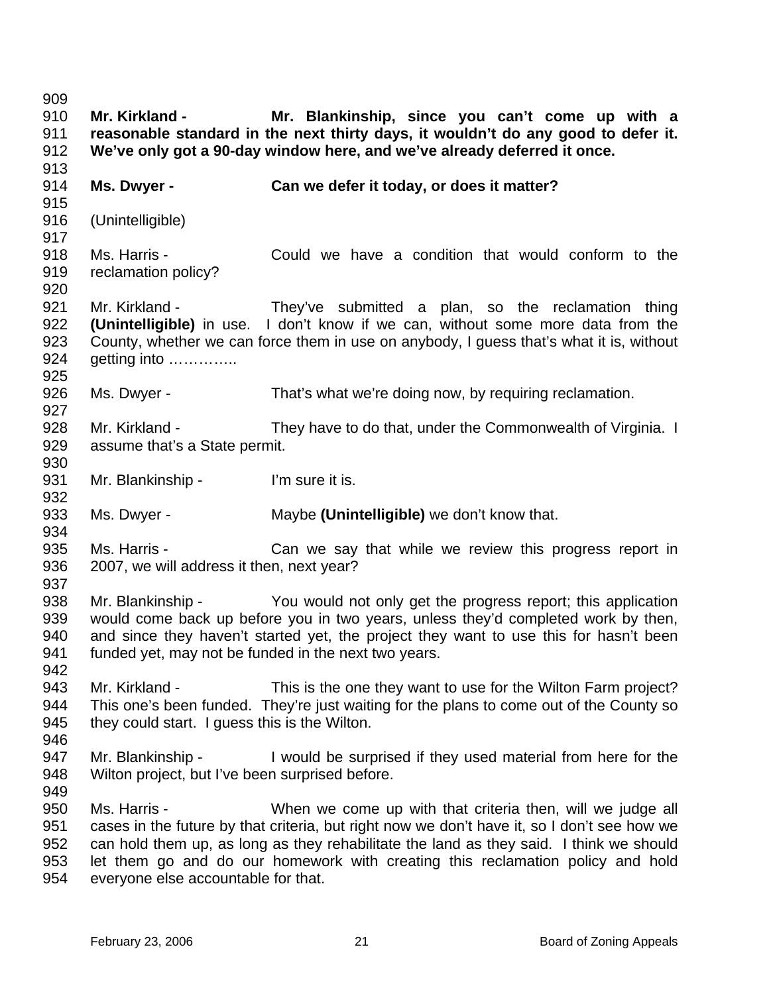909 910 911 912 913 914 915 916 917 918 919 920 921 922 923 924 925 926 927 928 929 930 931 932 933 934 935 936 937 938 939 940 941 942 943 944 945 946 947 948 949 950 951 952 953 954 **Mr. Kirkland - Mr. Blankinship, since you can't come up with a reasonable standard in the next thirty days, it wouldn't do any good to defer it. We've only got a 90-day window here, and we've already deferred it once. Ms. Dwyer - Can we defer it today, or does it matter?**  (Unintelligible) Ms. Harris - Could we have a condition that would conform to the reclamation policy? Mr. Kirkland - They've submitted a plan, so the reclamation thing **(Unintelligible)** in use. I don't know if we can, without some more data from the County, whether we can force them in use on anybody, I guess that's what it is, without getting into ………….. Ms. Dwyer - That's what we're doing now, by requiring reclamation. Mr. Kirkland - They have to do that, under the Commonwealth of Virginia. I assume that's a State permit. Mr. Blankinship - I'm sure it is. Ms. Dwyer - Maybe **(Unintelligible)** we don't know that. Ms. Harris - The Can we say that while we review this progress report in 2007, we will address it then, next year? Mr. Blankinship - You would not only get the progress report; this application would come back up before you in two years, unless they'd completed work by then, and since they haven't started yet, the project they want to use this for hasn't been funded yet, may not be funded in the next two years. Mr. Kirkland - This is the one they want to use for the Wilton Farm project? This one's been funded. They're just waiting for the plans to come out of the County so they could start. I guess this is the Wilton. Mr. Blankinship - I would be surprised if they used material from here for the Wilton project, but I've been surprised before. Ms. Harris - When we come up with that criteria then, will we judge all cases in the future by that criteria, but right now we don't have it, so I don't see how we can hold them up, as long as they rehabilitate the land as they said. I think we should let them go and do our homework with creating this reclamation policy and hold everyone else accountable for that.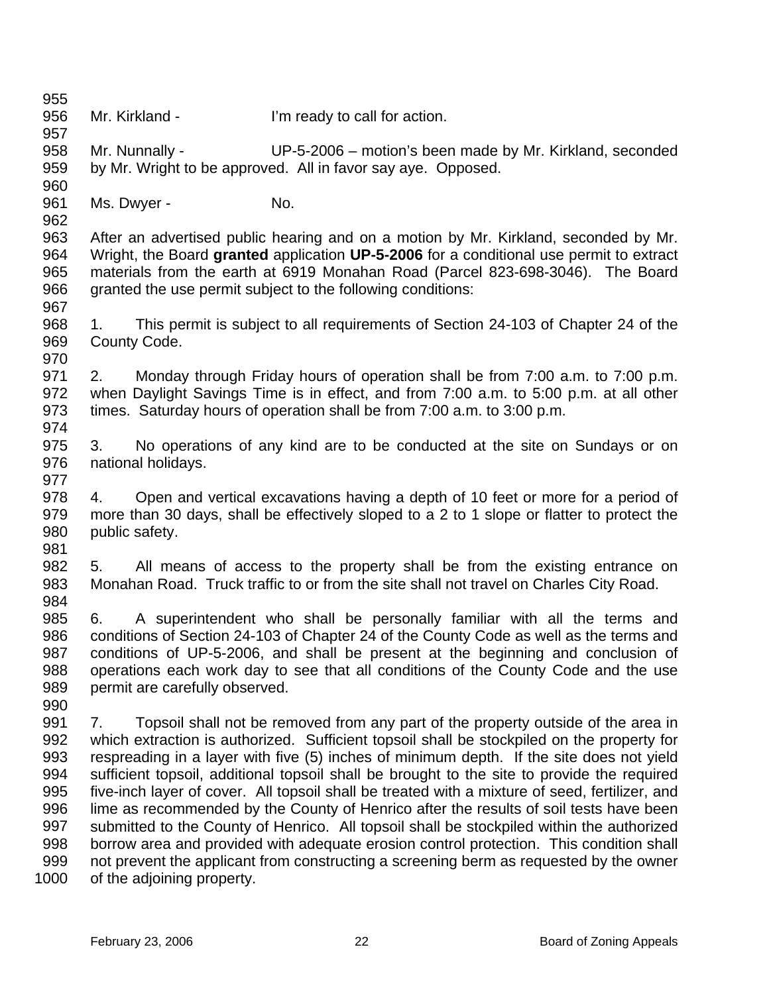956 957 958 959 960 961 962 963 964 965 966 967 968 969 970 971 972 973 974 975 976 977 978 979 980 981 982 983 984 985 986 987 988 989 990 991 992 993 994 995 996 997 998 999 1000 Mr. Kirkland - **I'm ready to call for action.** Mr. Nunnally - UP-5-2006 – motion's been made by Mr. Kirkland, seconded by Mr. Wright to be approved. All in favor say aye. Opposed. Ms. Dwyer - No. After an advertised public hearing and on a motion by Mr. Kirkland, seconded by Mr. Wright, the Board **granted** application **UP-5-2006** for a conditional use permit to extract materials from the earth at 6919 Monahan Road (Parcel 823-698-3046). The Board granted the use permit subject to the following conditions: 1. This permit is subject to all requirements of Section 24-103 of Chapter 24 of the County Code. 2. Monday through Friday hours of operation shall be from 7:00 a.m. to 7:00 p.m. when Daylight Savings Time is in effect, and from 7:00 a.m. to 5:00 p.m. at all other times. Saturday hours of operation shall be from 7:00 a.m. to 3:00 p.m. 3. No operations of any kind are to be conducted at the site on Sundays or on national holidays. 4. Open and vertical excavations having a depth of 10 feet or more for a period of more than 30 days, shall be effectively sloped to a 2 to 1 slope or flatter to protect the public safety. 5. All means of access to the property shall be from the existing entrance on Monahan Road. Truck traffic to or from the site shall not travel on Charles City Road. 6. A superintendent who shall be personally familiar with all the terms and conditions of Section 24-103 of Chapter 24 of the County Code as well as the terms and conditions of UP-5-2006, and shall be present at the beginning and conclusion of operations each work day to see that all conditions of the County Code and the use permit are carefully observed. 7. Topsoil shall not be removed from any part of the property outside of the area in which extraction is authorized. Sufficient topsoil shall be stockpiled on the property for respreading in a layer with five (5) inches of minimum depth. If the site does not yield sufficient topsoil, additional topsoil shall be brought to the site to provide the required five-inch layer of cover. All topsoil shall be treated with a mixture of seed, fertilizer, and lime as recommended by the County of Henrico after the results of soil tests have been submitted to the County of Henrico. All topsoil shall be stockpiled within the authorized borrow area and provided with adequate erosion control protection. This condition shall not prevent the applicant from constructing a screening berm as requested by the owner of the adjoining property.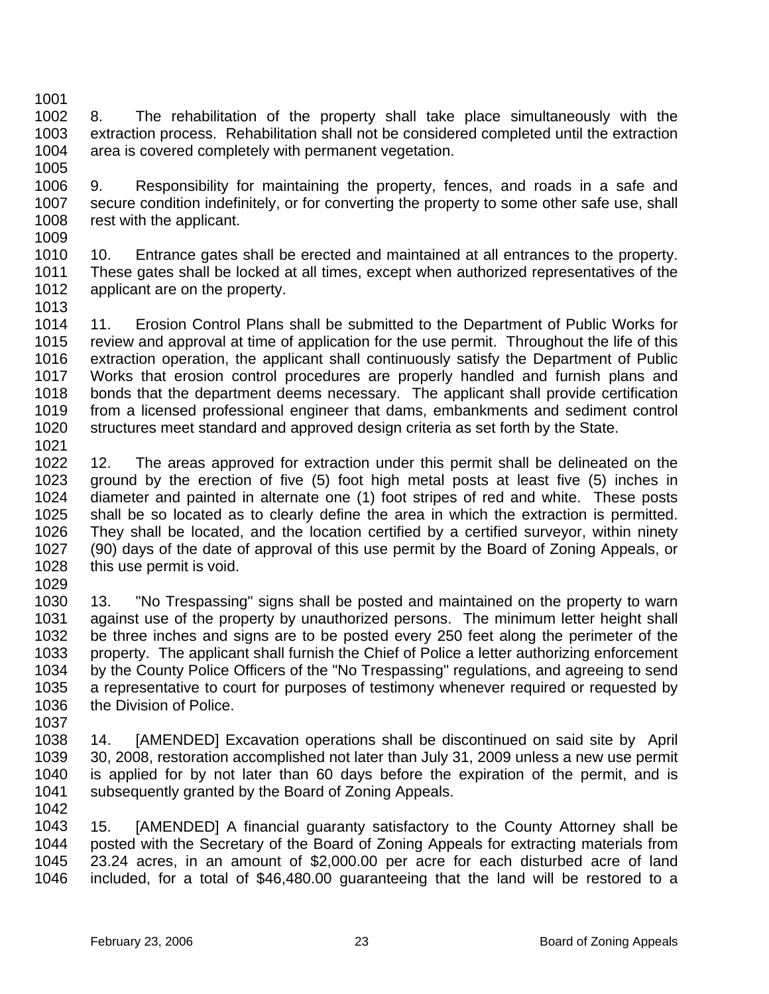1002 1003 1004 8. The rehabilitation of the property shall take place simultaneously with the extraction process. Rehabilitation shall not be considered completed until the extraction area is covered completely with permanent vegetation.

1005

1001

1006 1007 1008 9. Responsibility for maintaining the property, fences, and roads in a safe and secure condition indefinitely, or for converting the property to some other safe use, shall rest with the applicant.

1009

1010 1011 1012 1013 10. Entrance gates shall be erected and maintained at all entrances to the property. These gates shall be locked at all times, except when authorized representatives of the applicant are on the property.

1014 1015 1016 1017 1018 1019 1020 1021 11. Erosion Control Plans shall be submitted to the Department of Public Works for review and approval at time of application for the use permit. Throughout the life of this extraction operation, the applicant shall continuously satisfy the Department of Public Works that erosion control procedures are properly handled and furnish plans and bonds that the department deems necessary. The applicant shall provide certification from a licensed professional engineer that dams, embankments and sediment control structures meet standard and approved design criteria as set forth by the State.

1022 1023 1024 1025 1026 1027 1028 12. The areas approved for extraction under this permit shall be delineated on the ground by the erection of five (5) foot high metal posts at least five (5) inches in diameter and painted in alternate one (1) foot stripes of red and white. These posts shall be so located as to clearly define the area in which the extraction is permitted. They shall be located, and the location certified by a certified surveyor, within ninety (90) days of the date of approval of this use permit by the Board of Zoning Appeals, or this use permit is void.

1029

1030 1031 1032 1033 1034 1035 1036 13. "No Trespassing" signs shall be posted and maintained on the property to warn against use of the property by unauthorized persons. The minimum letter height shall be three inches and signs are to be posted every 250 feet along the perimeter of the property. The applicant shall furnish the Chief of Police a letter authorizing enforcement by the County Police Officers of the "No Trespassing" regulations, and agreeing to send a representative to court for purposes of testimony whenever required or requested by the Division of Police.

1037

1038 1039 1040 1041 1042 14. [AMENDED] Excavation operations shall be discontinued on said site by April 30, 2008, restoration accomplished not later than July 31, 2009 unless a new use permit is applied for by not later than 60 days before the expiration of the permit, and is subsequently granted by the Board of Zoning Appeals.

1043 1044 1045 1046 15. [AMENDED] A financial guaranty satisfactory to the County Attorney shall be posted with the Secretary of the Board of Zoning Appeals for extracting materials from 23.24 acres, in an amount of \$2,000.00 per acre for each disturbed acre of land included, for a total of \$46,480.00 guaranteeing that the land will be restored to a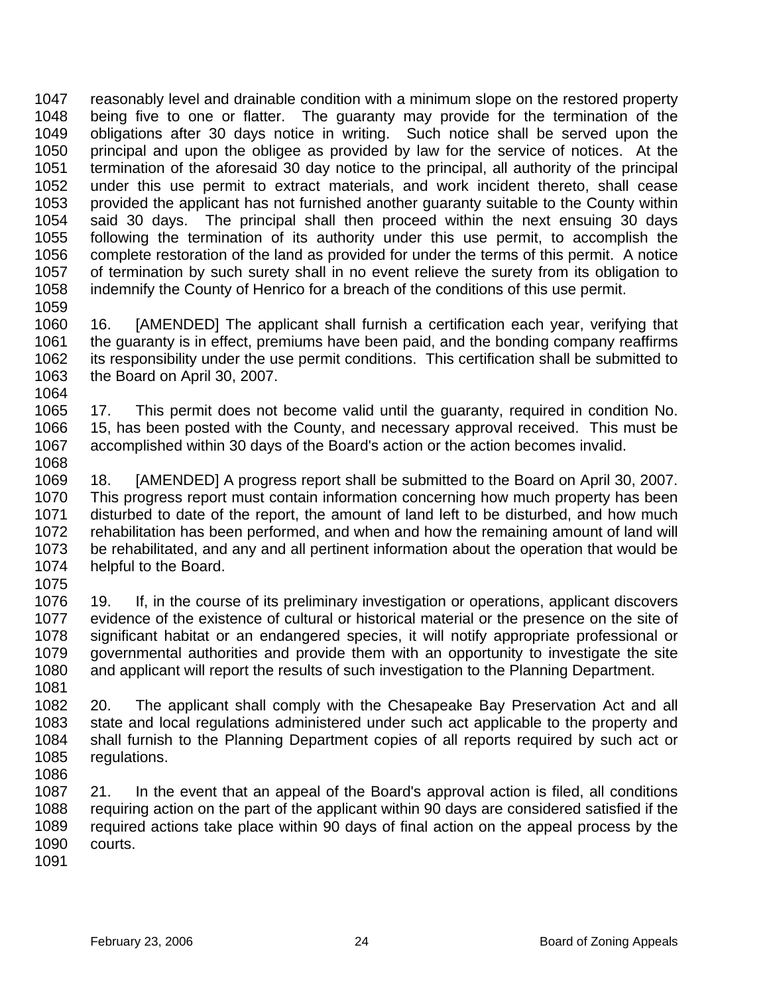1047 1048 1049 1050 1051 1052 1053 1054 1055 1056 1057 1058 1059 reasonably level and drainable condition with a minimum slope on the restored property being five to one or flatter. The guaranty may provide for the termination of the obligations after 30 days notice in writing. Such notice shall be served upon the principal and upon the obligee as provided by law for the service of notices. At the termination of the aforesaid 30 day notice to the principal, all authority of the principal under this use permit to extract materials, and work incident thereto, shall cease provided the applicant has not furnished another guaranty suitable to the County within said 30 days. The principal shall then proceed within the next ensuing 30 days following the termination of its authority under this use permit, to accomplish the complete restoration of the land as provided for under the terms of this permit. A notice of termination by such surety shall in no event relieve the surety from its obligation to indemnify the County of Henrico for a breach of the conditions of this use permit.

- 1060 1061 1062 1063 1064 16. [AMENDED] The applicant shall furnish a certification each year, verifying that the guaranty is in effect, premiums have been paid, and the bonding company reaffirms its responsibility under the use permit conditions. This certification shall be submitted to the Board on April 30, 2007.
- 1065 1066 1067 1068 17. This permit does not become valid until the guaranty, required in condition No. 15, has been posted with the County, and necessary approval received. This must be accomplished within 30 days of the Board's action or the action becomes invalid.
- 1069 1070 1071 1072 1073 1074 18. [AMENDED] A progress report shall be submitted to the Board on April 30, 2007. This progress report must contain information concerning how much property has been disturbed to date of the report, the amount of land left to be disturbed, and how much rehabilitation has been performed, and when and how the remaining amount of land will be rehabilitated, and any and all pertinent information about the operation that would be helpful to the Board.
- 1075

1076 1077 1078 1079 1080 1081 19. If, in the course of its preliminary investigation or operations, applicant discovers evidence of the existence of cultural or historical material or the presence on the site of significant habitat or an endangered species, it will notify appropriate professional or governmental authorities and provide them with an opportunity to investigate the site and applicant will report the results of such investigation to the Planning Department.

1082 1083 1084 1085 1086 20. The applicant shall comply with the Chesapeake Bay Preservation Act and all state and local regulations administered under such act applicable to the property and shall furnish to the Planning Department copies of all reports required by such act or regulations.

1087 1088 1089 1090 21. In the event that an appeal of the Board's approval action is filed, all conditions requiring action on the part of the applicant within 90 days are considered satisfied if the required actions take place within 90 days of final action on the appeal process by the courts.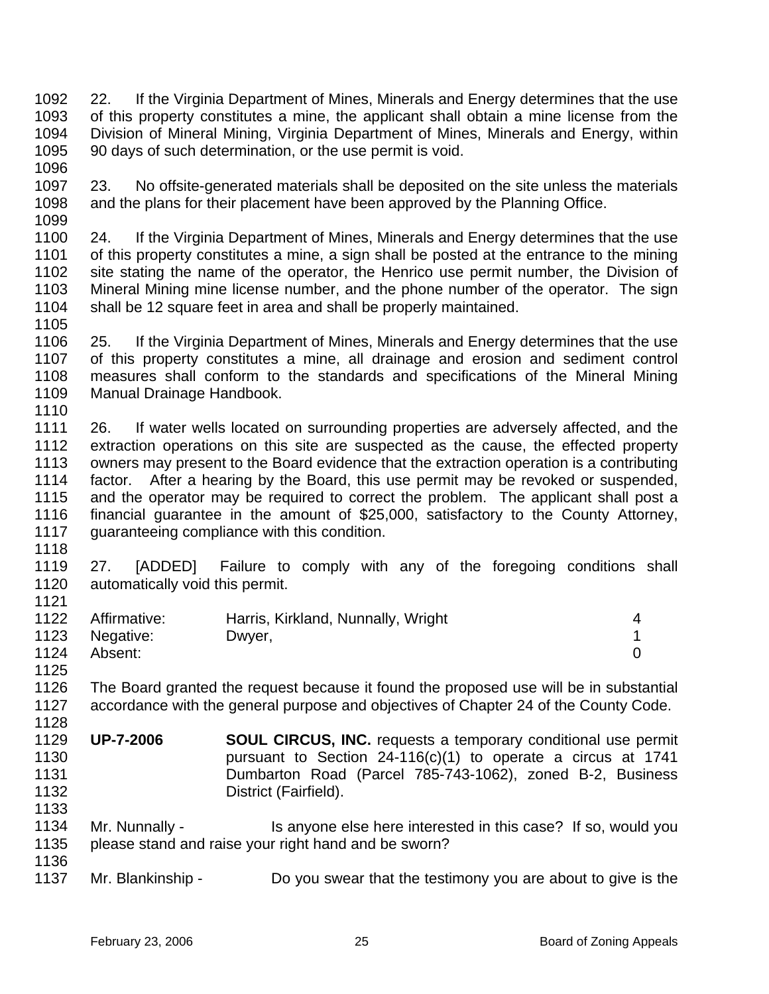1092 1093 1094 1095 1096 22. If the Virginia Department of Mines, Minerals and Energy determines that the use of this property constitutes a mine, the applicant shall obtain a mine license from the Division of Mineral Mining, Virginia Department of Mines, Minerals and Energy, within 90 days of such determination, or the use permit is void.

1097 1098 1099 23. No offsite-generated materials shall be deposited on the site unless the materials and the plans for their placement have been approved by the Planning Office.

1100 1101 1102 1103 1104 1105 24. If the Virginia Department of Mines, Minerals and Energy determines that the use of this property constitutes a mine, a sign shall be posted at the entrance to the mining site stating the name of the operator, the Henrico use permit number, the Division of Mineral Mining mine license number, and the phone number of the operator. The sign shall be 12 square feet in area and shall be properly maintained.

1106 1107 1108 1109 1110 25. If the Virginia Department of Mines, Minerals and Energy determines that the use of this property constitutes a mine, all drainage and erosion and sediment control measures shall conform to the standards and specifications of the Mineral Mining Manual Drainage Handbook.

1111 1112 1113 1114 1115 1116 1117 26. If water wells located on surrounding properties are adversely affected, and the extraction operations on this site are suspected as the cause, the effected property owners may present to the Board evidence that the extraction operation is a contributing factor. After a hearing by the Board, this use permit may be revoked or suspended, and the operator may be required to correct the problem. The applicant shall post a financial guarantee in the amount of \$25,000, satisfactory to the County Attorney, guaranteeing compliance with this condition.

1118

1125

1128

1119 1120 1121 27. [ADDED] Failure to comply with any of the foregoing conditions shall automatically void this permit.

|      | 1122 Affirmative: | Harris, Kirkland, Nunnally, Wright |  |
|------|-------------------|------------------------------------|--|
|      | 1123 Negative:    | Dwyer,                             |  |
| 1124 | Absent:           |                                    |  |

- 1126 1127 The Board granted the request because it found the proposed use will be in substantial accordance with the general purpose and objectives of Chapter 24 of the County Code.
- 1129 1130 1131 1132 1133 **UP-7-2006 SOUL CIRCUS, INC.** requests a temporary conditional use permit pursuant to Section 24-116(c)(1) to operate a circus at 1741 Dumbarton Road (Parcel 785-743-1062), zoned B-2, Business District (Fairfield).
- 1134 1135 1136 Mr. Nunnally - Is anyone else here interested in this case? If so, would you please stand and raise your right hand and be sworn?
- 1137 Mr. Blankinship - Do you swear that the testimony you are about to give is the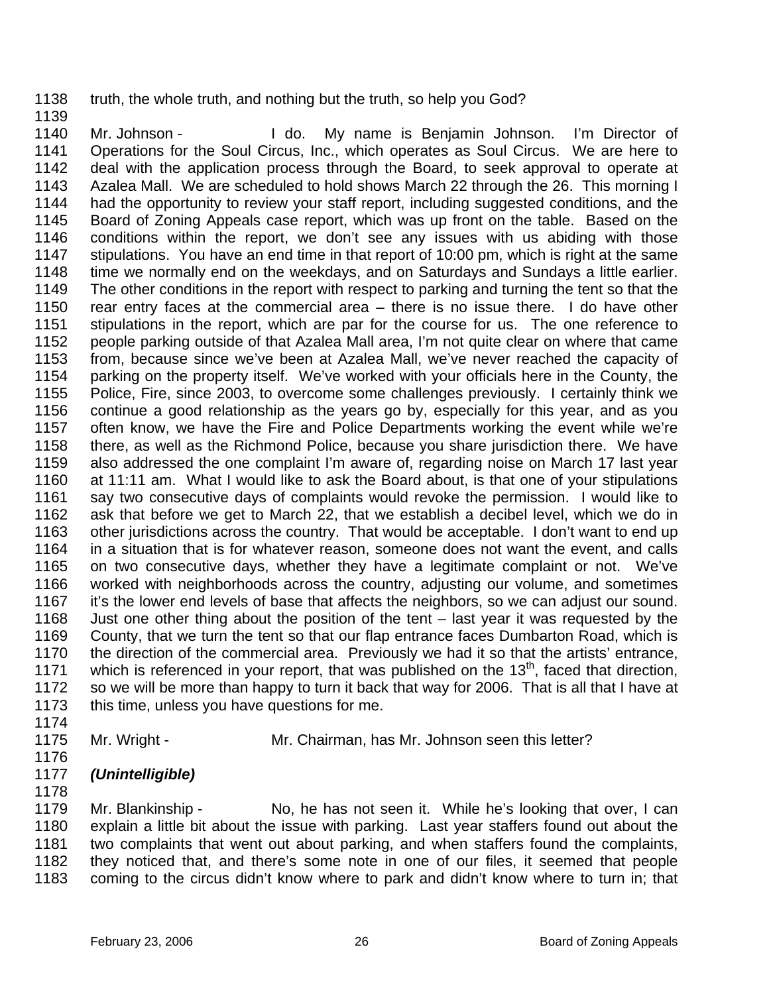1138 truth, the whole truth, and nothing but the truth, so help you God?

1140 1141 1142 1143 1144 1145 1146 1147 1148 1149 1150 1151 1152 1153 1154 1155 1156 1157 1158 1159 1160 1161 1162 1163 1164 1165 1166 1167 1168 1169 1170 1171 1172 1173 Mr. Johnson - I do. My name is Benjamin Johnson. I'm Director of Operations for the Soul Circus, Inc., which operates as Soul Circus. We are here to deal with the application process through the Board, to seek approval to operate at Azalea Mall. We are scheduled to hold shows March 22 through the 26. This morning I had the opportunity to review your staff report, including suggested conditions, and the Board of Zoning Appeals case report, which was up front on the table. Based on the conditions within the report, we don't see any issues with us abiding with those stipulations. You have an end time in that report of 10:00 pm, which is right at the same time we normally end on the weekdays, and on Saturdays and Sundays a little earlier. The other conditions in the report with respect to parking and turning the tent so that the rear entry faces at the commercial area – there is no issue there. I do have other stipulations in the report, which are par for the course for us. The one reference to people parking outside of that Azalea Mall area, I'm not quite clear on where that came from, because since we've been at Azalea Mall, we've never reached the capacity of parking on the property itself. We've worked with your officials here in the County, the Police, Fire, since 2003, to overcome some challenges previously. I certainly think we continue a good relationship as the years go by, especially for this year, and as you often know, we have the Fire and Police Departments working the event while we're there, as well as the Richmond Police, because you share jurisdiction there. We have also addressed the one complaint I'm aware of, regarding noise on March 17 last year at 11:11 am. What I would like to ask the Board about, is that one of your stipulations say two consecutive days of complaints would revoke the permission. I would like to ask that before we get to March 22, that we establish a decibel level, which we do in other jurisdictions across the country. That would be acceptable. I don't want to end up in a situation that is for whatever reason, someone does not want the event, and calls on two consecutive days, whether they have a legitimate complaint or not. We've worked with neighborhoods across the country, adjusting our volume, and sometimes it's the lower end levels of base that affects the neighbors, so we can adjust our sound. Just one other thing about the position of the tent – last year it was requested by the County, that we turn the tent so that our flap entrance faces Dumbarton Road, which is the direction of the commercial area. Previously we had it so that the artists' entrance, which is referenced in your report, that was published on the  $13<sup>th</sup>$ , faced that direction, so we will be more than happy to turn it back that way for 2006. That is all that I have at this time, unless you have questions for me.

1174

1139

1175

Mr. Wright - Mr. Chairman, has Mr. Johnson seen this letter?

- 1176
- 1177 *(Unintelligible)*

1178

1179 1180 1181 1182 1183 Mr. Blankinship - No, he has not seen it. While he's looking that over, I can explain a little bit about the issue with parking. Last year staffers found out about the two complaints that went out about parking, and when staffers found the complaints, they noticed that, and there's some note in one of our files, it seemed that people coming to the circus didn't know where to park and didn't know where to turn in; that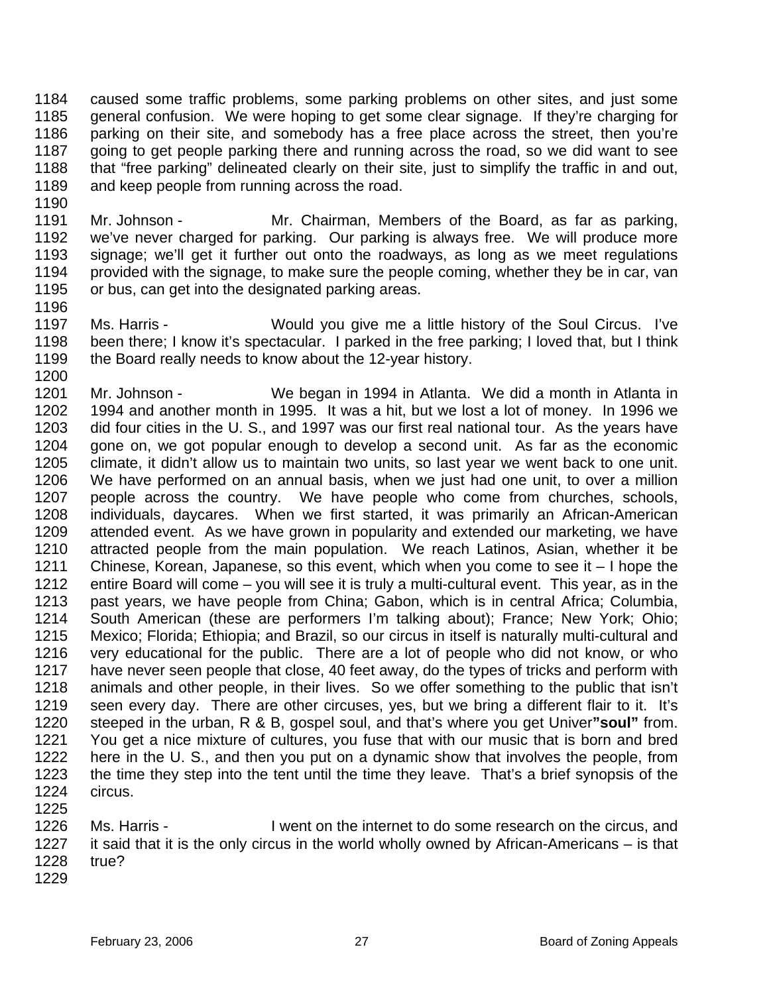1184 1185 1186 1187 1188 1189 caused some traffic problems, some parking problems on other sites, and just some general confusion. We were hoping to get some clear signage. If they're charging for parking on their site, and somebody has a free place across the street, then you're going to get people parking there and running across the road, so we did want to see that "free parking" delineated clearly on their site, just to simplify the traffic in and out, and keep people from running across the road.

- 1191 1192 1193 1194 1195 Mr. Johnson - Mr. Chairman, Members of the Board, as far as parking, we've never charged for parking. Our parking is always free. We will produce more signage; we'll get it further out onto the roadways, as long as we meet regulations provided with the signage, to make sure the people coming, whether they be in car, van or bus, can get into the designated parking areas.
- 1197 1198 1199 Ms. Harris - Would you give me a little history of the Soul Circus. I've been there; I know it's spectacular. I parked in the free parking; I loved that, but I think the Board really needs to know about the 12-year history.
- 1200 1201 1202 1203 1204 1205 1206 1207 1208 1209 1210 1211 1212 1213 1214 1215 1216 1217 1218 1219 1220 1221 1222 1223 1224 Mr. Johnson - We began in 1994 in Atlanta. We did a month in Atlanta in 1994 and another month in 1995. It was a hit, but we lost a lot of money. In 1996 we did four cities in the U. S., and 1997 was our first real national tour. As the years have gone on, we got popular enough to develop a second unit. As far as the economic climate, it didn't allow us to maintain two units, so last year we went back to one unit. We have performed on an annual basis, when we just had one unit, to over a million people across the country. We have people who come from churches, schools, individuals, daycares. When we first started, it was primarily an African-American attended event. As we have grown in popularity and extended our marketing, we have attracted people from the main population. We reach Latinos, Asian, whether it be Chinese, Korean, Japanese, so this event, which when you come to see it – I hope the entire Board will come – you will see it is truly a multi-cultural event. This year, as in the past years, we have people from China; Gabon, which is in central Africa; Columbia, South American (these are performers I'm talking about); France; New York; Ohio; Mexico; Florida; Ethiopia; and Brazil, so our circus in itself is naturally multi-cultural and very educational for the public. There are a lot of people who did not know, or who have never seen people that close, 40 feet away, do the types of tricks and perform with animals and other people, in their lives. So we offer something to the public that isn't seen every day. There are other circuses, yes, but we bring a different flair to it. It's steeped in the urban, R & B, gospel soul, and that's where you get Univer**"soul"** from. You get a nice mixture of cultures, you fuse that with our music that is born and bred here in the U. S., and then you put on a dynamic show that involves the people, from the time they step into the tent until the time they leave. That's a brief synopsis of the circus.
- 1225

1190

- 1226 1227 1228 Ms. Harris - I went on the internet to do some research on the circus, and it said that it is the only circus in the world wholly owned by African-Americans – is that true?
- 1229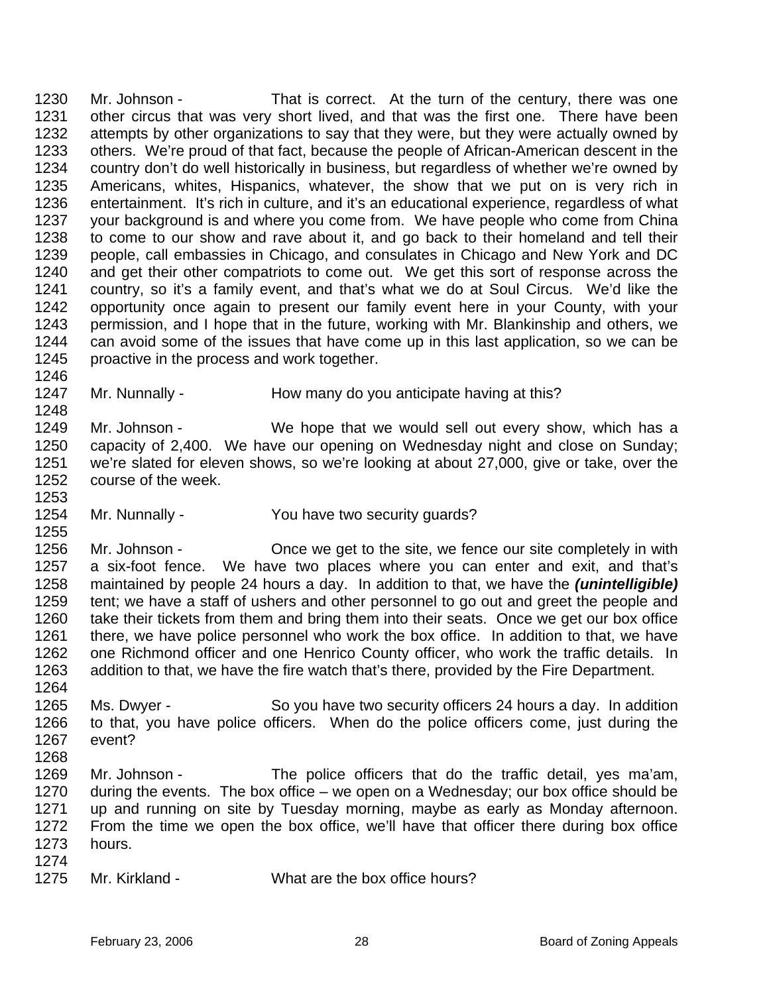1230 1231 1232 1233 1234 1235 1236 1237 1238 1239 1240 1241 1242 1243 1244 1245 1246 Mr. Johnson - That is correct. At the turn of the century, there was one other circus that was very short lived, and that was the first one. There have been attempts by other organizations to say that they were, but they were actually owned by others. We're proud of that fact, because the people of African-American descent in the country don't do well historically in business, but regardless of whether we're owned by Americans, whites, Hispanics, whatever, the show that we put on is very rich in entertainment. It's rich in culture, and it's an educational experience, regardless of what your background is and where you come from. We have people who come from China to come to our show and rave about it, and go back to their homeland and tell their people, call embassies in Chicago, and consulates in Chicago and New York and DC and get their other compatriots to come out. We get this sort of response across the country, so it's a family event, and that's what we do at Soul Circus. We'd like the opportunity once again to present our family event here in your County, with your permission, and I hope that in the future, working with Mr. Blankinship and others, we can avoid some of the issues that have come up in this last application, so we can be proactive in the process and work together.

1247 Mr. Nunnally - How many do you anticipate having at this?

1249 1250 1251 1252 Mr. Johnson - We hope that we would sell out every show, which has a capacity of 2,400. We have our opening on Wednesday night and close on Sunday; we're slated for eleven shows, so we're looking at about 27,000, give or take, over the course of the week.

1254 Mr. Nunnally - You have two security quards?

1256 1257 1258 1259 1260 1261 1262 1263 1264 Mr. Johnson - Once we get to the site, we fence our site completely in with a six-foot fence. We have two places where you can enter and exit, and that's maintained by people 24 hours a day. In addition to that, we have the *(unintelligible)* tent; we have a staff of ushers and other personnel to go out and greet the people and take their tickets from them and bring them into their seats. Once we get our box office there, we have police personnel who work the box office. In addition to that, we have one Richmond officer and one Henrico County officer, who work the traffic details. In addition to that, we have the fire watch that's there, provided by the Fire Department.

- 1265 1266 1267 Ms. Dwyer - So you have two security officers 24 hours a day. In addition to that, you have police officers. When do the police officers come, just during the event?
- 1268

1248

1253

- 1269 1270 1271 1272 1273 1274 Mr. Johnson - The police officers that do the traffic detail, yes ma'am, during the events. The box office – we open on a Wednesday; our box office should be up and running on site by Tuesday morning, maybe as early as Monday afternoon. From the time we open the box office, we'll have that officer there during box office hours.
- 1275 Mr. Kirkland - What are the box office hours?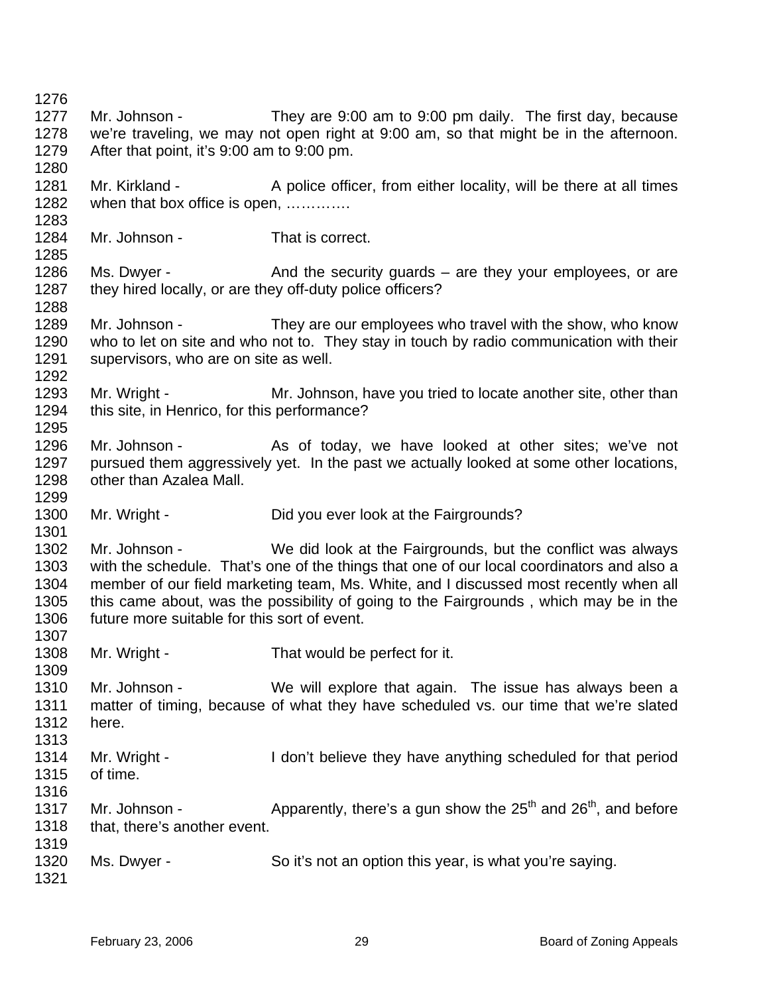1276 1277 1278 1279 1280 1281 1282 1283 1284 1285 1286 1287 1288 1289 1290 1291 1292 1293 1294 1295 1296 1297 1298 1299 1300 1301 1302 1303 1304 1305 1306 1307 1308 1309 1310 1311 1312 1313 1314 1315 1316 1317 1318 1319 1320 1321 Mr. Johnson - They are 9:00 am to 9:00 pm daily. The first day, because we're traveling, we may not open right at 9:00 am, so that might be in the afternoon. After that point, it's 9:00 am to 9:00 pm. Mr. Kirkland - A police officer, from either locality, will be there at all times when that box office is open, ............. Mr. Johnson - That is correct. Ms. Dwyer - And the security guards – are they your employees, or are they hired locally, or are they off-duty police officers? Mr. Johnson - They are our employees who travel with the show, who know who to let on site and who not to. They stay in touch by radio communication with their supervisors, who are on site as well. Mr. Wright - Mr. Johnson, have you tried to locate another site, other than this site, in Henrico, for this performance? Mr. Johnson - As of today, we have looked at other sites; we've not pursued them aggressively yet. In the past we actually looked at some other locations, other than Azalea Mall. Mr. Wright - Did you ever look at the Fairgrounds? Mr. Johnson - We did look at the Fairgrounds, but the conflict was always with the schedule. That's one of the things that one of our local coordinators and also a member of our field marketing team, Ms. White, and I discussed most recently when all this came about, was the possibility of going to the Fairgrounds , which may be in the future more suitable for this sort of event. Mr. Wright - That would be perfect for it. Mr. Johnson - We will explore that again. The issue has always been a matter of timing, because of what they have scheduled vs. our time that we're slated here. Mr. Wright - I don't believe they have anything scheduled for that period of time. Mr. Johnson -  $\blacksquare$  Apparently, there's a gun show the  $25^{th}$  and  $26^{th}$ , and before that, there's another event. Ms. Dwyer - So it's not an option this year, is what you're saying.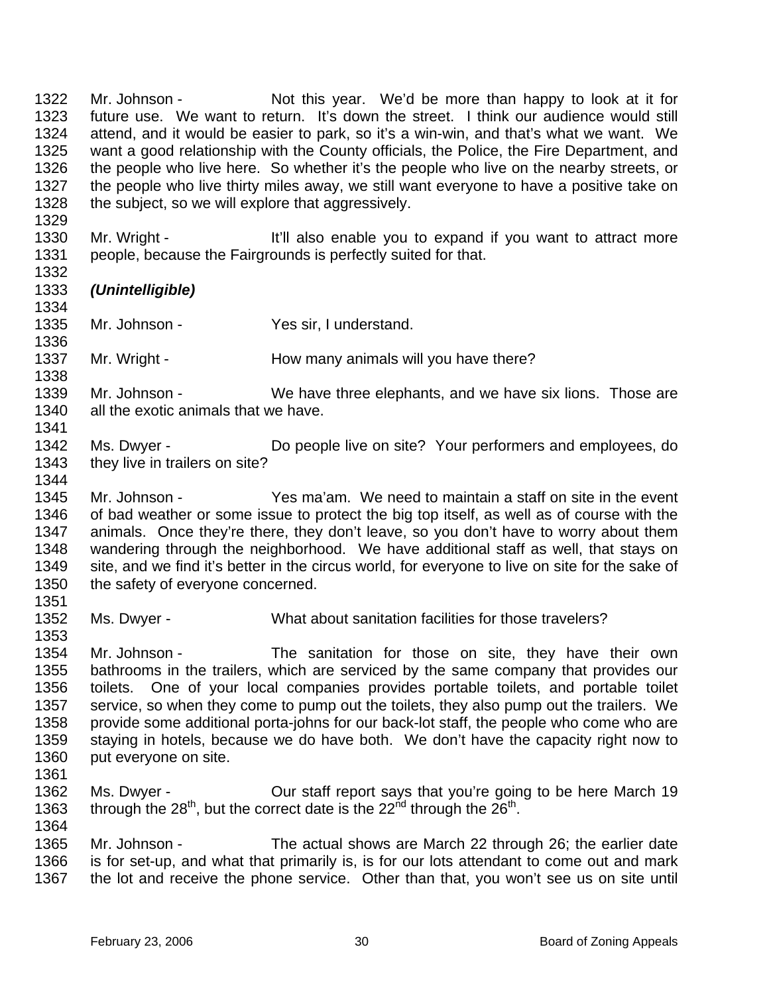1322 1323 1324 1325 1326 1327 1328 1329 Mr. Johnson - Not this year. We'd be more than happy to look at it for future use. We want to return. It's down the street. I think our audience would still attend, and it would be easier to park, so it's a win-win, and that's what we want. We want a good relationship with the County officials, the Police, the Fire Department, and the people who live here. So whether it's the people who live on the nearby streets, or the people who live thirty miles away, we still want everyone to have a positive take on the subject, so we will explore that aggressively.

1330 1331 Mr. Wright - It'll also enable you to expand if you want to attract more people, because the Fairgrounds is perfectly suited for that.

## 1333 *(Unintelligible)*

1334 1335

1338

1344

1351

- 1336 Mr. Johnson - Yes sir, I understand.
- 1337 Mr. Wright - **How many animals will you have there?**
- 1339 1340 1341 Mr. Johnson - We have three elephants, and we have six lions. Those are all the exotic animals that we have.
- 1342 1343 Ms. Dwyer - **Do people live on site?** Your performers and employees, do they live in trailers on site?
- 1345 1346 1347 1348 1349 1350 Mr. Johnson - Yes ma'am. We need to maintain a staff on site in the event of bad weather or some issue to protect the big top itself, as well as of course with the animals. Once they're there, they don't leave, so you don't have to worry about them wandering through the neighborhood. We have additional staff as well, that stays on site, and we find it's better in the circus world, for everyone to live on site for the sake of the safety of everyone concerned.
- 1352 1353 Ms. Dwyer - What about sanitation facilities for those travelers?
- 1354 1355 1356 1357 1358 1359 1360 Mr. Johnson - The sanitation for those on site, they have their own bathrooms in the trailers, which are serviced by the same company that provides our toilets. One of your local companies provides portable toilets, and portable toilet service, so when they come to pump out the toilets, they also pump out the trailers. We provide some additional porta-johns for our back-lot staff, the people who come who are staying in hotels, because we do have both. We don't have the capacity right now to put everyone on site.
- 1361
- 1362 1363 1364 Ms. Dwyer - **Our staff report says that you're going to be here March 19** through the  $28<sup>th</sup>$ , but the correct date is the  $22<sup>nd</sup>$  through the  $26<sup>th</sup>$ .
- 1365 1366 1367 Mr. Johnson - The actual shows are March 22 through 26; the earlier date is for set-up, and what that primarily is, is for our lots attendant to come out and mark the lot and receive the phone service. Other than that, you won't see us on site until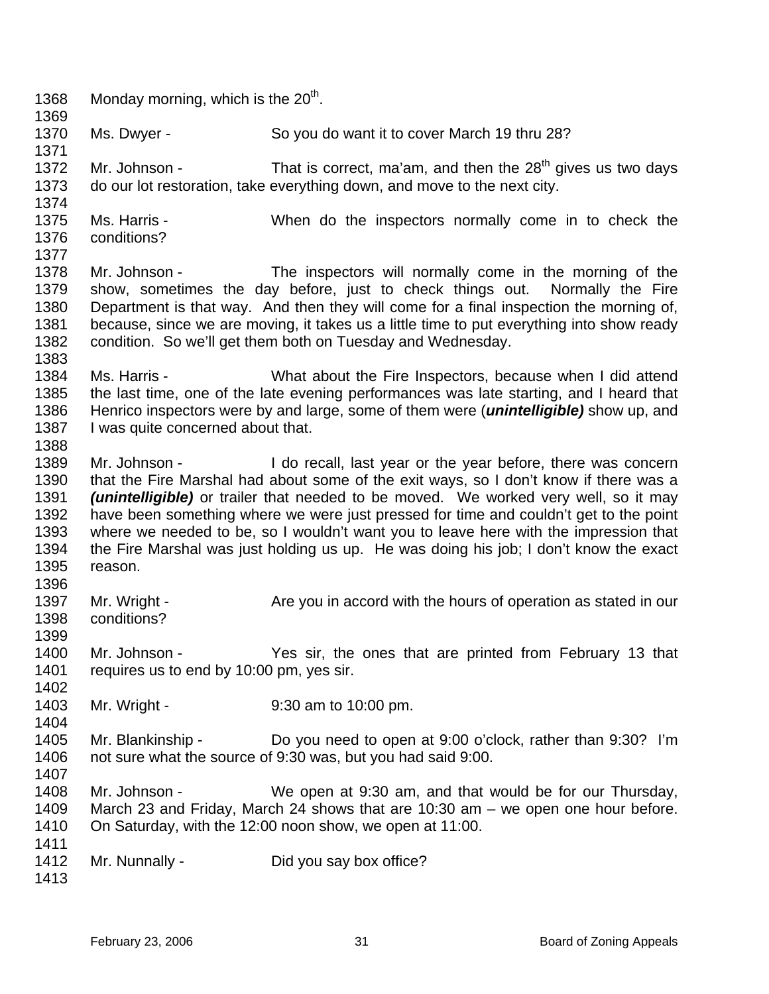1368 Monday morning, which is the  $20<sup>th</sup>$ . 1369 1370 1371 1372 1373 1374 1375 1376 1377 1378 1379 1380 1381 1382 1383 1384 1385 1386 1387 1388 1389 1390 1391 1392 1393 1394 1395 1396 1397 1398 1399 1400 1401 1402 1403 1404 1405 1406 1407 1408 1409 1410 1411 1412 1413 Ms. Dwyer - So you do want it to cover March 19 thru 28? Mr. Johnson - That is correct, ma'am, and then the  $28<sup>th</sup>$  gives us two days do our lot restoration, take everything down, and move to the next city. Ms. Harris - When do the inspectors normally come in to check the conditions? Mr. Johnson - The inspectors will normally come in the morning of the show, sometimes the day before, just to check things out. Normally the Fire Department is that way. And then they will come for a final inspection the morning of, because, since we are moving, it takes us a little time to put everything into show ready condition. So we'll get them both on Tuesday and Wednesday. Ms. Harris - What about the Fire Inspectors, because when I did attend the last time, one of the late evening performances was late starting, and I heard that Henrico inspectors were by and large, some of them were (*unintelligible)* show up, and I was quite concerned about that. Mr. Johnson - I do recall, last year or the year before, there was concern that the Fire Marshal had about some of the exit ways, so I don't know if there was a *(unintelligible)* or trailer that needed to be moved. We worked very well, so it may have been something where we were just pressed for time and couldn't get to the point where we needed to be, so I wouldn't want you to leave here with the impression that the Fire Marshal was just holding us up. He was doing his job; I don't know the exact reason. Mr. Wright - Are you in accord with the hours of operation as stated in our conditions? Mr. Johnson - The Yes sir, the ones that are printed from February 13 that requires us to end by 10:00 pm, yes sir. Mr. Wright - 9:30 am to 10:00 pm. Mr. Blankinship - Do you need to open at 9:00 o'clock, rather than 9:30? I'm not sure what the source of 9:30 was, but you had said 9:00. Mr. Johnson - We open at 9:30 am, and that would be for our Thursday, March 23 and Friday, March 24 shows that are 10:30 am – we open one hour before. On Saturday, with the 12:00 noon show, we open at 11:00. Mr. Nunnally - Did you say box office?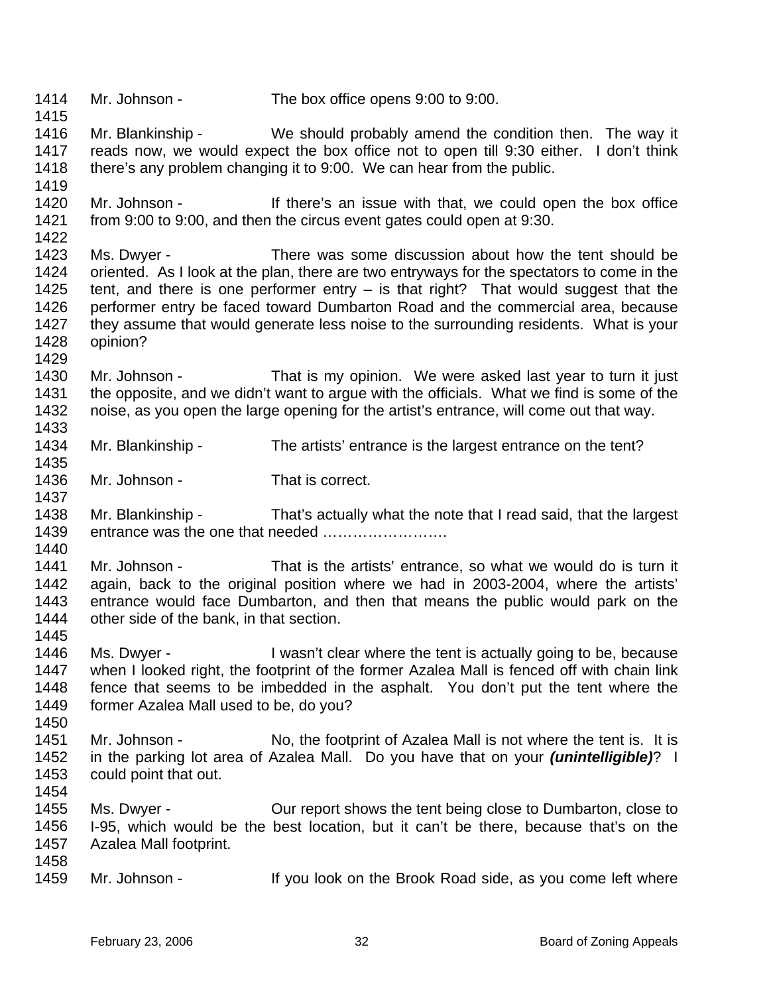1414 1415 1416 1417 1418 1419 1420 1421 1422 1423 1424 1425 1426 1427 1428 1429 1430 1431 1432 1433 1434 1435 1436 1437 1438 1439 1440 1441 1442 1443 1444 1445 1446 1447 1448 1449 1450 1451 1452 1453 1454 1455 1456 1457 1458 1459 Mr. Johnson - The box office opens 9:00 to 9:00. Mr. Blankinship - We should probably amend the condition then. The way it reads now, we would expect the box office not to open till 9:30 either. I don't think there's any problem changing it to 9:00. We can hear from the public. Mr. Johnson - If there's an issue with that, we could open the box office from 9:00 to 9:00, and then the circus event gates could open at 9:30. Ms. Dwyer - There was some discussion about how the tent should be oriented. As I look at the plan, there are two entryways for the spectators to come in the tent, and there is one performer entry – is that right? That would suggest that the performer entry be faced toward Dumbarton Road and the commercial area, because they assume that would generate less noise to the surrounding residents. What is your opinion? Mr. Johnson - That is my opinion. We were asked last year to turn it just the opposite, and we didn't want to argue with the officials. What we find is some of the noise, as you open the large opening for the artist's entrance, will come out that way. Mr. Blankinship - The artists' entrance is the largest entrance on the tent? Mr. Johnson - That is correct. Mr. Blankinship - That's actually what the note that I read said, that the largest entrance was the one that needed ……………………. Mr. Johnson - That is the artists' entrance, so what we would do is turn it again, back to the original position where we had in 2003-2004, where the artists' entrance would face Dumbarton, and then that means the public would park on the other side of the bank, in that section. Ms. Dwyer - I wasn't clear where the tent is actually going to be, because when I looked right, the footprint of the former Azalea Mall is fenced off with chain link fence that seems to be imbedded in the asphalt. You don't put the tent where the former Azalea Mall used to be, do you? Mr. Johnson - No, the footprint of Azalea Mall is not where the tent is. It is in the parking lot area of Azalea Mall. Do you have that on your *(unintelligible)*? I could point that out. Ms. Dwyer - Our report shows the tent being close to Dumbarton, close to I-95, which would be the best location, but it can't be there, because that's on the Azalea Mall footprint. Mr. Johnson - The State of the Brook Road side, as you come left where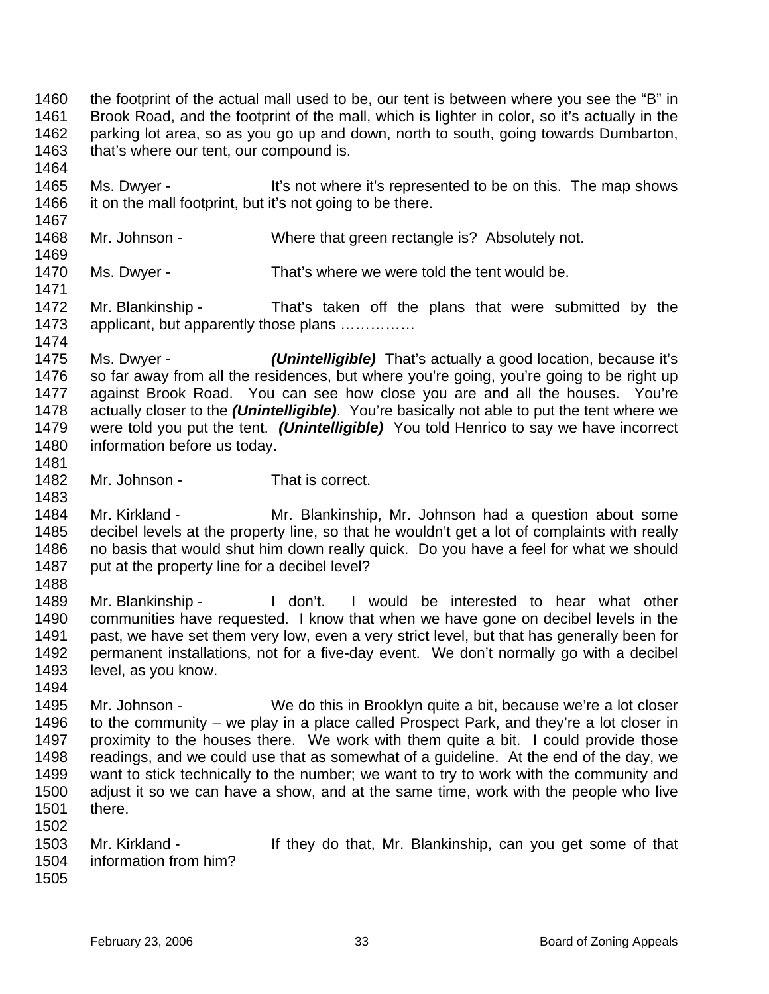1460 1461 1462 1463 the footprint of the actual mall used to be, our tent is between where you see the "B" in Brook Road, and the footprint of the mall, which is lighter in color, so it's actually in the parking lot area, so as you go up and down, north to south, going towards Dumbarton, that's where our tent, our compound is.

1465 1466 Ms. Dwyer - It's not where it's represented to be on this. The map shows it on the mall footprint, but it's not going to be there.

1468 Mr. Johnson - Where that green rectangle is? Absolutely not.

1470 Ms. Dwyer - That's where we were told the tent would be.

1472 1473 1474 Mr. Blankinship - That's taken off the plans that were submitted by the applicant, but apparently those plans ……………

1475 1476 1477 1478 1479 1480 Ms. Dwyer - *(Unintelligible)* That's actually a good location, because it's so far away from all the residences, but where you're going, you're going to be right up against Brook Road. You can see how close you are and all the houses. You're actually closer to the *(Unintelligible)*. You're basically not able to put the tent where we were told you put the tent. *(Unintelligible)* You told Henrico to say we have incorrect information before us today.

1482 Mr. Johnson - That is correct.

1484 1485 1486 1487 Mr. Kirkland - The Mr. Blankinship, Mr. Johnson had a question about some decibel levels at the property line, so that he wouldn't get a lot of complaints with really no basis that would shut him down really quick. Do you have a feel for what we should put at the property line for a decibel level?

1488

1481

1483

1464

1467

1469

1471

1489 1490 1491 1492 1493 1494 Mr. Blankinship - The don't. I would be interested to hear what other communities have requested. I know that when we have gone on decibel levels in the past, we have set them very low, even a very strict level, but that has generally been for permanent installations, not for a five-day event. We don't normally go with a decibel level, as you know.

- 1495 1496 1497 1498 1499 1500 1501 Mr. Johnson - We do this in Brooklyn quite a bit, because we're a lot closer to the community – we play in a place called Prospect Park, and they're a lot closer in proximity to the houses there. We work with them quite a bit. I could provide those readings, and we could use that as somewhat of a guideline. At the end of the day, we want to stick technically to the number; we want to try to work with the community and adjust it so we can have a show, and at the same time, work with the people who live there.
- 1503 1504 Mr. Kirkland - If they do that, Mr. Blankinship, can you get some of that information from him?
- 1505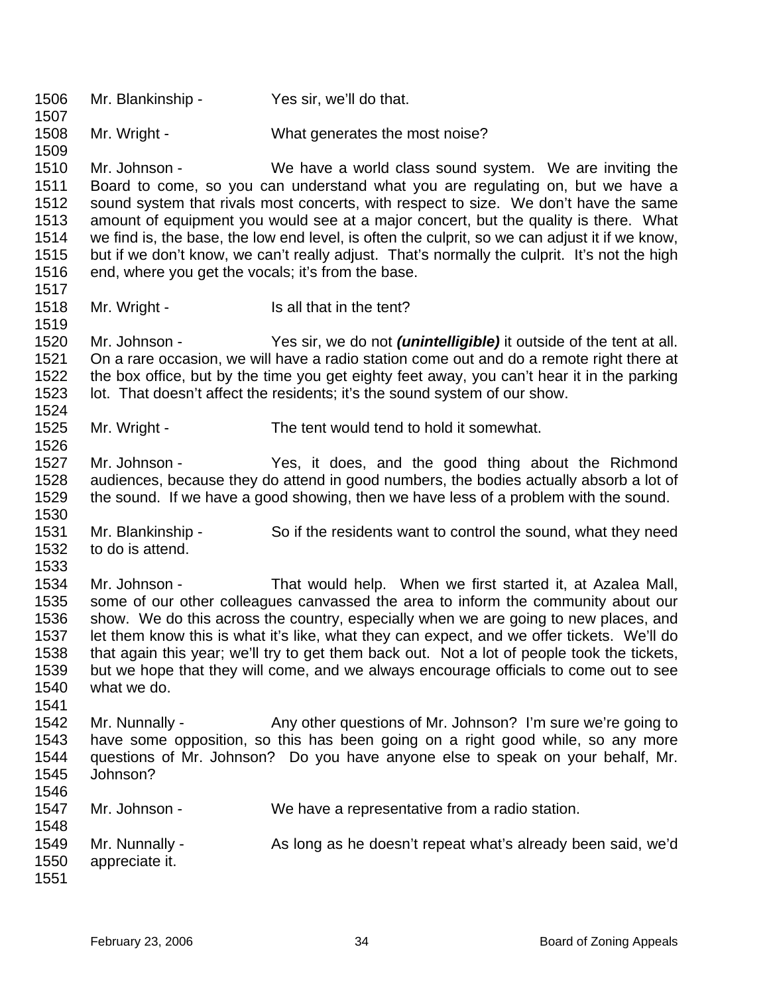1506 1507 1508 1509 1510 1511 1512 1513 1514 1515 1516 1517 1518 1519 1520 1521 1522 1523 1524 1525 1526 1527 1528 1529 1530 1531 1532 1533 1534 1535 1536 1537 1538 1539 1540 1541 1542 1543 1544 1545 1546 1547 1548 1549 1550 1551 Mr. Blankinship - Yes sir, we'll do that. Mr. Wright - What generates the most noise? Mr. Johnson - We have a world class sound system. We are inviting the Board to come, so you can understand what you are regulating on, but we have a sound system that rivals most concerts, with respect to size. We don't have the same amount of equipment you would see at a major concert, but the quality is there. What we find is, the base, the low end level, is often the culprit, so we can adjust it if we know, but if we don't know, we can't really adjust. That's normally the culprit. It's not the high end, where you get the vocals; it's from the base. Mr. Wright - Is all that in the tent? Mr. Johnson - Yes sir, we do not *(unintelligible)* it outside of the tent at all. On a rare occasion, we will have a radio station come out and do a remote right there at the box office, but by the time you get eighty feet away, you can't hear it in the parking lot. That doesn't affect the residents; it's the sound system of our show. Mr. Wright - The tent would tend to hold it somewhat. Mr. Johnson - Yes, it does, and the good thing about the Richmond audiences, because they do attend in good numbers, the bodies actually absorb a lot of the sound. If we have a good showing, then we have less of a problem with the sound. Mr. Blankinship - So if the residents want to control the sound, what they need to do is attend. Mr. Johnson - That would help. When we first started it, at Azalea Mall, some of our other colleagues canvassed the area to inform the community about our show. We do this across the country, especially when we are going to new places, and let them know this is what it's like, what they can expect, and we offer tickets. We'll do that again this year; we'll try to get them back out. Not a lot of people took the tickets, but we hope that they will come, and we always encourage officials to come out to see what we do. Mr. Nunnally - Any other questions of Mr. Johnson? I'm sure we're going to have some opposition, so this has been going on a right good while, so any more questions of Mr. Johnson? Do you have anyone else to speak on your behalf, Mr. Johnson? Mr. Johnson - We have a representative from a radio station. Mr. Nunnally - As long as he doesn't repeat what's already been said, we'd appreciate it.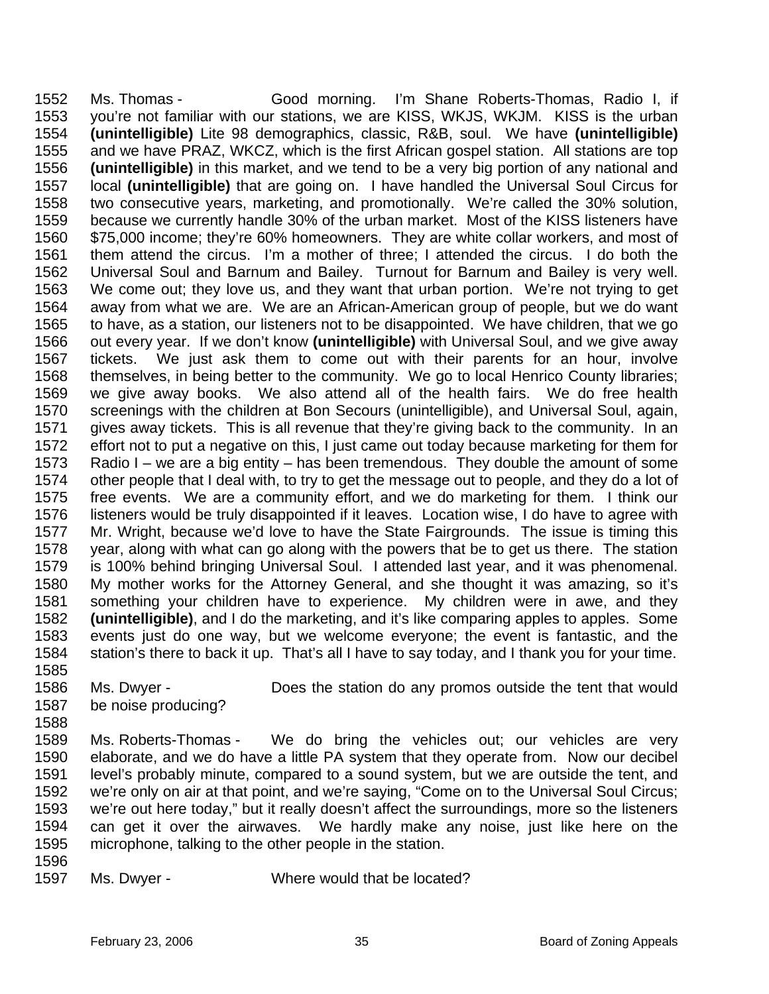1552 1553 1554 1555 1556 1557 1558 1559 1560 1561 1562 1563 1564 1565 1566 1567 1568 1569 1570 1571 1572 1573 1574 1575 1576 1577 1578 1579 1580 1581 1582 1583 1584 1585 Ms. Thomas - Good morning. I'm Shane Roberts-Thomas, Radio I, if you're not familiar with our stations, we are KISS, WKJS, WKJM. KISS is the urban **(unintelligible)** Lite 98 demographics, classic, R&B, soul. We have **(unintelligible)** and we have PRAZ, WKCZ, which is the first African gospel station. All stations are top **(unintelligible)** in this market, and we tend to be a very big portion of any national and local **(unintelligible)** that are going on. I have handled the Universal Soul Circus for two consecutive years, marketing, and promotionally. We're called the 30% solution, because we currently handle 30% of the urban market. Most of the KISS listeners have \$75,000 income; they're 60% homeowners. They are white collar workers, and most of them attend the circus. I'm a mother of three; I attended the circus. I do both the Universal Soul and Barnum and Bailey. Turnout for Barnum and Bailey is very well. We come out; they love us, and they want that urban portion. We're not trying to get away from what we are. We are an African-American group of people, but we do want to have, as a station, our listeners not to be disappointed. We have children, that we go out every year. If we don't know **(unintelligible)** with Universal Soul, and we give away tickets. We just ask them to come out with their parents for an hour, involve themselves, in being better to the community. We go to local Henrico County libraries; we give away books. We also attend all of the health fairs. We do free health screenings with the children at Bon Secours (unintelligible), and Universal Soul, again, gives away tickets. This is all revenue that they're giving back to the community. In an effort not to put a negative on this, I just came out today because marketing for them for Radio I – we are a big entity – has been tremendous. They double the amount of some other people that I deal with, to try to get the message out to people, and they do a lot of free events. We are a community effort, and we do marketing for them. I think our listeners would be truly disappointed if it leaves. Location wise, I do have to agree with Mr. Wright, because we'd love to have the State Fairgrounds. The issue is timing this year, along with what can go along with the powers that be to get us there. The station is 100% behind bringing Universal Soul. I attended last year, and it was phenomenal. My mother works for the Attorney General, and she thought it was amazing, so it's something your children have to experience. My children were in awe, and they **(unintelligible)**, and I do the marketing, and it's like comparing apples to apples. Some events just do one way, but we welcome everyone; the event is fantastic, and the station's there to back it up. That's all I have to say today, and I thank you for your time.

- 1586 1587 Ms. Dwyer - **Does the station do any promos outside the tent that would** be noise producing?
- 1589 1590 1591 1592 1593 1594 1595 Ms. Roberts-Thomas - We do bring the vehicles out; our vehicles are very elaborate, and we do have a little PA system that they operate from. Now our decibel level's probably minute, compared to a sound system, but we are outside the tent, and we're only on air at that point, and we're saying, "Come on to the Universal Soul Circus; we're out here today," but it really doesn't affect the surroundings, more so the listeners can get it over the airwaves. We hardly make any noise, just like here on the microphone, talking to the other people in the station.
- 1596

1588

1597

Ms. Dwyer - Where would that be located?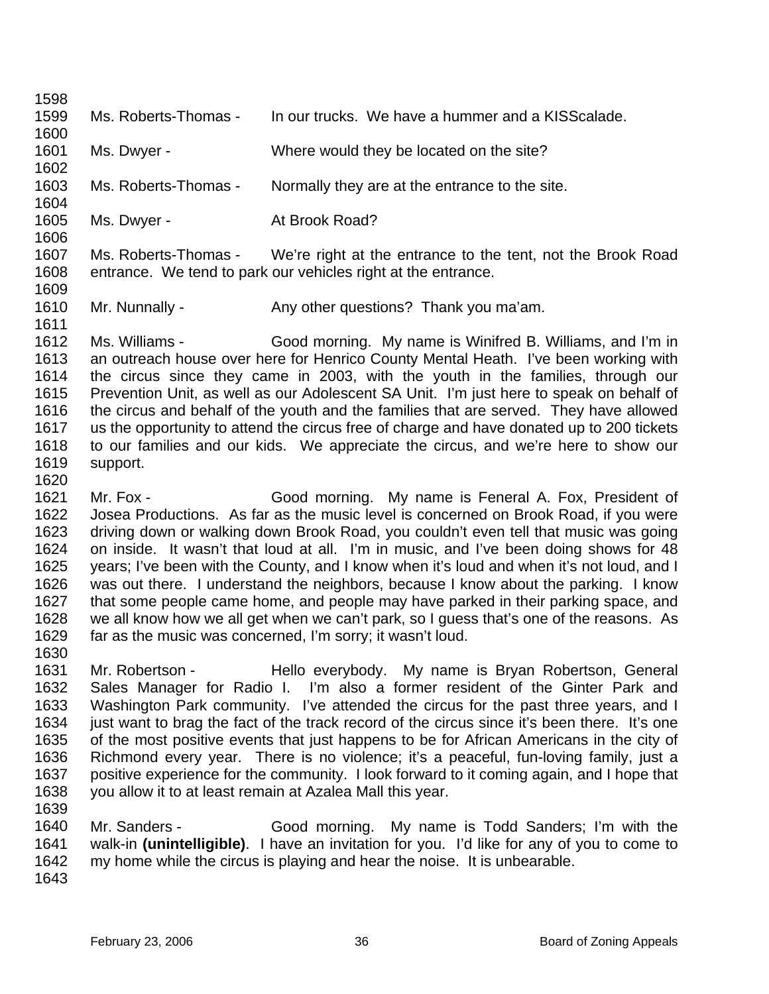| 1598         |                      |                                                                                              |
|--------------|----------------------|----------------------------------------------------------------------------------------------|
| 1599         | Ms. Roberts-Thomas - | In our trucks. We have a hummer and a KISS calade.                                           |
| 1600         |                      |                                                                                              |
| 1601         | Ms. Dwyer -          | Where would they be located on the site?                                                     |
| 1602         |                      |                                                                                              |
| 1603         | Ms. Roberts-Thomas - | Normally they are at the entrance to the site.                                               |
| 1604         |                      |                                                                                              |
| 1605         | Ms. Dwyer -          | At Brook Road?                                                                               |
| 1606         |                      |                                                                                              |
| 1607         | Ms. Roberts-Thomas - | We're right at the entrance to the tent, not the Brook Road                                  |
| 1608         |                      | entrance. We tend to park our vehicles right at the entrance.                                |
| 1609         |                      |                                                                                              |
| 1610         | Mr. Nunnally -       | Any other questions? Thank you ma'am.                                                        |
| 1611         |                      |                                                                                              |
| 1612         | Ms. Williams -       | Good morning. My name is Winifred B. Williams, and I'm in                                    |
| 1613         |                      | an outreach house over here for Henrico County Mental Heath. I've been working with          |
| 1614         |                      | the circus since they came in 2003, with the youth in the families, through our              |
| 1615         |                      | Prevention Unit, as well as our Adolescent SA Unit. I'm just here to speak on behalf of      |
| 1616         |                      | the circus and behalf of the youth and the families that are served. They have allowed       |
| 1617         |                      | us the opportunity to attend the circus free of charge and have donated up to 200 tickets    |
| 1618<br>1619 |                      | to our families and our kids. We appreciate the circus, and we're here to show our           |
| 1620         | support.             |                                                                                              |
| 1621         | Mr. Fox -            | Good morning. My name is Feneral A. Fox, President of                                        |
| 1622         |                      | Josea Productions. As far as the music level is concerned on Brook Road, if you were         |
| 1623         |                      | driving down or walking down Brook Road, you couldn't even tell that music was going         |
| 1624         |                      | on inside. It wasn't that loud at all. I'm in music, and I've been doing shows for 48        |
| 1625         |                      | years; I've been with the County, and I know when it's loud and when it's not loud, and I    |
| 1626         |                      | was out there. I understand the neighbors, because I know about the parking. I know          |
| 1627         |                      | that some people came home, and people may have parked in their parking space, and           |
| 1628         |                      | we all know how we all get when we can't park, so I guess that's one of the reasons. As      |
| 1629         |                      | far as the music was concerned, I'm sorry; it wasn't loud.                                   |
| 1630         |                      |                                                                                              |
| 1631         | Mr. Robertson -      | Hello everybody. My name is Bryan Robertson, General                                         |
| 1632         |                      | Sales Manager for Radio I. I'm also a former resident of the Ginter Park and                 |
| 1633         |                      | Washington Park community. I've attended the circus for the past three years, and I          |
| 1634         |                      | just want to brag the fact of the track record of the circus since it's been there. It's one |
| 1635         |                      | of the most positive events that just happens to be for African Americans in the city of     |
| 1636         |                      | Richmond every year. There is no violence; it's a peaceful, fun-loving family, just a        |
| 1637         |                      | positive experience for the community. I look forward to it coming again, and I hope that    |
| 1638         |                      | you allow it to at least remain at Azalea Mall this year.                                    |
| 1639         |                      |                                                                                              |
| 1640         | Mr. Sanders -        | Good morning. My name is Todd Sanders; I'm with the                                          |
| 1641         |                      | walk-in (unintelligible). I have an invitation for you. I'd like for any of you to come to   |
| 1642         |                      | my home while the circus is playing and hear the noise. It is unbearable.                    |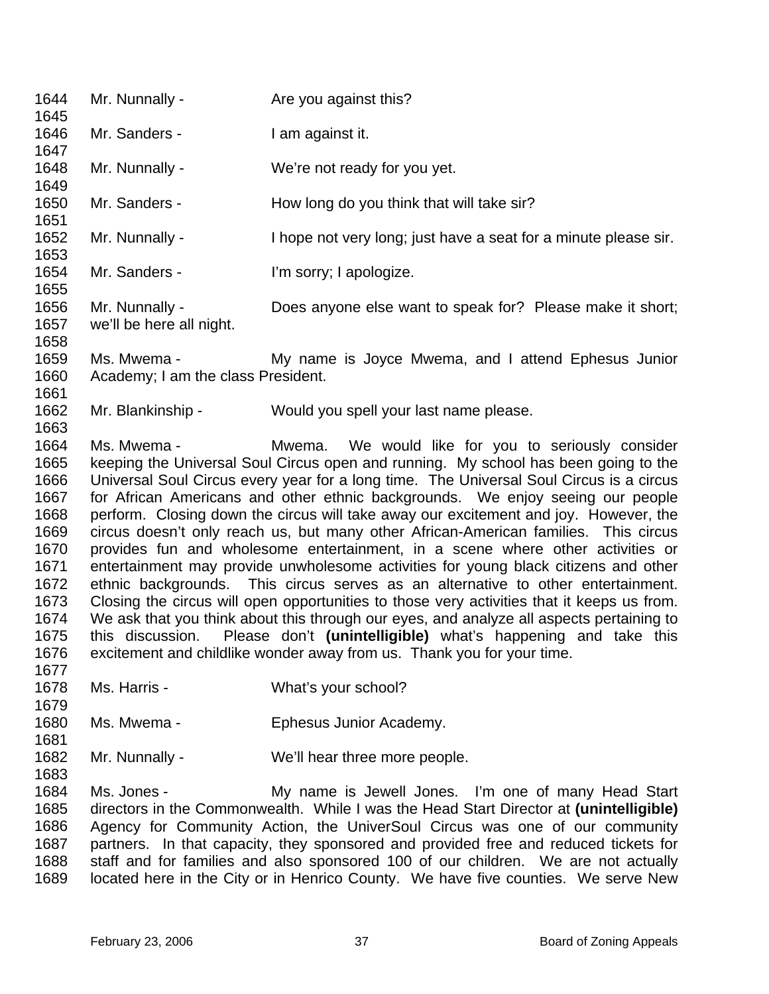1644 1645 1646 1647 1648 1649 1650 1651 1652 1653 1654 1655 1656 1657 1658 1659 1660 1661 1662 1663 1664 1665 1666 1667 1668 1669 1670 1671 1672 1673 1674 1675 1676 1677 1678 1679 1680 1681 1682 1683 1684 1685 1686 Mr. Nunnally - The you against this? Mr. Sanders - I am against it. Mr. Nunnally - We're not ready for you yet. Mr. Sanders - How long do you think that will take sir? Mr. Nunnally - Thope not very long; just have a seat for a minute please sir. Mr. Sanders - I'm sorry; I apologize. Mr. Nunnally - Does anyone else want to speak for? Please make it short; we'll be here all night. Ms. Mwema - The My name is Joyce Mwema, and I attend Ephesus Junior Academy; I am the class President. Mr. Blankinship - Would you spell your last name please. Ms. Mwema - Mwema. We would like for you to seriously consider keeping the Universal Soul Circus open and running. My school has been going to the Universal Soul Circus every year for a long time. The Universal Soul Circus is a circus for African Americans and other ethnic backgrounds. We enjoy seeing our people perform. Closing down the circus will take away our excitement and joy. However, the circus doesn't only reach us, but many other African-American families. This circus provides fun and wholesome entertainment, in a scene where other activities or entertainment may provide unwholesome activities for young black citizens and other ethnic backgrounds. This circus serves as an alternative to other entertainment. Closing the circus will open opportunities to those very activities that it keeps us from. We ask that you think about this through our eyes, and analyze all aspects pertaining to this discussion. Please don't **(unintelligible)** what's happening and take this excitement and childlike wonder away from us. Thank you for your time. Ms. Harris - What's your school? Ms. Mwema - Ephesus Junior Academy. Mr. Nunnally - We'll hear three more people. Ms. Jones - My name is Jewell Jones. I'm one of many Head Start directors in the Commonwealth. While I was the Head Start Director at **(unintelligible)** Agency for Community Action, the UniverSoul Circus was one of our community

1687 1688 1689 partners. In that capacity, they sponsored and provided free and reduced tickets for staff and for families and also sponsored 100 of our children. We are not actually located here in the City or in Henrico County. We have five counties. We serve New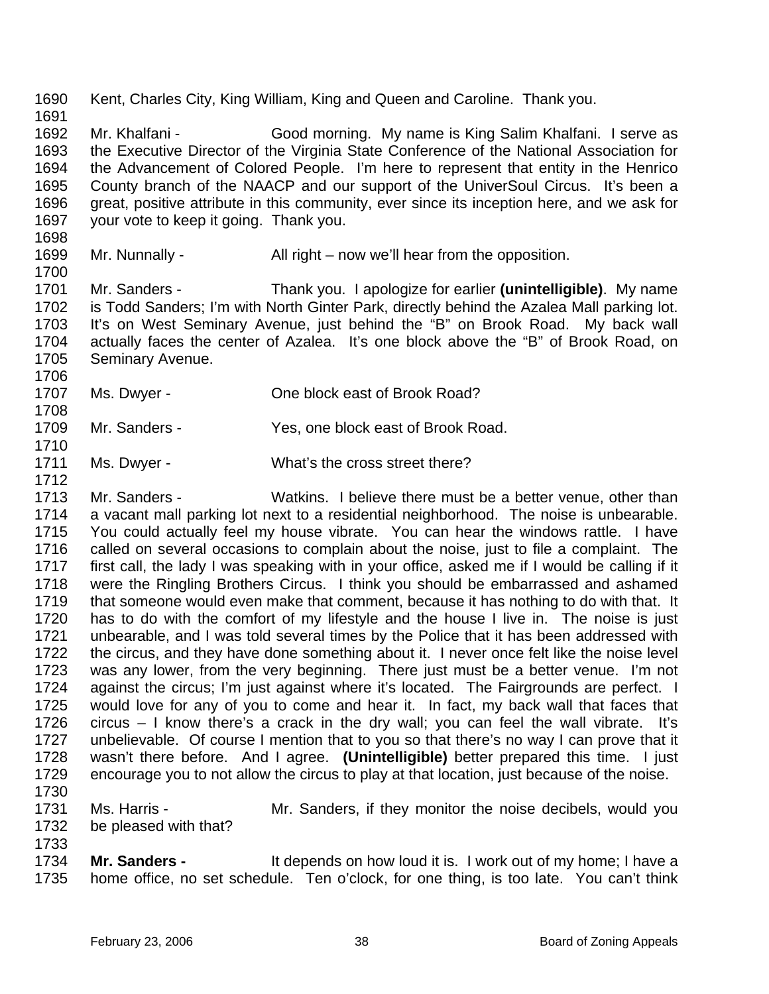1690 1691 1692 1693 1694 1695 1696 1697 1698 Kent, Charles City, King William, King and Queen and Caroline. Thank you. Mr. Khalfani - Good morning. My name is King Salim Khalfani. I serve as the Executive Director of the Virginia State Conference of the National Association for the Advancement of Colored People. I'm here to represent that entity in the Henrico County branch of the NAACP and our support of the UniverSoul Circus. It's been a great, positive attribute in this community, ever since its inception here, and we ask for your vote to keep it going. Thank you.

1699 1700 Mr. Nunnally - All right – now we'll hear from the opposition.

1701 1702 1703 1704 1705 Mr. Sanders - Thank you. I apologize for earlier **(unintelligible)**. My name is Todd Sanders; I'm with North Ginter Park, directly behind the Azalea Mall parking lot. It's on West Seminary Avenue, just behind the "B" on Brook Road. My back wall actually faces the center of Azalea. It's one block above the "B" of Brook Road, on Seminary Avenue.

- 1707 Ms. Dwyer - Che block east of Brook Road?
- 1709 Mr. Sanders - Yes, one block east of Brook Road.
- 1711 Ms. Dwyer - What's the cross street there?
- 1713 1714 1715 1716 1717 1718 1719 1720 1721 1722 1723 1724 1725 1726 1727 1728 1729 Mr. Sanders - Watkins. I believe there must be a better venue, other than a vacant mall parking lot next to a residential neighborhood. The noise is unbearable. You could actually feel my house vibrate. You can hear the windows rattle. I have called on several occasions to complain about the noise, just to file a complaint. The first call, the lady I was speaking with in your office, asked me if I would be calling if it were the Ringling Brothers Circus. I think you should be embarrassed and ashamed that someone would even make that comment, because it has nothing to do with that. It has to do with the comfort of my lifestyle and the house I live in. The noise is just unbearable, and I was told several times by the Police that it has been addressed with the circus, and they have done something about it. I never once felt like the noise level was any lower, from the very beginning. There just must be a better venue. I'm not against the circus; I'm just against where it's located. The Fairgrounds are perfect. I would love for any of you to come and hear it. In fact, my back wall that faces that circus – I know there's a crack in the dry wall; you can feel the wall vibrate. It's unbelievable. Of course I mention that to you so that there's no way I can prove that it wasn't there before. And I agree. **(Unintelligible)** better prepared this time. I just encourage you to not allow the circus to play at that location, just because of the noise.
- 1730

1733

1706

1708

1710

- 1731 1732 Ms. Harris - The Mr. Sanders, if they monitor the noise decibels, would you be pleased with that?
- 1734 1735 **Mr. Sanders -** It depends on how loud it is. I work out of my home; I have a home office, no set schedule. Ten o'clock, for one thing, is too late. You can't think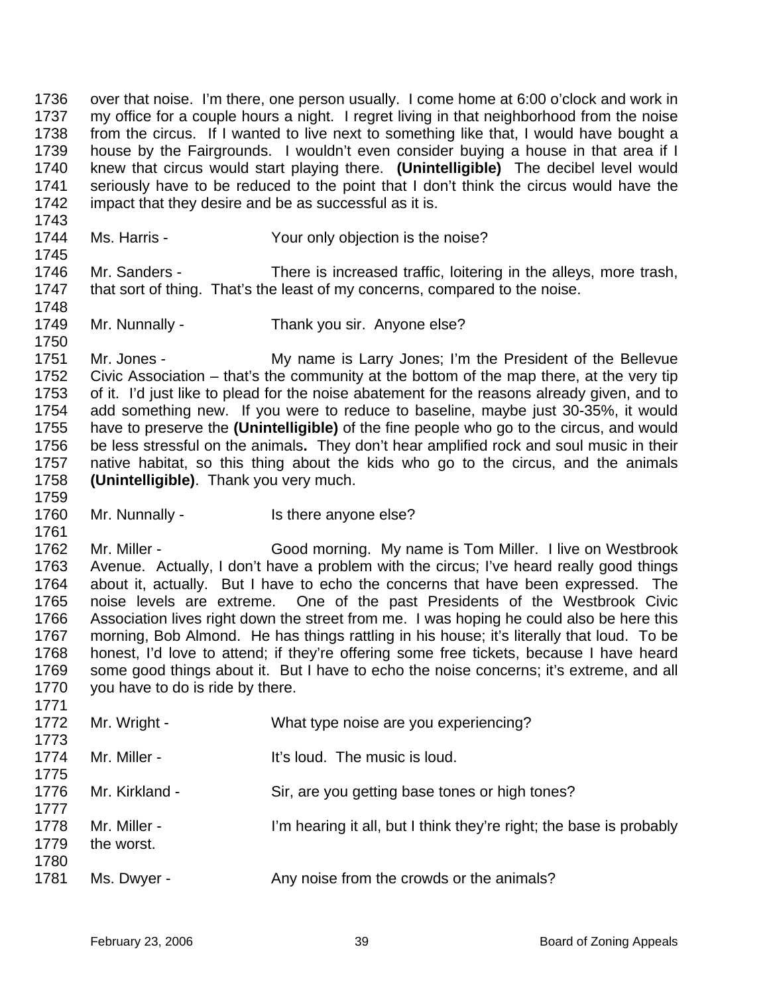1736 1737 1738 1739 1740 1741 1742 over that noise. I'm there, one person usually. I come home at 6:00 o'clock and work in my office for a couple hours a night. I regret living in that neighborhood from the noise from the circus. If I wanted to live next to something like that, I would have bought a house by the Fairgrounds. I wouldn't even consider buying a house in that area if I knew that circus would start playing there. **(Unintelligible)** The decibel level would seriously have to be reduced to the point that I don't think the circus would have the impact that they desire and be as successful as it is.

1743

1745

1750

1759

1761

1771

1744

Ms. Harris - The Your only objection is the noise?

1746 1747 1748 Mr. Sanders - There is increased traffic, loitering in the alleys, more trash, that sort of thing. That's the least of my concerns, compared to the noise.

1749 Mr. Nunnally - Thank you sir. Anyone else?

1751 1752 1753 1754 1755 1756 1757 1758 Mr. Jones - My name is Larry Jones; I'm the President of the Bellevue Civic Association – that's the community at the bottom of the map there, at the very tip of it. I'd just like to plead for the noise abatement for the reasons already given, and to add something new. If you were to reduce to baseline, maybe just 30-35%, it would have to preserve the **(Unintelligible)** of the fine people who go to the circus, and would be less stressful on the animals**.** They don't hear amplified rock and soul music in their native habitat, so this thing about the kids who go to the circus, and the animals **(Unintelligible)**. Thank you very much.

1760 Mr. Nunnally - Is there anyone else?

1762 1763 1764 1765 1766 1767 1768 1769 1770 Mr. Miller - Good morning. My name is Tom Miller. I live on Westbrook Avenue. Actually, I don't have a problem with the circus; I've heard really good things about it, actually. But I have to echo the concerns that have been expressed. The noise levels are extreme. One of the past Presidents of the Westbrook Civic Association lives right down the street from me. I was hoping he could also be here this morning, Bob Almond. He has things rattling in his house; it's literally that loud. To be honest, I'd love to attend; if they're offering some free tickets, because I have heard some good things about it. But I have to echo the noise concerns; it's extreme, and all you have to do is ride by there.

| .<br>1772    | Mr. Wright -   | What type noise are you experiencing?                               |
|--------------|----------------|---------------------------------------------------------------------|
| 1773         |                |                                                                     |
| 1774         | Mr. Miller -   | It's loud. The music is loud.                                       |
| 1775         |                |                                                                     |
| 1776<br>1777 | Mr. Kirkland - | Sir, are you getting base tones or high tones?                      |
| 1778         | Mr. Miller -   | I'm hearing it all, but I think they're right; the base is probably |
| 1779         | the worst.     |                                                                     |
| 1780         |                |                                                                     |
| 1781         | Ms. Dwyer -    | Any noise from the crowds or the animals?                           |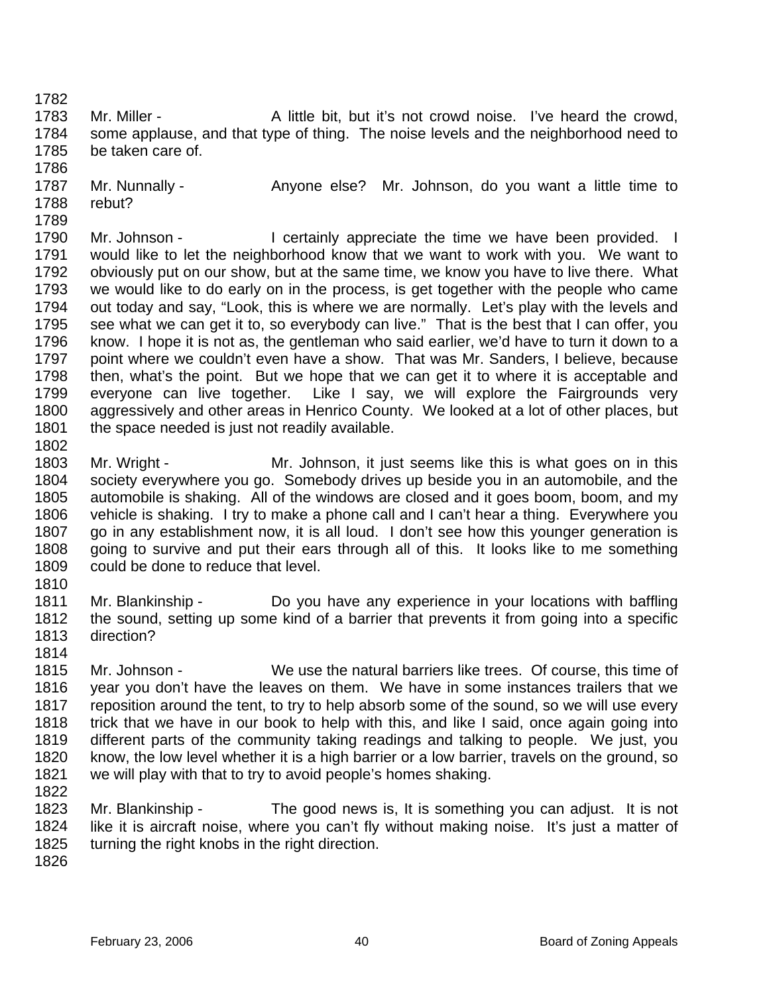1783 1784 1785 Mr. Miller - A little bit, but it's not crowd noise. I've heard the crowd, some applause, and that type of thing. The noise levels and the neighborhood need to be taken care of.

- 1787 1788 Mr. Nunnally - Anyone else? Mr. Johnson, do you want a little time to rebut?
- 1789 1790 1791 1792 1793 1794 1795 1796 1797 1798 1799 1800 1801 Mr. Johnson - I certainly appreciate the time we have been provided. I would like to let the neighborhood know that we want to work with you. We want to obviously put on our show, but at the same time, we know you have to live there. What we would like to do early on in the process, is get together with the people who came out today and say, "Look, this is where we are normally. Let's play with the levels and see what we can get it to, so everybody can live." That is the best that I can offer, you know. I hope it is not as, the gentleman who said earlier, we'd have to turn it down to a point where we couldn't even have a show. That was Mr. Sanders, I believe, because then, what's the point. But we hope that we can get it to where it is acceptable and everyone can live together. Like I say, we will explore the Fairgrounds very aggressively and other areas in Henrico County. We looked at a lot of other places, but the space needed is just not readily available.
- 1802

1782

- 1803 1804 1805 1806 1807 1808 1809 Mr. Wright - Mr. Johnson, it just seems like this is what goes on in this society everywhere you go. Somebody drives up beside you in an automobile, and the automobile is shaking. All of the windows are closed and it goes boom, boom, and my vehicle is shaking. I try to make a phone call and I can't hear a thing. Everywhere you go in any establishment now, it is all loud. I don't see how this younger generation is going to survive and put their ears through all of this. It looks like to me something could be done to reduce that level.
- 1810
- 1811 1812 1813 Mr. Blankinship - Do you have any experience in your locations with baffling the sound, setting up some kind of a barrier that prevents it from going into a specific direction?
- 1814
- 1815 1816 1817 1818 1819 1820 1821 1822 Mr. Johnson - We use the natural barriers like trees. Of course, this time of year you don't have the leaves on them. We have in some instances trailers that we reposition around the tent, to try to help absorb some of the sound, so we will use every trick that we have in our book to help with this, and like I said, once again going into different parts of the community taking readings and talking to people. We just, you know, the low level whether it is a high barrier or a low barrier, travels on the ground, so we will play with that to try to avoid people's homes shaking.
- 1823 1824 1825 Mr. Blankinship - The good news is, It is something you can adjust. It is not like it is aircraft noise, where you can't fly without making noise. It's just a matter of turning the right knobs in the right direction.
- 1826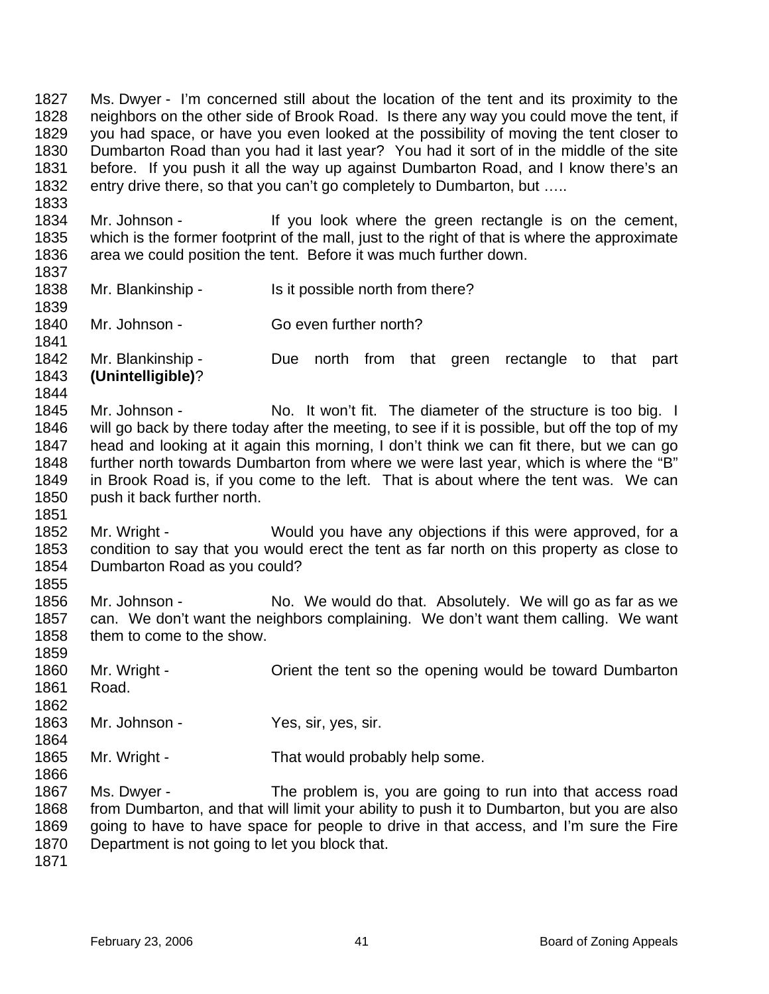1827 1828 1829 1830 1831 1832 Ms. Dwyer - I'm concerned still about the location of the tent and its proximity to the neighbors on the other side of Brook Road. Is there any way you could move the tent, if you had space, or have you even looked at the possibility of moving the tent closer to Dumbarton Road than you had it last year? You had it sort of in the middle of the site before. If you push it all the way up against Dumbarton Road, and I know there's an entry drive there, so that you can't go completely to Dumbarton, but .....

1834 1835 1836 Mr. Johnson - If you look where the green rectangle is on the cement, which is the former footprint of the mall, just to the right of that is where the approximate area we could position the tent. Before it was much further down.

1837 1838

1839

1841

1844

1851

1855

1833

Mr. Blankinship - Is it possible north from there?

1840 Mr. Johnson - Go even further north?

1842 1843 Mr. Blankinship - Due north from that green rectangle to that part **(Unintelligible)**?

- 1845 1846 1847 1848 1849 1850 Mr. Johnson - No. It won't fit. The diameter of the structure is too big. I will go back by there today after the meeting, to see if it is possible, but off the top of my head and looking at it again this morning, I don't think we can fit there, but we can go further north towards Dumbarton from where we were last year, which is where the "B" in Brook Road is, if you come to the left. That is about where the tent was. We can push it back further north.
- 1852 1853 1854 Mr. Wright - Would you have any objections if this were approved, for a condition to say that you would erect the tent as far north on this property as close to Dumbarton Road as you could?
- 1856 1857 1858 Mr. Johnson - No. We would do that. Absolutely. We will go as far as we can. We don't want the neighbors complaining. We don't want them calling. We want them to come to the show.
- 1859 1860 1861 1862 Mr. Wright - Crient the tent so the opening would be toward Dumbarton Road.
- 1863 Mr. Johnson - Yes, sir, yes, sir.
- 1865 Mr. Wright - That would probably help some.

1867 1868 1869 1870 Ms. Dwyer - The problem is, you are going to run into that access road from Dumbarton, and that will limit your ability to push it to Dumbarton, but you are also going to have to have space for people to drive in that access, and I'm sure the Fire Department is not going to let you block that.

1871

1864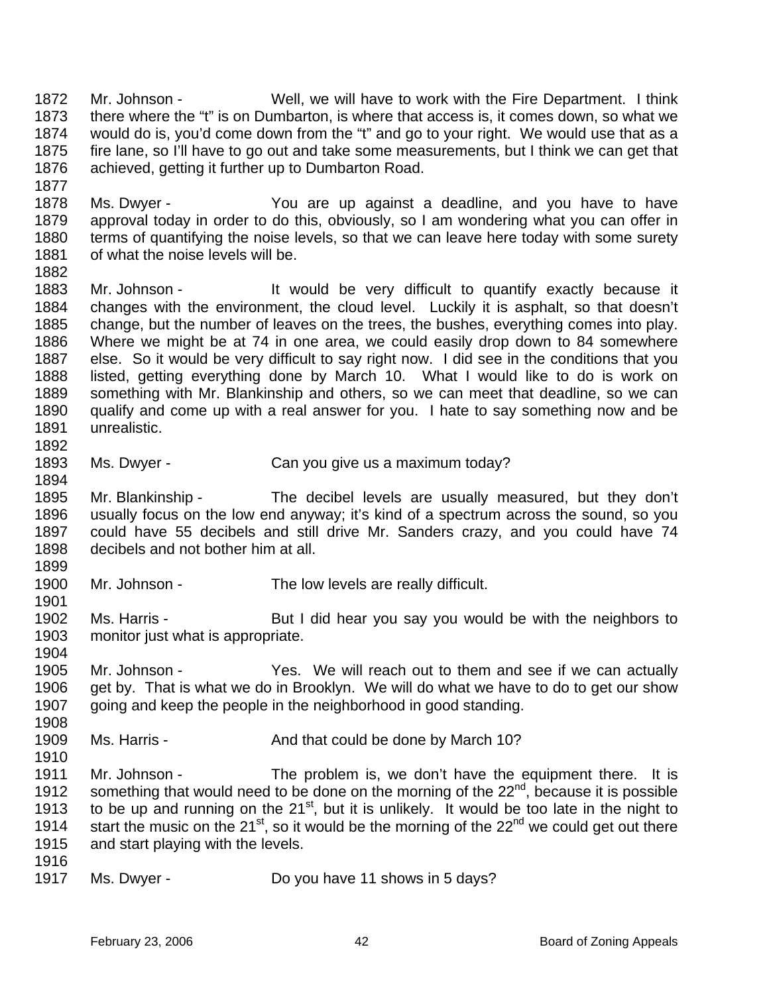1872 1873 1874 1875 1876 Mr. Johnson - Well, we will have to work with the Fire Department. I think there where the "t" is on Dumbarton, is where that access is, it comes down, so what we would do is, you'd come down from the "t" and go to your right. We would use that as a fire lane, so I'll have to go out and take some measurements, but I think we can get that achieved, getting it further up to Dumbarton Road.

1878 1879 1880 1881 Ms. Dwyer - You are up against a deadline, and you have to have approval today in order to do this, obviously, so I am wondering what you can offer in terms of quantifying the noise levels, so that we can leave here today with some surety of what the noise levels will be.

1882

1894

1899

1901

1904

1877

1883 1884 1885 1886 1887 1888 1889 1890 1891 1892 Mr. Johnson - It would be very difficult to quantify exactly because it changes with the environment, the cloud level. Luckily it is asphalt, so that doesn't change, but the number of leaves on the trees, the bushes, everything comes into play. Where we might be at 74 in one area, we could easily drop down to 84 somewhere else. So it would be very difficult to say right now. I did see in the conditions that you listed, getting everything done by March 10. What I would like to do is work on something with Mr. Blankinship and others, so we can meet that deadline, so we can qualify and come up with a real answer for you. I hate to say something now and be unrealistic.

1893 Ms. Dwyer - Can you give us a maximum today?

1895 1896 1897 1898 Mr. Blankinship - The decibel levels are usually measured, but they don't usually focus on the low end anyway; it's kind of a spectrum across the sound, so you could have 55 decibels and still drive Mr. Sanders crazy, and you could have 74 decibels and not bother him at all.

1900 Mr. Johnson - The low levels are really difficult.

1902 1903 Ms. Harris - But I did hear you say you would be with the neighbors to monitor just what is appropriate.

1905 1906 1907 1908 Mr. Johnson - Yes. We will reach out to them and see if we can actually get by. That is what we do in Brooklyn. We will do what we have to do to get our show going and keep the people in the neighborhood in good standing.

1909 1910 Ms. Harris - The And that could be done by March 10?

1911 1912 1913 1914 1915 Mr. Johnson - The problem is, we don't have the equipment there. It is something that would need to be done on the morning of the 22<sup>nd</sup>, because it is possible to be up and running on the  $21<sup>st</sup>$ , but it is unlikely. It would be too late in the night to start the music on the  $21^{st}$ , so it would be the morning of the  $22^{nd}$  we could get out there and start playing with the levels.

- 1916
- 1917 Ms. Dwyer - Do you have 11 shows in 5 days?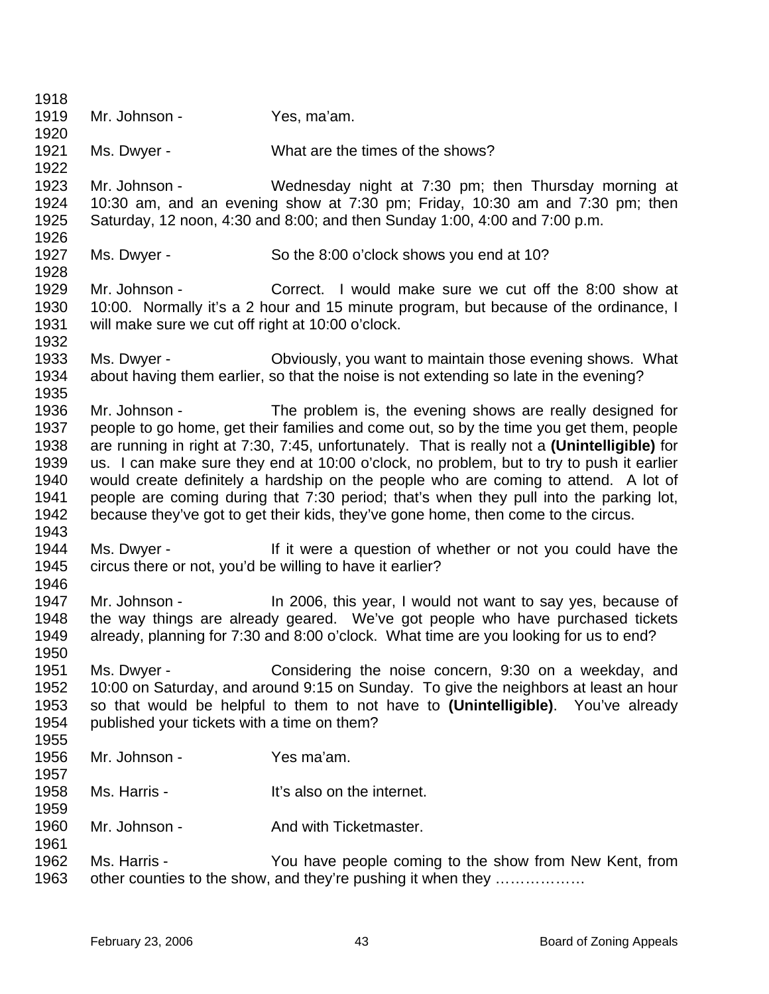| 1918 |                                                                                                                |                                                                                              |
|------|----------------------------------------------------------------------------------------------------------------|----------------------------------------------------------------------------------------------|
| 1919 | Mr. Johnson -                                                                                                  | Yes, ma'am.                                                                                  |
| 1920 |                                                                                                                |                                                                                              |
| 1921 | Ms. Dwyer -                                                                                                    | What are the times of the shows?                                                             |
| 1922 |                                                                                                                |                                                                                              |
| 1923 | Mr. Johnson -                                                                                                  | Wednesday night at 7:30 pm; then Thursday morning at                                         |
| 1924 |                                                                                                                | 10:30 am, and an evening show at 7:30 pm; Friday, 10:30 am and 7:30 pm; then                 |
| 1925 |                                                                                                                | Saturday, 12 noon, 4:30 and 8:00; and then Sunday 1:00, 4:00 and 7:00 p.m.                   |
| 1926 |                                                                                                                |                                                                                              |
| 1927 | Ms. Dwyer -                                                                                                    | So the 8:00 o'clock shows you end at 10?                                                     |
| 1928 |                                                                                                                |                                                                                              |
| 1929 | Mr. Johnson -                                                                                                  | Correct. I would make sure we cut off the 8:00 show at                                       |
| 1930 |                                                                                                                | 10:00. Normally it's a 2 hour and 15 minute program, but because of the ordinance, I         |
| 1931 | will make sure we cut off right at 10:00 o'clock.                                                              |                                                                                              |
| 1932 |                                                                                                                |                                                                                              |
| 1933 | Ms. Dwyer -                                                                                                    | Obviously, you want to maintain those evening shows. What                                    |
| 1934 |                                                                                                                | about having them earlier, so that the noise is not extending so late in the evening?        |
| 1935 |                                                                                                                |                                                                                              |
| 1936 | Mr. Johnson - The Management of the Management of the Management of the Management of the Management of the Ma | The problem is, the evening shows are really designed for                                    |
| 1937 |                                                                                                                | people to go home, get their families and come out, so by the time you get them, people      |
| 1938 |                                                                                                                | are running in right at 7:30, 7:45, unfortunately. That is really not a (Unintelligible) for |
| 1939 |                                                                                                                | us. I can make sure they end at 10:00 o'clock, no problem, but to try to push it earlier     |
| 1940 |                                                                                                                | would create definitely a hardship on the people who are coming to attend. A lot of          |
| 1941 |                                                                                                                | people are coming during that 7:30 period; that's when they pull into the parking lot,       |
| 1942 |                                                                                                                | because they've got to get their kids, they've gone home, then come to the circus.           |
| 1943 |                                                                                                                |                                                                                              |
| 1944 | Ms. Dwyer -                                                                                                    | If it were a question of whether or not you could have the                                   |
| 1945 |                                                                                                                | circus there or not, you'd be willing to have it earlier?                                    |
| 1946 |                                                                                                                |                                                                                              |
| 1947 | Mr. Johnson -                                                                                                  | In 2006, this year, I would not want to say yes, because of                                  |
| 1948 |                                                                                                                | the way things are already geared. We've got people who have purchased tickets               |
| 1949 |                                                                                                                | already, planning for 7:30 and 8:00 o'clock. What time are you looking for us to end?        |
| 1950 |                                                                                                                |                                                                                              |
| 1951 | Ms. Dwyer -                                                                                                    | Considering the noise concern, 9:30 on a weekday, and                                        |
| 1952 |                                                                                                                | 10:00 on Saturday, and around 9:15 on Sunday. To give the neighbors at least an hour         |
| 1953 |                                                                                                                | so that would be helpful to them to not have to (Unintelligible). You've already             |
| 1954 | published your tickets with a time on them?                                                                    |                                                                                              |
| 1955 |                                                                                                                |                                                                                              |
| 1956 | Mr. Johnson -                                                                                                  | Yes ma'am.                                                                                   |
| 1957 |                                                                                                                |                                                                                              |
| 1958 | Ms. Harris -                                                                                                   | It's also on the internet.                                                                   |
| 1959 |                                                                                                                |                                                                                              |
| 1960 | Mr. Johnson -                                                                                                  | And with Ticketmaster.                                                                       |
| 1961 |                                                                                                                |                                                                                              |
| 1962 | Ms. Harris -                                                                                                   | You have people coming to the show from New Kent, from                                       |
| 1963 |                                                                                                                | other counties to the show, and they're pushing it when they                                 |
|      |                                                                                                                |                                                                                              |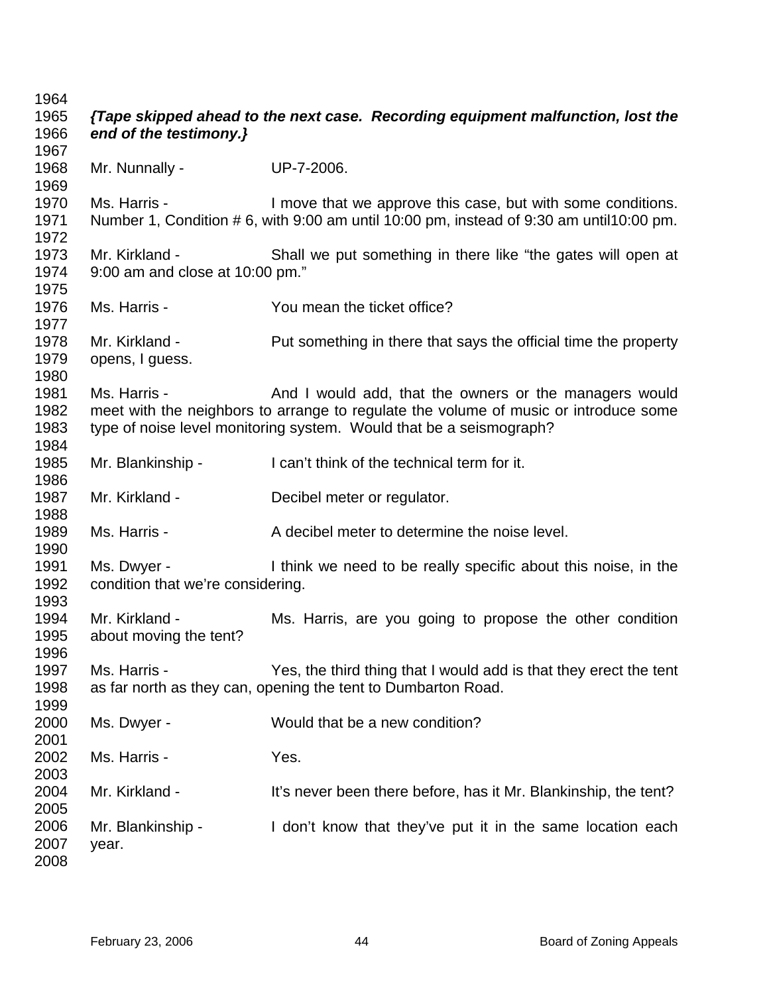| 1964<br>1965<br>1966         | end of the testimony.}                            | {Tape skipped ahead to the next case. Recording equipment malfunction, lost the                                                                                                                                       |
|------------------------------|---------------------------------------------------|-----------------------------------------------------------------------------------------------------------------------------------------------------------------------------------------------------------------------|
| 1967<br>1968                 | Mr. Nunnally -                                    | UP-7-2006.                                                                                                                                                                                                            |
| 1969<br>1970<br>1971<br>1972 | Ms. Harris -                                      | I move that we approve this case, but with some conditions.<br>Number 1, Condition # 6, with 9:00 am until 10:00 pm, instead of 9:30 am until10:00 pm.                                                                |
| 1973<br>1974<br>1975         | Mr. Kirkland -<br>9:00 am and close at 10:00 pm." | Shall we put something in there like "the gates will open at                                                                                                                                                          |
| 1976<br>1977                 | Ms. Harris -                                      | You mean the ticket office?                                                                                                                                                                                           |
| 1978<br>1979<br>1980         | Mr. Kirkland -<br>opens, I guess.                 | Put something in there that says the official time the property                                                                                                                                                       |
| 1981<br>1982<br>1983<br>1984 | Ms. Harris -                                      | And I would add, that the owners or the managers would<br>meet with the neighbors to arrange to regulate the volume of music or introduce some<br>type of noise level monitoring system. Would that be a seismograph? |
| 1985<br>1986                 | Mr. Blankinship -                                 | I can't think of the technical term for it.                                                                                                                                                                           |
| 1987<br>1988                 | Mr. Kirkland -                                    | Decibel meter or regulator.                                                                                                                                                                                           |
| 1989<br>1990                 | Ms. Harris -                                      | A decibel meter to determine the noise level.                                                                                                                                                                         |
| 1991<br>1992<br>1993         | Ms. Dwyer -<br>condition that we're considering.  | I think we need to be really specific about this noise, in the                                                                                                                                                        |
| 1994<br>1995<br>1996         | Mr. Kirkland -<br>about moving the tent?          | Ms. Harris, are you going to propose the other condition                                                                                                                                                              |
| 1997<br>1998<br>1999         | Ms. Harris -                                      | Yes, the third thing that I would add is that they erect the tent<br>as far north as they can, opening the tent to Dumbarton Road.                                                                                    |
| 2000<br>2001                 | Ms. Dwyer -                                       | Would that be a new condition?                                                                                                                                                                                        |
| 2002<br>2003                 | Ms. Harris -                                      | Yes.                                                                                                                                                                                                                  |
| 2004<br>2005                 | Mr. Kirkland -                                    | It's never been there before, has it Mr. Blankinship, the tent?                                                                                                                                                       |
| 2006<br>2007<br>2008         | Mr. Blankinship -<br>year.                        | I don't know that they've put it in the same location each                                                                                                                                                            |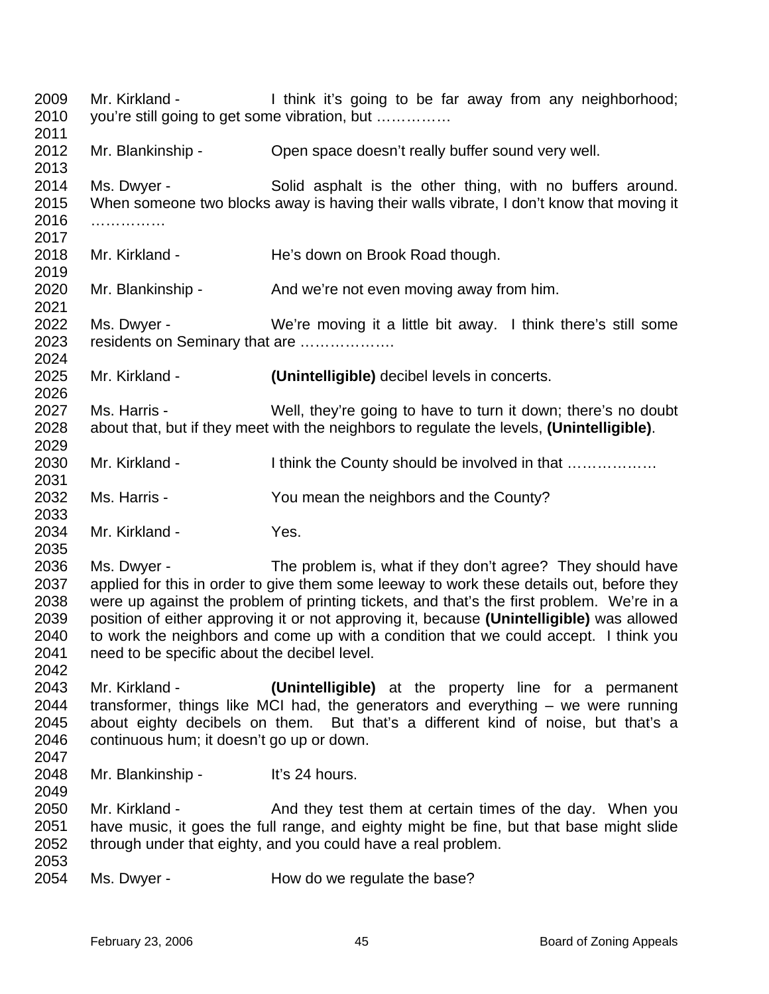2009 2010 2011 2012 2013 2014 2015 2016 2017 2018 2019 2020 2021 2022 2023 2024 2025 2026 2027 2028 2029 2030 2031 2032 2033 2034 2035 2036 2037 2038 2039 2040 2041 2042 2043 2044 2045 2046 2047 2048 2049 2050 2051 2052 2053 2054 Mr. Kirkland - I think it's going to be far away from any neighborhood; you're still going to get some vibration, but …………… Mr. Blankinship - Open space doesn't really buffer sound very well. Ms. Dwyer - Solid asphalt is the other thing, with no buffers around. When someone two blocks away is having their walls vibrate, I don't know that moving it …………… Mr. Kirkland - He's down on Brook Road though. Mr. Blankinship - And we're not even moving away from him. Ms. Dwyer - We're moving it a little bit away. I think there's still some residents on Seminary that are ………………. Mr. Kirkland - **(Unintelligible)** decibel levels in concerts. Ms. Harris - Well, they're going to have to turn it down; there's no doubt about that, but if they meet with the neighbors to regulate the levels, **(Unintelligible)**. Mr. Kirkland - I think the County should be involved in that .................. Ms. Harris - The You mean the neighbors and the County? Mr. Kirkland - Yes. Ms. Dwyer - The problem is, what if they don't agree? They should have applied for this in order to give them some leeway to work these details out, before they were up against the problem of printing tickets, and that's the first problem. We're in a position of either approving it or not approving it, because **(Unintelligible)** was allowed to work the neighbors and come up with a condition that we could accept. I think you need to be specific about the decibel level. Mr. Kirkland - **(Unintelligible)** at the property line for a permanent transformer, things like MCI had, the generators and everything – we were running about eighty decibels on them. But that's a different kind of noise, but that's a continuous hum; it doesn't go up or down. Mr. Blankinship - It's 24 hours. Mr. Kirkland - And they test them at certain times of the day. When you have music, it goes the full range, and eighty might be fine, but that base might slide through under that eighty, and you could have a real problem. Ms. Dwyer - How do we regulate the base?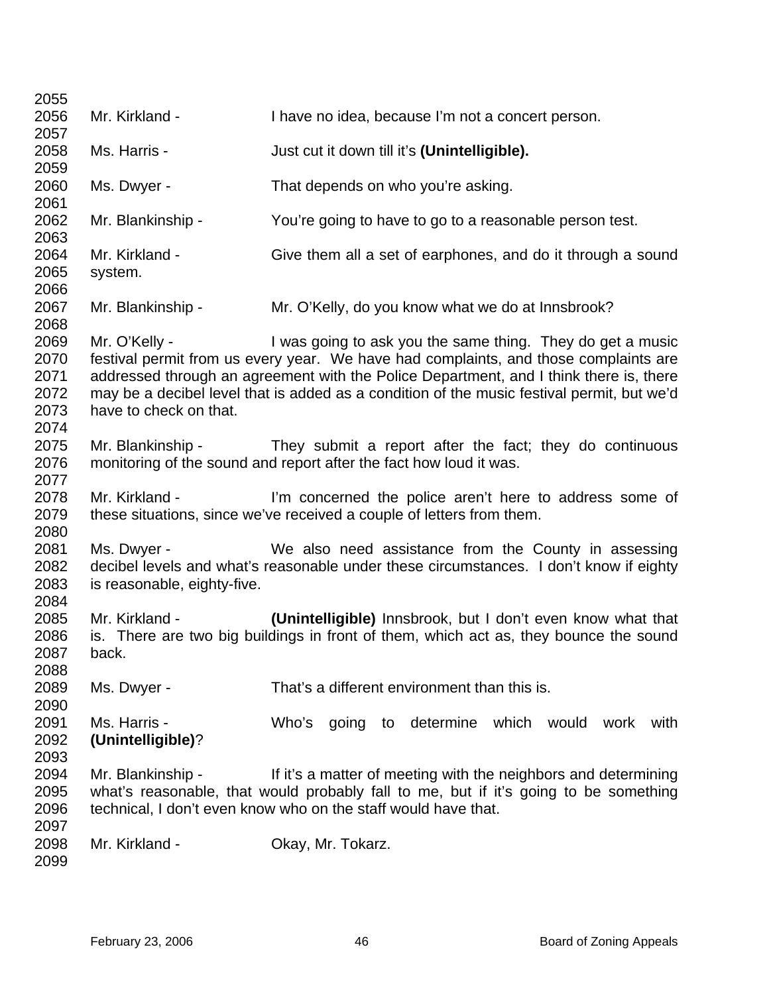| 2055         |                             |                                                                                            |
|--------------|-----------------------------|--------------------------------------------------------------------------------------------|
| 2056         | Mr. Kirkland -              | I have no idea, because I'm not a concert person.                                          |
| 2057         |                             |                                                                                            |
| 2058         | Ms. Harris -                | Just cut it down till it's (Unintelligible).                                               |
| 2059         |                             |                                                                                            |
| 2060         | Ms. Dwyer -                 | That depends on who you're asking.                                                         |
| 2061         |                             |                                                                                            |
| 2062         | Mr. Blankinship -           | You're going to have to go to a reasonable person test.                                    |
| 2063<br>2064 | Mr. Kirkland -              |                                                                                            |
| 2065         | system.                     | Give them all a set of earphones, and do it through a sound                                |
| 2066         |                             |                                                                                            |
| 2067         | Mr. Blankinship -           | Mr. O'Kelly, do you know what we do at Innsbrook?                                          |
| 2068         |                             |                                                                                            |
| 2069         | Mr. O'Kelly -               | I was going to ask you the same thing. They do get a music                                 |
| 2070         |                             | festival permit from us every year. We have had complaints, and those complaints are       |
| 2071         |                             | addressed through an agreement with the Police Department, and I think there is, there     |
| 2072         |                             | may be a decibel level that is added as a condition of the music festival permit, but we'd |
| 2073         | have to check on that.      |                                                                                            |
| 2074         |                             |                                                                                            |
| 2075         | Mr. Blankinship -           | They submit a report after the fact; they do continuous                                    |
| 2076         |                             | monitoring of the sound and report after the fact how loud it was.                         |
| 2077         |                             |                                                                                            |
| 2078         | Mr. Kirkland -              | I'm concerned the police aren't here to address some of                                    |
| 2079         |                             | these situations, since we've received a couple of letters from them.                      |
| 2080         |                             |                                                                                            |
| 2081         | Ms. Dwyer -                 | We also need assistance from the County in assessing                                       |
| 2082         |                             | decibel levels and what's reasonable under these circumstances. I don't know if eighty     |
| 2083<br>2084 | is reasonable, eighty-five. |                                                                                            |
| 2085         | Mr. Kirkland -              | (Unintelligible) Innsbrook, but I don't even know what that                                |
| 2086         |                             | is. There are two big buildings in front of them, which act as, they bounce the sound      |
| 2087         | back.                       |                                                                                            |
| 2088         |                             |                                                                                            |
| 2089         | Ms. Dwyer -                 | That's a different environment than this is.                                               |
| 2090         |                             |                                                                                            |
| 2091         | Ms. Harris -                | Who's going to determine which would work<br>with                                          |
| 2092         | (Unintelligible)?           |                                                                                            |
| 2093         |                             |                                                                                            |
| 2094         | Mr. Blankinship -           | If it's a matter of meeting with the neighbors and determining                             |
| 2095         |                             | what's reasonable, that would probably fall to me, but if it's going to be something       |
| 2096         |                             | technical, I don't even know who on the staff would have that.                             |
| 2097         |                             |                                                                                            |
| 2098         | Mr. Kirkland -              | Okay, Mr. Tokarz.                                                                          |
| 2099         |                             |                                                                                            |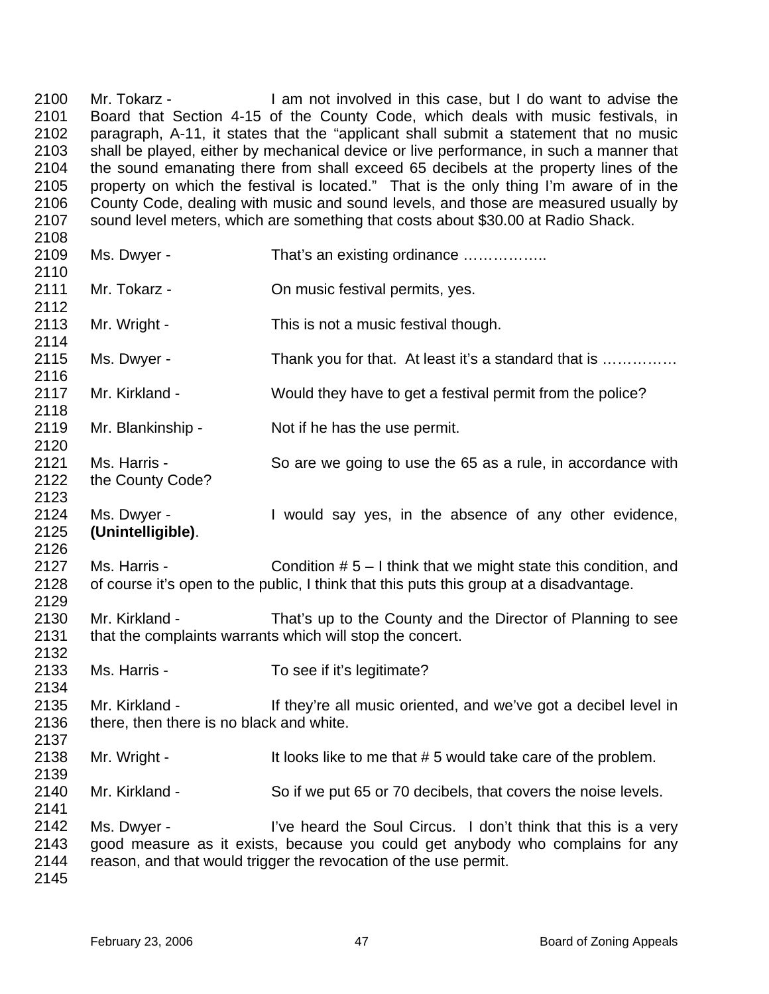2100 2101 2102 2103 2104 2105 2106 2107 2108 Mr. Tokarz - I am not involved in this case, but I do want to advise the Board that Section 4-15 of the County Code, which deals with music festivals, in paragraph, A-11, it states that the "applicant shall submit a statement that no music shall be played, either by mechanical device or live performance, in such a manner that the sound emanating there from shall exceed 65 decibels at the property lines of the property on which the festival is located." That is the only thing I'm aware of in the County Code, dealing with music and sound levels, and those are measured usually by sound level meters, which are something that costs about \$30.00 at Radio Shack.

| 2109<br>2110                 | Ms. Dwyer -                                                | That's an existing ordinance                                                                                                                                                                                        |
|------------------------------|------------------------------------------------------------|---------------------------------------------------------------------------------------------------------------------------------------------------------------------------------------------------------------------|
| 2111<br>2112                 | Mr. Tokarz -                                               | On music festival permits, yes.                                                                                                                                                                                     |
| 2113<br>2114                 | Mr. Wright -                                               | This is not a music festival though.                                                                                                                                                                                |
| 2115<br>2116                 | Ms. Dwyer -                                                | Thank you for that. At least it's a standard that is                                                                                                                                                                |
| 2117<br>2118                 | Mr. Kirkland -                                             | Would they have to get a festival permit from the police?                                                                                                                                                           |
| 2119<br>2120                 | Mr. Blankinship -                                          | Not if he has the use permit.                                                                                                                                                                                       |
| 2121<br>2122<br>2123         | Ms. Harris -<br>the County Code?                           | So are we going to use the 65 as a rule, in accordance with                                                                                                                                                         |
| 2124<br>2125<br>2126         | Ms. Dwyer -<br>(Unintelligible).                           | I would say yes, in the absence of any other evidence,                                                                                                                                                              |
| 2127<br>2128<br>2129         | Ms. Harris -                                               | Condition $# 5 - I$ think that we might state this condition, and<br>of course it's open to the public, I think that this puts this group at a disadvantage.                                                        |
| 2130<br>2131<br>2132         | Mr. Kirkland -                                             | That's up to the County and the Director of Planning to see<br>that the complaints warrants which will stop the concert.                                                                                            |
| 2133<br>2134                 | Ms. Harris -                                               | To see if it's legitimate?                                                                                                                                                                                          |
| 2135<br>2136<br>2137         | Mr. Kirkland -<br>there, then there is no black and white. | If they're all music oriented, and we've got a decibel level in                                                                                                                                                     |
| 2138<br>2139                 | Mr. Wright -                                               | It looks like to me that #5 would take care of the problem.                                                                                                                                                         |
| 2140<br>2141                 | Mr. Kirkland -                                             | So if we put 65 or 70 decibels, that covers the noise levels.                                                                                                                                                       |
| 2142<br>2143<br>2144<br>2145 | Ms. Dwyer -                                                | I've heard the Soul Circus. I don't think that this is a very<br>good measure as it exists, because you could get anybody who complains for any<br>reason, and that would trigger the revocation of the use permit. |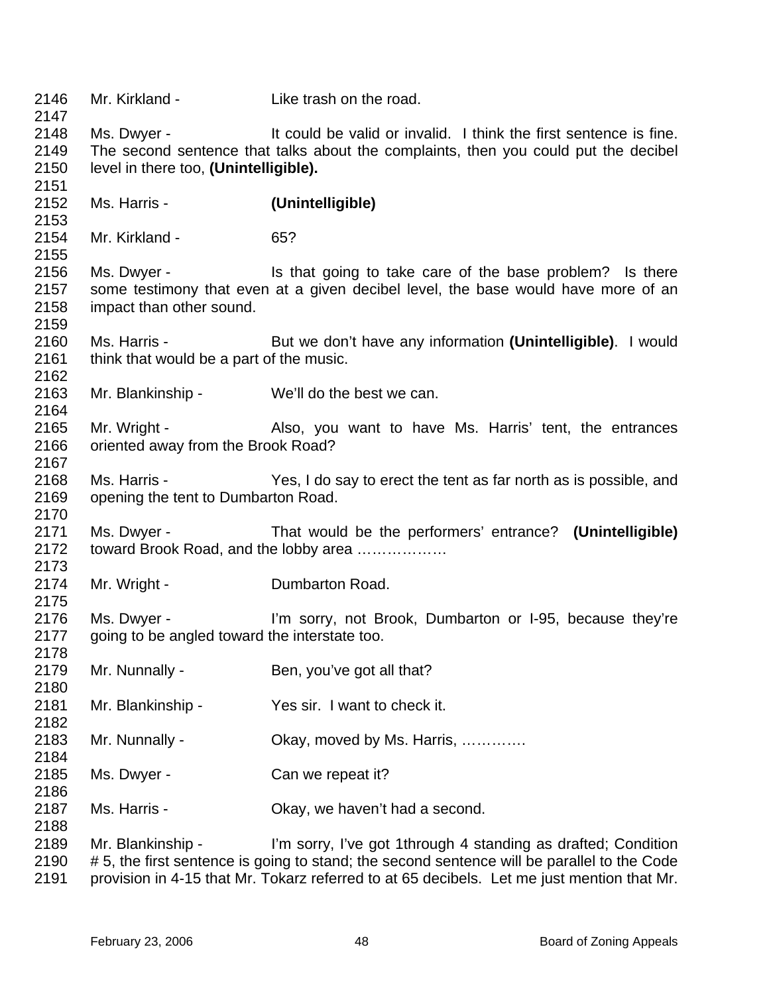| 2146<br>2147 | Mr. Kirkland -                                | Like trash on the road.                                                                    |
|--------------|-----------------------------------------------|--------------------------------------------------------------------------------------------|
| 2148         | Ms. Dwyer -                                   | It could be valid or invalid. I think the first sentence is fine.                          |
| 2149         |                                               | The second sentence that talks about the complaints, then you could put the decibel        |
| 2150         | level in there too, (Unintelligible).         |                                                                                            |
| 2151         |                                               |                                                                                            |
| 2152         | Ms. Harris -                                  | (Unintelligible)                                                                           |
| 2153         |                                               |                                                                                            |
| 2154         | Mr. Kirkland -                                | 65?                                                                                        |
| 2155         |                                               |                                                                                            |
| 2156         | Ms. Dwyer -                                   | Is that going to take care of the base problem? Is there                                   |
| 2157         |                                               | some testimony that even at a given decibel level, the base would have more of an          |
| 2158         | impact than other sound.                      |                                                                                            |
| 2159         |                                               |                                                                                            |
| 2160         | Ms. Harris -                                  | But we don't have any information (Unintelligible). I would                                |
| 2161         | think that would be a part of the music.      |                                                                                            |
| 2162         |                                               |                                                                                            |
| 2163         | Mr. Blankinship - We'll do the best we can.   |                                                                                            |
| 2164         |                                               |                                                                                            |
| 2165         | Mr. Wright -                                  | Also, you want to have Ms. Harris' tent, the entrances                                     |
| 2166         | oriented away from the Brook Road?            |                                                                                            |
| 2167         |                                               |                                                                                            |
| 2168         | Ms. Harris -                                  | Yes, I do say to erect the tent as far north as is possible, and                           |
| 2169         | opening the tent to Dumbarton Road.           |                                                                                            |
| 2170         |                                               |                                                                                            |
| 2171         | Ms. Dwyer -                                   | That would be the performers' entrance? (Unintelligible)                                   |
| 2172         |                                               | toward Brook Road, and the lobby area                                                      |
| 2173         |                                               |                                                                                            |
| 2174         | Mr. Wright -                                  | Dumbarton Road.                                                                            |
| 2175         |                                               |                                                                                            |
| 2176         |                                               | Ms. Dwyer - The Sorry, not Brook, Dumbarton or I-95, because they're                       |
| 2177         | going to be angled toward the interstate too. |                                                                                            |
| 2178         |                                               |                                                                                            |
| 2179         | Mr. Nunnally -                                | Ben, you've got all that?                                                                  |
| 2180         |                                               |                                                                                            |
| 2181         | Mr. Blankinship -                             | Yes sir. I want to check it.                                                               |
| 2182         |                                               |                                                                                            |
| 2183         | Mr. Nunnally -                                | Okay, moved by Ms. Harris,                                                                 |
| 2184         |                                               |                                                                                            |
| 2185         | Ms. Dwyer -                                   | Can we repeat it?                                                                          |
| 2186         |                                               |                                                                                            |
| 2187         | Ms. Harris -                                  | Okay, we haven't had a second.                                                             |
| 2188         |                                               |                                                                                            |
| 2189         | Mr. Blankinship -                             | I'm sorry, I've got 1through 4 standing as drafted; Condition                              |
| 2190         |                                               | #5, the first sentence is going to stand; the second sentence will be parallel to the Code |
| 2191         |                                               | provision in 4-15 that Mr. Tokarz referred to at 65 decibels. Let me just mention that Mr. |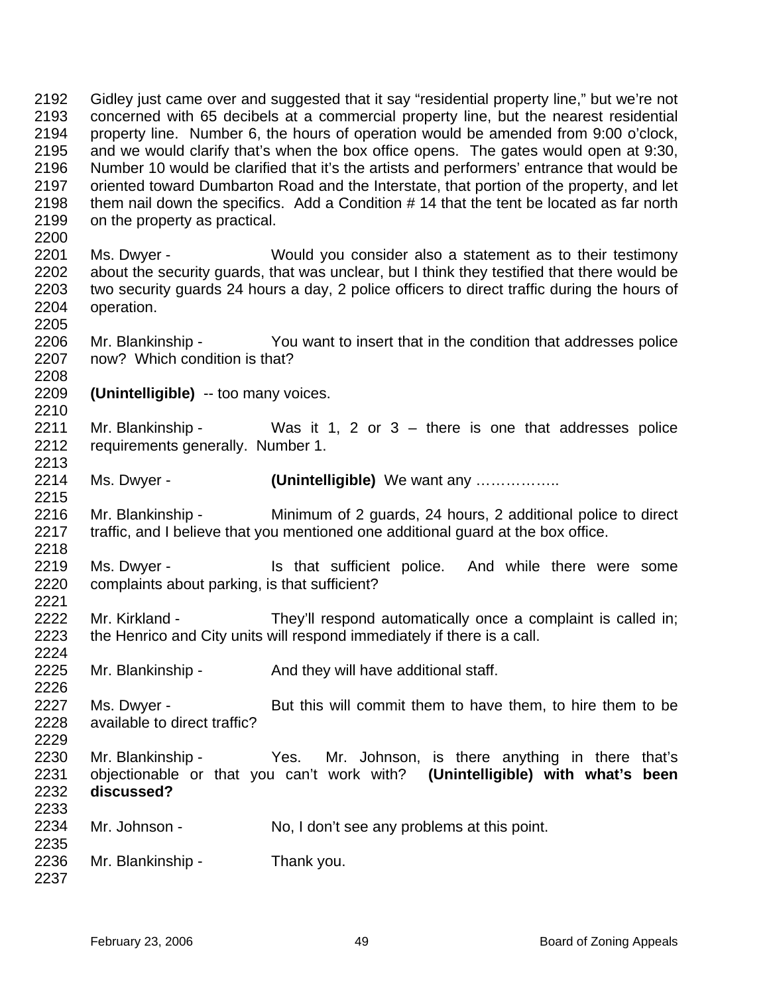2192 2193 2194 2195 2196 2197 2198 2199 2200 2201 2202 2203 2204 2205 2206 2207 2208 2209 2210 2211 2212 2213 2214 2215 2216 2217 2218 2219 2220 2221 2222 2223 2224 2225 2226 2227 2228 2229 2230 2231 2232 2233 2234 2235 2236 2237 Gidley just came over and suggested that it say "residential property line," but we're not concerned with 65 decibels at a commercial property line, but the nearest residential property line. Number 6, the hours of operation would be amended from 9:00 o'clock, and we would clarify that's when the box office opens. The gates would open at 9:30, Number 10 would be clarified that it's the artists and performers' entrance that would be oriented toward Dumbarton Road and the Interstate, that portion of the property, and let them nail down the specifics. Add a Condition # 14 that the tent be located as far north on the property as practical. Ms. Dwyer - Would you consider also a statement as to their testimony about the security guards, that was unclear, but I think they testified that there would be two security guards 24 hours a day, 2 police officers to direct traffic during the hours of operation. Mr. Blankinship - You want to insert that in the condition that addresses police now? Which condition is that? **(Unintelligible)** -- too many voices. Mr. Blankinship - Was it 1, 2 or  $3 -$  there is one that addresses police requirements generally. Number 1. Ms. Dwyer - **(Unintelligible)** We want any …………….. Mr. Blankinship - Minimum of 2 guards, 24 hours, 2 additional police to direct traffic, and I believe that you mentioned one additional guard at the box office. Ms. Dwyer - The Music is that sufficient police. And while there were some complaints about parking, is that sufficient? Mr. Kirkland - They'll respond automatically once a complaint is called in; the Henrico and City units will respond immediately if there is a call. Mr. Blankinship - And they will have additional staff. Ms. Dwyer - But this will commit them to have them, to hire them to be available to direct traffic? Mr. Blankinship - Yes. Mr. Johnson, is there anything in there that's objectionable or that you can't work with? **(Unintelligible) with what's been discussed?** Mr. Johnson - No, I don't see any problems at this point. Mr. Blankinship - Thank you.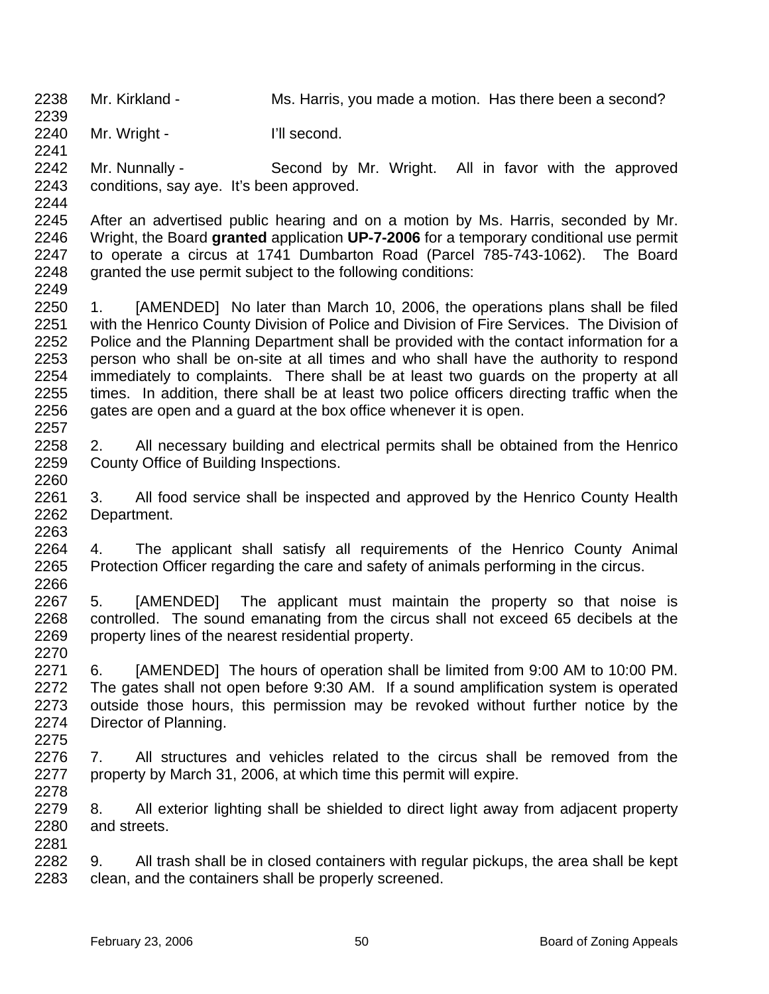2238 Mr. Kirkland - Ms. Harris, you made a motion. Has there been a second?

2240 Mr. Wright - I'll second.

2241 2242

Mr. Nunnally - Second by Mr. Wright. All in favor with the approved conditions, say aye. It's been approved.

2243 2244

2239

2245 2246 2247 2248 After an advertised public hearing and on a motion by Ms. Harris, seconded by Mr. Wright, the Board **granted** application **UP-7-2006** for a temporary conditional use permit to operate a circus at 1741 Dumbarton Road (Parcel 785-743-1062). The Board granted the use permit subject to the following conditions:

2249

2260

2278

2250 2251 2252 2253 2254 2255 2256 2257 1. [AMENDED] No later than March 10, 2006, the operations plans shall be filed with the Henrico County Division of Police and Division of Fire Services. The Division of Police and the Planning Department shall be provided with the contact information for a person who shall be on-site at all times and who shall have the authority to respond immediately to complaints. There shall be at least two guards on the property at all times. In addition, there shall be at least two police officers directing traffic when the gates are open and a guard at the box office whenever it is open.

2258 2259 2. All necessary building and electrical permits shall be obtained from the Henrico County Office of Building Inspections.

2261 2262 2263 3. All food service shall be inspected and approved by the Henrico County Health Department.

2264 2265 2266 4. The applicant shall satisfy all requirements of the Henrico County Animal Protection Officer regarding the care and safety of animals performing in the circus.

2267 2268 2269 2270 5. [AMENDED] The applicant must maintain the property so that noise is controlled. The sound emanating from the circus shall not exceed 65 decibels at the property lines of the nearest residential property.

2271 2272 2273 2274 2275 6. [AMENDED] The hours of operation shall be limited from 9:00 AM to 10:00 PM. The gates shall not open before 9:30 AM. If a sound amplification system is operated outside those hours, this permission may be revoked without further notice by the Director of Planning.

2276 2277 7. All structures and vehicles related to the circus shall be removed from the property by March 31, 2006, at which time this permit will expire.

2279 2280 2281 8. All exterior lighting shall be shielded to direct light away from adjacent property and streets.

2282 2283 9. All trash shall be in closed containers with regular pickups, the area shall be kept clean, and the containers shall be properly screened.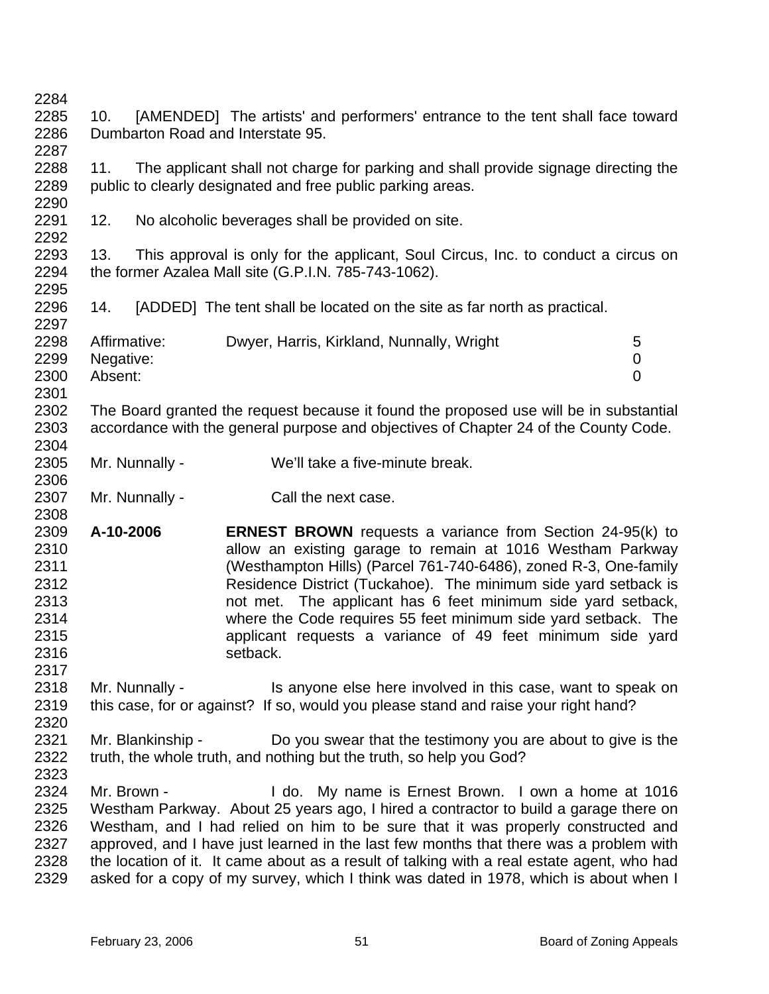2284 2285 2286 2287 2288 2289 2290 2291 2292 2293 2294 2295 2296 2297 2298 2299 2300 2301 2302 2303 2304 2305 2306 2307 2308 2309 2310 2311 2312 2313 2314 2315 2316 2317 2318 2319 2320 2321 2322 2323 2324 2325 2326 2327 2328 2329 10. [AMENDED] The artists' and performers' entrance to the tent shall face toward Dumbarton Road and Interstate 95. 11. The applicant shall not charge for parking and shall provide signage directing the public to clearly designated and free public parking areas. 12. No alcoholic beverages shall be provided on site. 13. This approval is only for the applicant, Soul Circus, Inc. to conduct a circus on the former Azalea Mall site (G.P.I.N. 785-743-1062). 14. [ADDED] The tent shall be located on the site as far north as practical. Affirmative: Dwyer, Harris, Kirkland, Nunnally, Wright 5 Negative: 0 Absent: 0 The Board granted the request because it found the proposed use will be in substantial accordance with the general purpose and objectives of Chapter 24 of the County Code. Mr. Nunnally - We'll take a five-minute break. Mr. Nunnally - Call the next case. **A-10-2006 ERNEST BROWN** requests a variance from Section 24-95(k) to allow an existing garage to remain at 1016 Westham Parkway (Westhampton Hills) (Parcel 761-740-6486), zoned R-3, One-family Residence District (Tuckahoe). The minimum side yard setback is not met. The applicant has 6 feet minimum side yard setback, where the Code requires 55 feet minimum side yard setback. The applicant requests a variance of 49 feet minimum side yard setback. Mr. Nunnally - This anyone else here involved in this case, want to speak on this case, for or against? If so, would you please stand and raise your right hand? Mr. Blankinship - Do you swear that the testimony you are about to give is the truth, the whole truth, and nothing but the truth, so help you God? Mr. Brown - I do. My name is Ernest Brown. I own a home at 1016 Westham Parkway. About 25 years ago, I hired a contractor to build a garage there on Westham, and I had relied on him to be sure that it was properly constructed and approved, and I have just learned in the last few months that there was a problem with the location of it. It came about as a result of talking with a real estate agent, who had asked for a copy of my survey, which I think was dated in 1978, which is about when I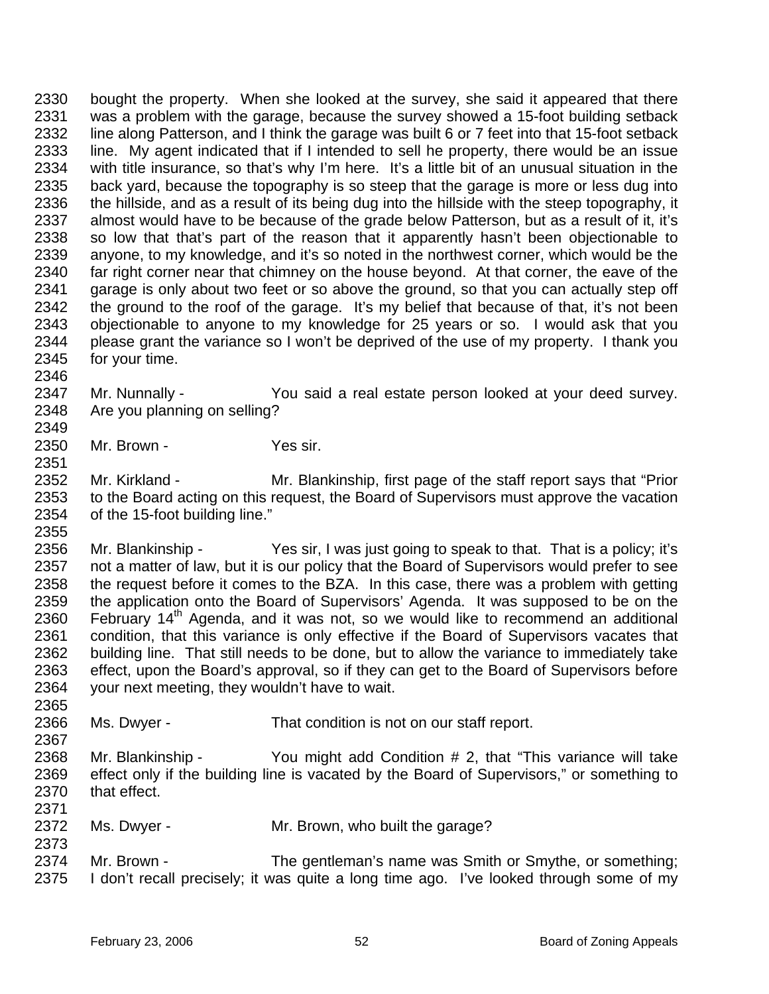2330 2331 2332 2333 2334 2335 2336 2337 2338 2339 2340 2341 2342 2343 2344 2345 bought the property. When she looked at the survey, she said it appeared that there was a problem with the garage, because the survey showed a 15-foot building setback line along Patterson, and I think the garage was built 6 or 7 feet into that 15-foot setback line. My agent indicated that if I intended to sell he property, there would be an issue with title insurance, so that's why I'm here. It's a little bit of an unusual situation in the back yard, because the topography is so steep that the garage is more or less dug into the hillside, and as a result of its being dug into the hillside with the steep topography, it almost would have to be because of the grade below Patterson, but as a result of it, it's so low that that's part of the reason that it apparently hasn't been objectionable to anyone, to my knowledge, and it's so noted in the northwest corner, which would be the far right corner near that chimney on the house beyond. At that corner, the eave of the garage is only about two feet or so above the ground, so that you can actually step off the ground to the roof of the garage. It's my belief that because of that, it's not been objectionable to anyone to my knowledge for 25 years or so. I would ask that you please grant the variance so I won't be deprived of the use of my property. I thank you for your time.

2347 2348 Mr. Nunnally - You said a real estate person looked at your deed survey. Are you planning on selling?

2350 Mr. Brown - Yes sir.

2346

2349

2351

2355

2365

2367

2373

2352 2353 2354 Mr. Kirkland - Mr. Blankinship, first page of the staff report says that "Prior to the Board acting on this request, the Board of Supervisors must approve the vacation of the 15-foot building line."

2356 2357 2358 2359 2360 2361 2362 2363 2364 Mr. Blankinship - Yes sir, I was just going to speak to that. That is a policy; it's not a matter of law, but it is our policy that the Board of Supervisors would prefer to see the request before it comes to the BZA. In this case, there was a problem with getting the application onto the Board of Supervisors' Agenda. It was supposed to be on the February 14<sup>th</sup> Agenda, and it was not, so we would like to recommend an additional condition, that this variance is only effective if the Board of Supervisors vacates that building line. That still needs to be done, but to allow the variance to immediately take effect, upon the Board's approval, so if they can get to the Board of Supervisors before your next meeting, they wouldn't have to wait.

2366 Ms. Dwyer - That condition is not on our staff report.

2368 2369 2370 2371 Mr. Blankinship - You might add Condition # 2, that "This variance will take effect only if the building line is vacated by the Board of Supervisors," or something to that effect.

- 2372 Ms. Dwyer - Mr. Brown, who built the garage?
- 2374 2375 Mr. Brown - The gentleman's name was Smith or Smythe, or something; I don't recall precisely; it was quite a long time ago. I've looked through some of my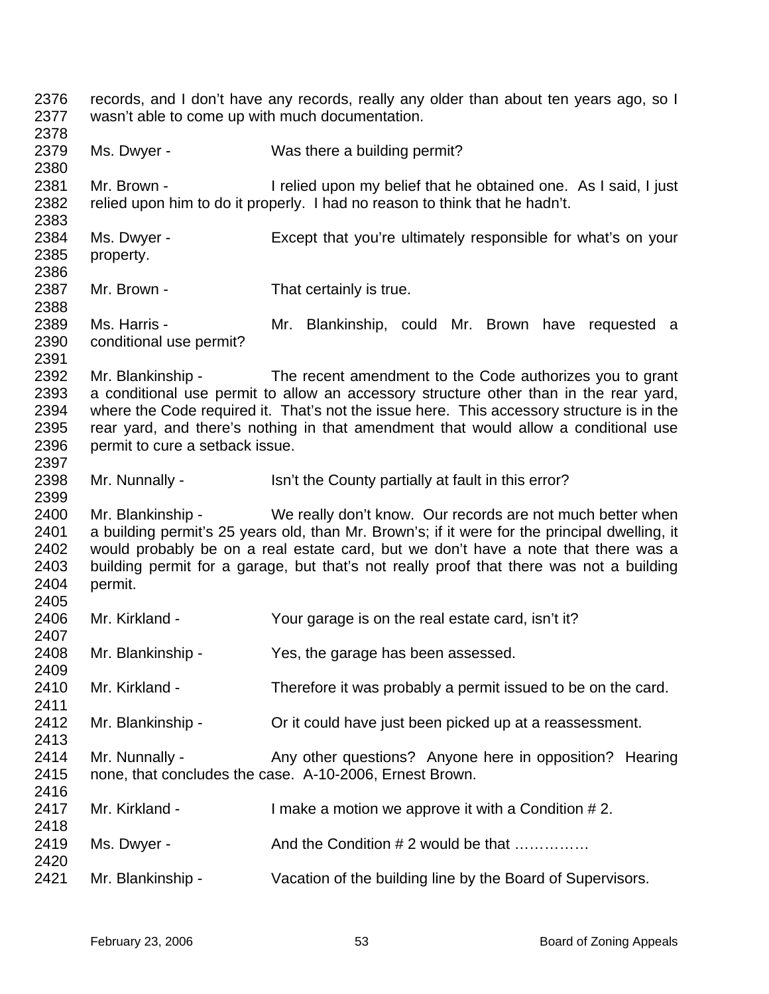2376 2377 2378 2379 2380 2381 2382 2383 2384 2385 2386 2387 2388 2389 2390 2391 2392 2393 2394 2395 2396 2397 2398 2399 2400 2401 2402 2403 2404 2405 2406 2407 2408 2409 2410 2411 2412 2413 2414 2415 2416 2417 2418 2419 2420 2421 records, and I don't have any records, really any older than about ten years ago, so I wasn't able to come up with much documentation. Ms. Dwyer - Was there a building permit? Mr. Brown - I relied upon my belief that he obtained one. As I said, I just relied upon him to do it properly. I had no reason to think that he hadn't. Ms. Dwyer - Except that you're ultimately responsible for what's on your property. Mr. Brown - That certainly is true. Ms. Harris - The Mr. Blankinship, could Mr. Brown have requested a conditional use permit? Mr. Blankinship - The recent amendment to the Code authorizes you to grant a conditional use permit to allow an accessory structure other than in the rear yard, where the Code required it. That's not the issue here. This accessory structure is in the rear yard, and there's nothing in that amendment that would allow a conditional use permit to cure a setback issue. Mr. Nunnally - Isn't the County partially at fault in this error? Mr. Blankinship - We really don't know. Our records are not much better when a building permit's 25 years old, than Mr. Brown's; if it were for the principal dwelling, it would probably be on a real estate card, but we don't have a note that there was a building permit for a garage, but that's not really proof that there was not a building permit. Mr. Kirkland - Your garage is on the real estate card, isn't it? Mr. Blankinship - Yes, the garage has been assessed. Mr. Kirkland - Therefore it was probably a permit issued to be on the card. Mr. Blankinship - Crit could have just been picked up at a reassessment. Mr. Nunnally - Any other questions? Anyone here in opposition? Hearing none, that concludes the case. A-10-2006, Ernest Brown. Mr. Kirkland - I make a motion we approve it with a Condition #2. Ms. Dwyer - And the Condition # 2 would be that ............... Mr. Blankinship - Vacation of the building line by the Board of Supervisors.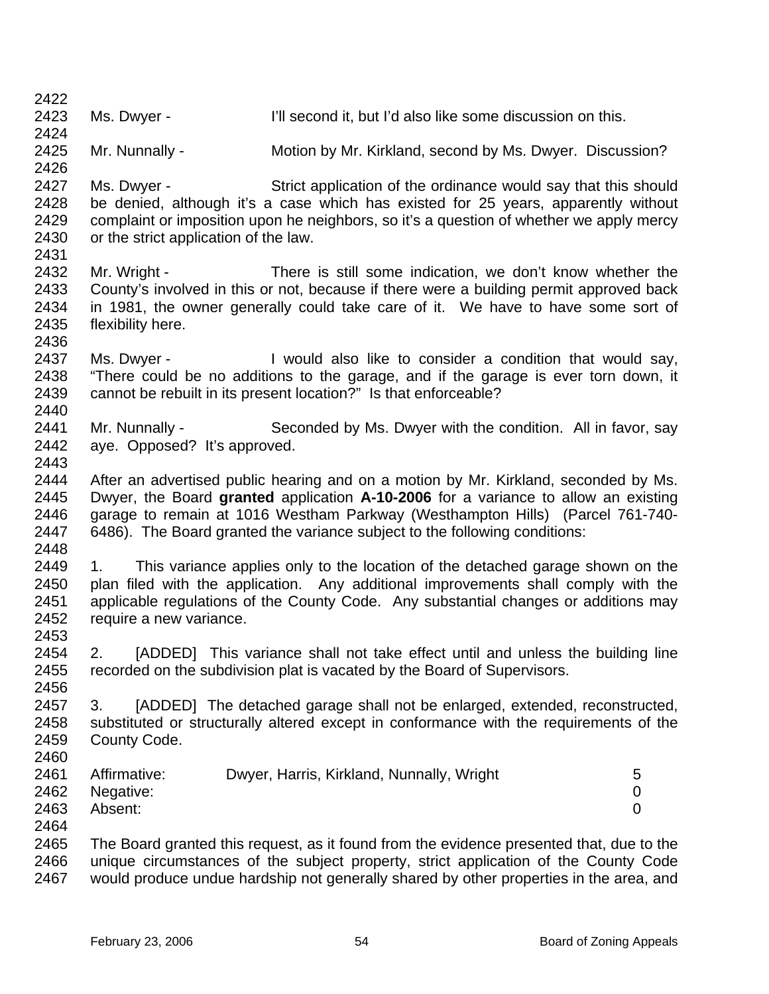2422 2423 2424 2425 2426 2427 2428 2429 2430 2431 2432 2433 2434 2435 2436 2437 2438 2439 2440 2441 2442 2443 2444 2445 2446 2447 2448 2449 2450 2451 2452 2453 2454 2455 2456 2457 2458 2459 2460 2461 2462 2463 2464 2465 2466 2467 Ms. Dwyer - Till second it, but I'd also like some discussion on this. Mr. Nunnally - Motion by Mr. Kirkland, second by Ms. Dwyer. Discussion? Ms. Dwyer - Strict application of the ordinance would say that this should be denied, although it's a case which has existed for 25 years, apparently without complaint or imposition upon he neighbors, so it's a question of whether we apply mercy or the strict application of the law. Mr. Wright - There is still some indication, we don't know whether the County's involved in this or not, because if there were a building permit approved back in 1981, the owner generally could take care of it. We have to have some sort of flexibility here. Ms. Dwyer - I would also like to consider a condition that would say, "There could be no additions to the garage, and if the garage is ever torn down, it cannot be rebuilt in its present location?" Is that enforceable? Mr. Nunnally - Seconded by Ms. Dwyer with the condition. All in favor, say aye. Opposed? It's approved. After an advertised public hearing and on a motion by Mr. Kirkland, seconded by Ms. Dwyer, the Board **granted** application **A-10-2006** for a variance to allow an existing garage to remain at 1016 Westham Parkway (Westhampton Hills) (Parcel 761-740- 6486). The Board granted the variance subject to the following conditions: 1. This variance applies only to the location of the detached garage shown on the plan filed with the application. Any additional improvements shall comply with the applicable regulations of the County Code. Any substantial changes or additions may require a new variance. 2. [ADDED] This variance shall not take effect until and unless the building line recorded on the subdivision plat is vacated by the Board of Supervisors. 3. [ADDED] The detached garage shall not be enlarged, extended, reconstructed, substituted or structurally altered except in conformance with the requirements of the County Code. Affirmative: Dwyer, Harris, Kirkland, Nunnally, Wright 5 Negative: 0 Absent: 0 The Board granted this request, as it found from the evidence presented that, due to the unique circumstances of the subject property, strict application of the County Code would produce undue hardship not generally shared by other properties in the area, and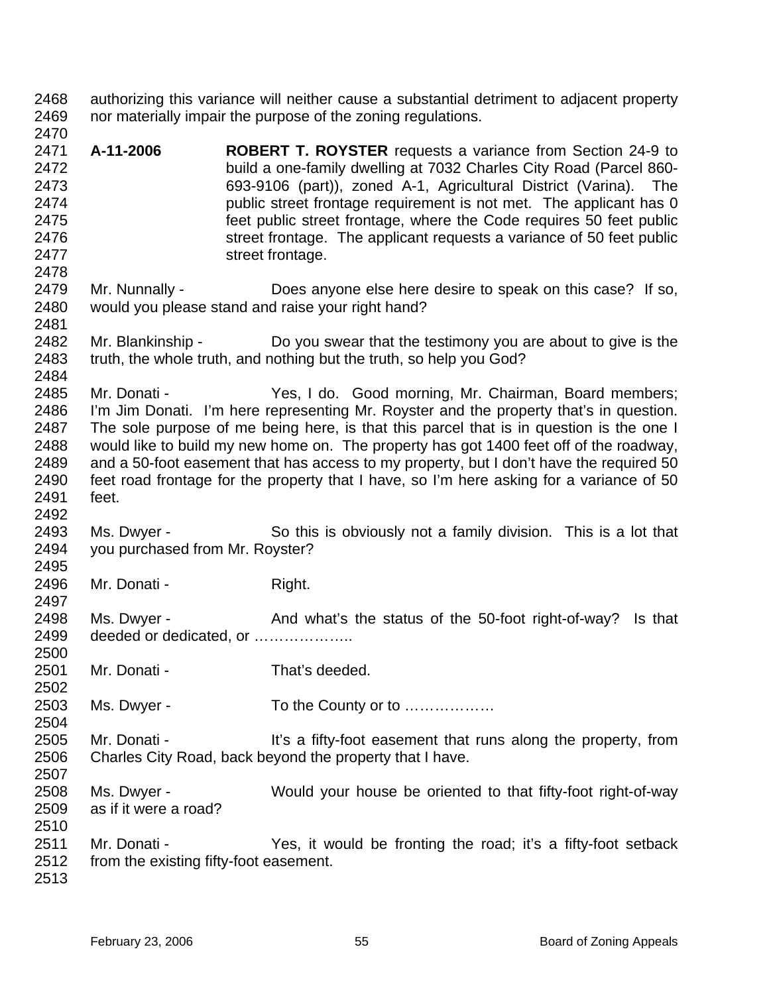2468 2469 authorizing this variance will neither cause a substantial detriment to adjacent property nor materially impair the purpose of the zoning regulations.

- 2471 2472 2473 2474 2475 2476 2477 **A-11-2006 ROBERT T. ROYSTER** requests a variance from Section 24-9 to build a one-family dwelling at 7032 Charles City Road (Parcel 860- 693-9106 (part)), zoned A-1, Agricultural District (Varina). The public street frontage requirement is not met. The applicant has 0 feet public street frontage, where the Code requires 50 feet public street frontage. The applicant requests a variance of 50 feet public street frontage.
- 2479 2480 Mr. Nunnally - Does anyone else here desire to speak on this case? If so, would you please stand and raise your right hand?
- 2482 2483 Mr. Blankinship - Do you swear that the testimony you are about to give is the truth, the whole truth, and nothing but the truth, so help you God?
- 2485 2486 2487 2488 2489 2490 2491 Mr. Donati - Yes, I do. Good morning, Mr. Chairman, Board members; I'm Jim Donati. I'm here representing Mr. Royster and the property that's in question. The sole purpose of me being here, is that this parcel that is in question is the one I would like to build my new home on. The property has got 1400 feet off of the roadway, and a 50-foot easement that has access to my property, but I don't have the required 50 feet road frontage for the property that I have, so I'm here asking for a variance of 50 feet.
- 2493 2494 Ms. Dwyer - So this is obviously not a family division. This is a lot that you purchased from Mr. Royster?
- 2496 Mr. Donati - Right.
- 2498 2499 2500 Ms. Dwyer - And what's the status of the 50-foot right-of-way? Is that deeded or dedicated, or ....................
- 2501 Mr. Donati - That's deeded.
- 2503 Ms. Dwyer - To the County or to ………………
- 2505 2506 2507 Mr. Donati - It's a fifty-foot easement that runs along the property, from Charles City Road, back beyond the property that I have.
- 2508 2509 Ms. Dwyer - Would your house be oriented to that fifty-foot right-of-way as if it were a road?
- 2511 2512 Mr. Donati - The Yes, it would be fronting the road; it's a fifty-foot setback from the existing fifty-foot easement.
- 2513

2510

2470

2478

2481

2484

2492

2495

2497

2502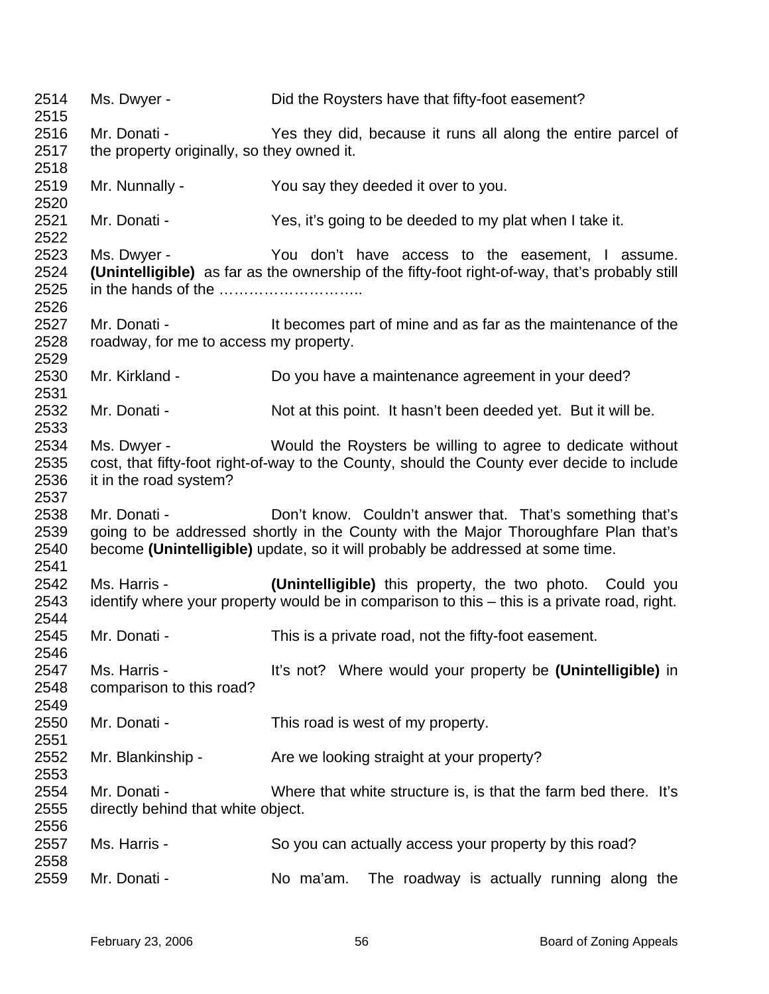| 2514<br>2515                 | Ms. Dwyer -                                            | Did the Roysters have that fifty-foot easement?                                                                                                                                                                                    |
|------------------------------|--------------------------------------------------------|------------------------------------------------------------------------------------------------------------------------------------------------------------------------------------------------------------------------------------|
| 2516                         | Mr. Donati -                                           | Yes they did, because it runs all along the entire parcel of                                                                                                                                                                       |
| 2517<br>2518                 | the property originally, so they owned it.             |                                                                                                                                                                                                                                    |
| 2519<br>2520                 | Mr. Nunnally -                                         | You say they deeded it over to you.                                                                                                                                                                                                |
| 2521<br>2522                 | Mr. Donati -                                           | Yes, it's going to be deeded to my plat when I take it.                                                                                                                                                                            |
| 2523<br>2524<br>2525         | Ms. Dwyer -                                            | You don't have access to the easement, I assume.<br>(Unintelligible) as far as the ownership of the fifty-foot right-of-way, that's probably still                                                                                 |
| 2526<br>2527<br>2528<br>2529 | Mr. Donati -<br>roadway, for me to access my property. | It becomes part of mine and as far as the maintenance of the                                                                                                                                                                       |
| 2530<br>2531                 | Mr. Kirkland -                                         | Do you have a maintenance agreement in your deed?                                                                                                                                                                                  |
| 2532<br>2533                 | Mr. Donati -                                           | Not at this point. It hasn't been deeded yet. But it will be.                                                                                                                                                                      |
| 2534<br>2535<br>2536<br>2537 | Ms. Dwyer -<br>it in the road system?                  | Would the Roysters be willing to agree to dedicate without<br>cost, that fifty-foot right-of-way to the County, should the County ever decide to include                                                                           |
| 2538<br>2539<br>2540<br>2541 | Mr. Donati -                                           | Don't know. Couldn't answer that. That's something that's<br>going to be addressed shortly in the County with the Major Thoroughfare Plan that's<br>become (Unintelligible) update, so it will probably be addressed at some time. |
| 2542<br>2543                 | Ms. Harris -                                           | (Unintelligible) this property, the two photo. Could you<br>identify where your property would be in comparison to this – this is a private road, right.                                                                           |
| 2544<br>2545<br>2546         | Mr. Donati -                                           | This is a private road, not the fifty-foot easement.                                                                                                                                                                               |
| 2547<br>2548<br>2549         | Ms. Harris -<br>comparison to this road?               | It's not? Where would your property be (Unintelligible) in                                                                                                                                                                         |
| 2550<br>2551                 | Mr. Donati -                                           | This road is west of my property.                                                                                                                                                                                                  |
| 2552<br>2553                 | Mr. Blankinship -                                      | Are we looking straight at your property?                                                                                                                                                                                          |
| 2554<br>2555<br>2556         | Mr. Donati -<br>directly behind that white object.     | Where that white structure is, is that the farm bed there. It's                                                                                                                                                                    |
| 2557<br>2558                 | Ms. Harris -                                           | So you can actually access your property by this road?                                                                                                                                                                             |
| 2559                         | Mr. Donati -                                           | No ma'am.<br>The roadway is actually running along the                                                                                                                                                                             |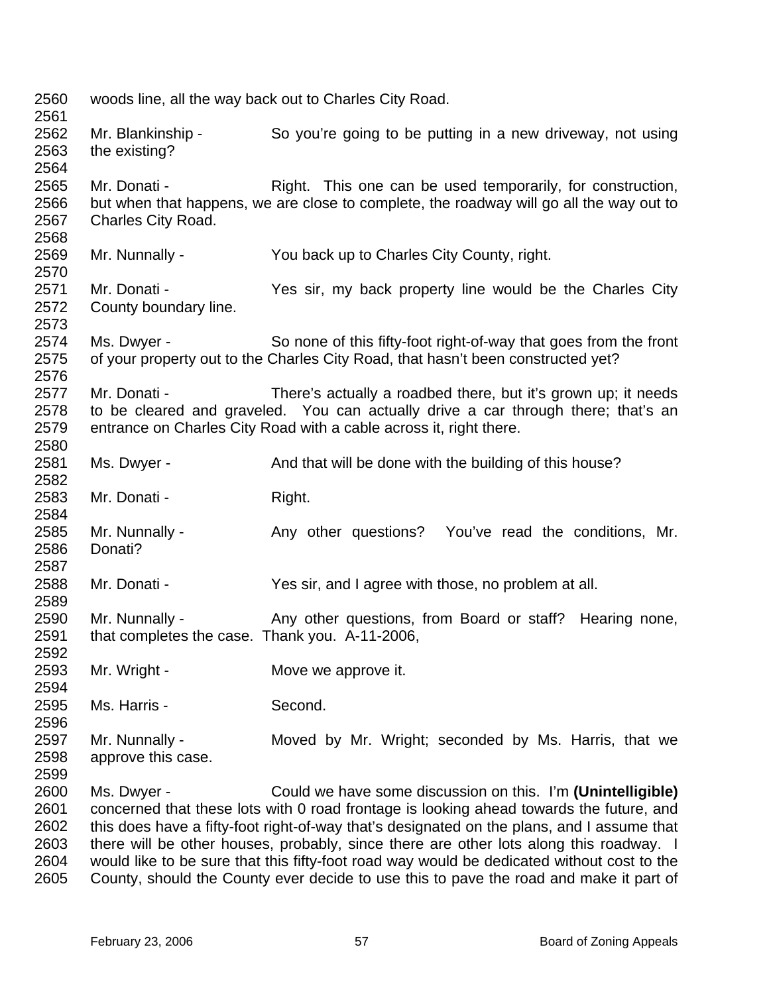2560 2561 2562 2563 2564 2565 2566 2567 2568 2569 2570 2571 2572 2573 2574 2575 2576 2577 2578 2579 2580 2581 2582 2583 2584 2585 2586 2587 2588 2589 2590 2591 2592 2593 2594 2595 2596 2597 2598 2599 2600 2601 2602 2603 2604 woods line, all the way back out to Charles City Road. Mr. Blankinship - So you're going to be putting in a new driveway, not using the existing? Mr. Donati - Right. This one can be used temporarily, for construction, but when that happens, we are close to complete, the roadway will go all the way out to Charles City Road. Mr. Nunnally - You back up to Charles City County, right. Mr. Donati - The Yes sir, my back property line would be the Charles City County boundary line. Ms. Dwyer - So none of this fifty-foot right-of-way that goes from the front of your property out to the Charles City Road, that hasn't been constructed yet? Mr. Donati - There's actually a roadbed there, but it's grown up; it needs to be cleared and graveled. You can actually drive a car through there; that's an entrance on Charles City Road with a cable across it, right there. Ms. Dwyer - And that will be done with the building of this house? Mr. Donati - Right. Mr. Nunnally - Any other questions? You've read the conditions, Mr. Donati? Mr. Donati - Yes sir, and I agree with those, no problem at all. Mr. Nunnally - Any other questions, from Board or staff? Hearing none, that completes the case. Thank you. A-11-2006, Mr. Wright - **Move we approve it.** Ms. Harris - Second. Mr. Nunnally - Moved by Mr. Wright; seconded by Ms. Harris, that we approve this case. Ms. Dwyer - Could we have some discussion on this. I'm **(Unintelligible)** concerned that these lots with 0 road frontage is looking ahead towards the future, and this does have a fifty-foot right-of-way that's designated on the plans, and I assume that there will be other houses, probably, since there are other lots along this roadway. I would like to be sure that this fifty-foot road way would be dedicated without cost to the

2605 County, should the County ever decide to use this to pave the road and make it part of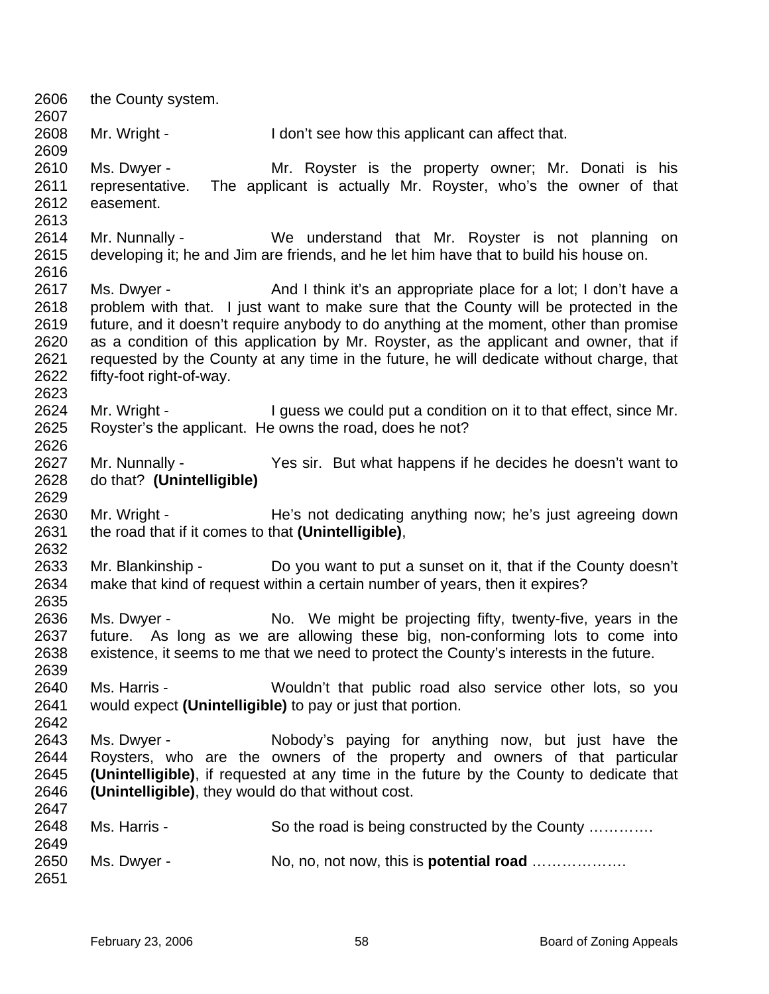2606 2607 2608 2609 2610 2611 2612 2613 2614 2615 2616 2617 2618 2619 2620 2621 2622 2623 2624 2625 2626 2627 2628 2629 2630 2631 2632 2633 2634 2635 2636 2637 2638 2639 2640 2641 2642 2643 2644 2645 2646 2647 2648 2649 2650 2651 the County system. Mr. Wright - I don't see how this applicant can affect that. Ms. Dwyer - Mr. Royster is the property owner; Mr. Donati is his representative. The applicant is actually Mr. Royster, who's the owner of that easement. Mr. Nunnally - We understand that Mr. Royster is not planning on developing it; he and Jim are friends, and he let him have that to build his house on. Ms. Dwyer - And I think it's an appropriate place for a lot; I don't have a problem with that. I just want to make sure that the County will be protected in the future, and it doesn't require anybody to do anything at the moment, other than promise as a condition of this application by Mr. Royster, as the applicant and owner, that if requested by the County at any time in the future, he will dedicate without charge, that fifty-foot right-of-way. Mr. Wright - I guess we could put a condition on it to that effect, since Mr. Royster's the applicant. He owns the road, does he not? Mr. Nunnally - Yes sir. But what happens if he decides he doesn't want to do that? **(Unintelligible)** Mr. Wright - He's not dedicating anything now; he's just agreeing down the road that if it comes to that **(Unintelligible)**, Mr. Blankinship - Do you want to put a sunset on it, that if the County doesn't make that kind of request within a certain number of years, then it expires? Ms. Dwyer - No. We might be projecting fifty, twenty-five, years in the future. As long as we are allowing these big, non-conforming lots to come into existence, it seems to me that we need to protect the County's interests in the future. Ms. Harris - Wouldn't that public road also service other lots, so you would expect **(Unintelligible)** to pay or just that portion. Ms. Dwyer - The Nobody's paying for anything now, but just have the Roysters, who are the owners of the property and owners of that particular **(Unintelligible)**, if requested at any time in the future by the County to dedicate that **(Unintelligible)**, they would do that without cost. Ms. Harris - So the road is being constructed by the County ............. Ms. Dwyer - No, no, not now, this is **potential road** ……………….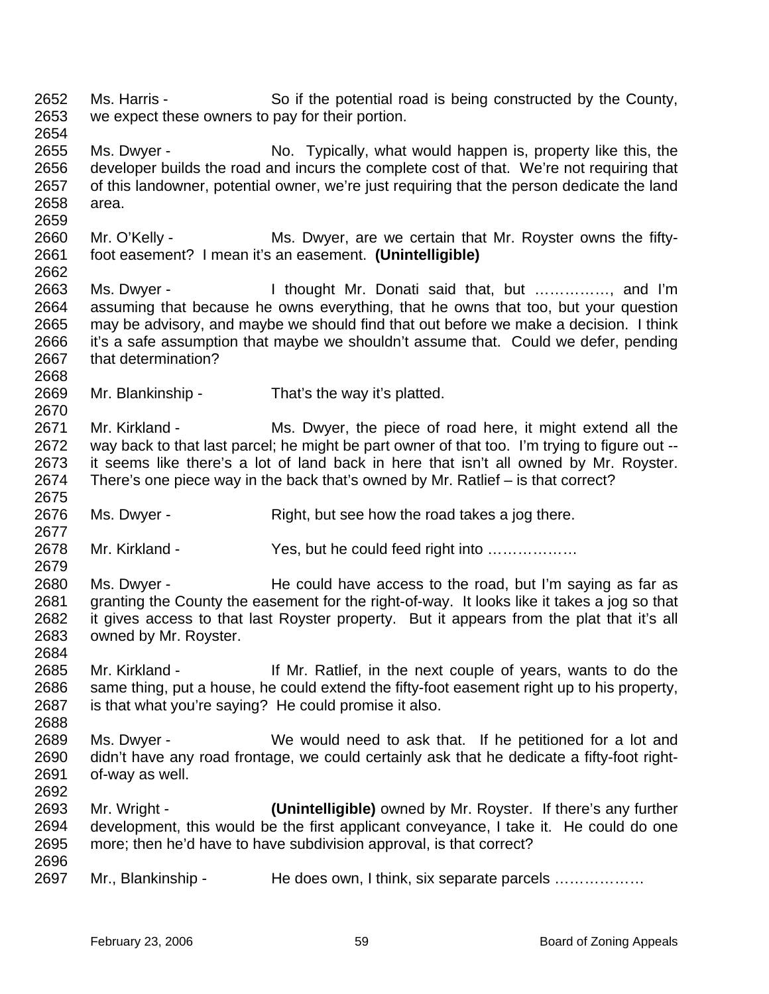2652 2653 2654 2655 2656 2657 2658 2659 2660 2661 2662 2663 2664 2665 2666 2667 2668 2669 2670 2671 2672 2673 2674 2675 2676 2677 2678 2679 2680 2681 2682 2683 2684 2685 2686 2687 2688 2689 2690 2691 2692 2693 2694 2695 2696 2697 Ms. Harris - So if the potential road is being constructed by the County, we expect these owners to pay for their portion. Ms. Dwyer - No. Typically, what would happen is, property like this, the developer builds the road and incurs the complete cost of that. We're not requiring that of this landowner, potential owner, we're just requiring that the person dedicate the land area. Mr. O'Kelly - Ms. Dwyer, are we certain that Mr. Royster owns the fiftyfoot easement? I mean it's an easement. **(Unintelligible)** Ms. Dwyer - I thought Mr. Donati said that, but .............., and I'm assuming that because he owns everything, that he owns that too, but your question may be advisory, and maybe we should find that out before we make a decision. I think it's a safe assumption that maybe we shouldn't assume that. Could we defer, pending that determination? Mr. Blankinship - That's the way it's platted. Mr. Kirkland - Ms. Dwyer, the piece of road here, it might extend all the way back to that last parcel; he might be part owner of that too. I'm trying to figure out -it seems like there's a lot of land back in here that isn't all owned by Mr. Royster. There's one piece way in the back that's owned by Mr. Ratlief – is that correct? Ms. Dwyer - Right, but see how the road takes a jog there. Mr. Kirkland - Yes, but he could feed right into ................. Ms. Dwyer - He could have access to the road, but I'm saying as far as granting the County the easement for the right-of-way. It looks like it takes a jog so that it gives access to that last Royster property. But it appears from the plat that it's all owned by Mr. Royster. Mr. Kirkland - If Mr. Ratlief, in the next couple of years, wants to do the same thing, put a house, he could extend the fifty-foot easement right up to his property, is that what you're saying? He could promise it also. Ms. Dwyer - We would need to ask that. If he petitioned for a lot and didn't have any road frontage, we could certainly ask that he dedicate a fifty-foot rightof-way as well. Mr. Wright - **(Unintelligible)** owned by Mr. Royster. If there's any further development, this would be the first applicant conveyance, I take it. He could do one more; then he'd have to have subdivision approval, is that correct? Mr., Blankinship - He does own, I think, six separate parcels ………………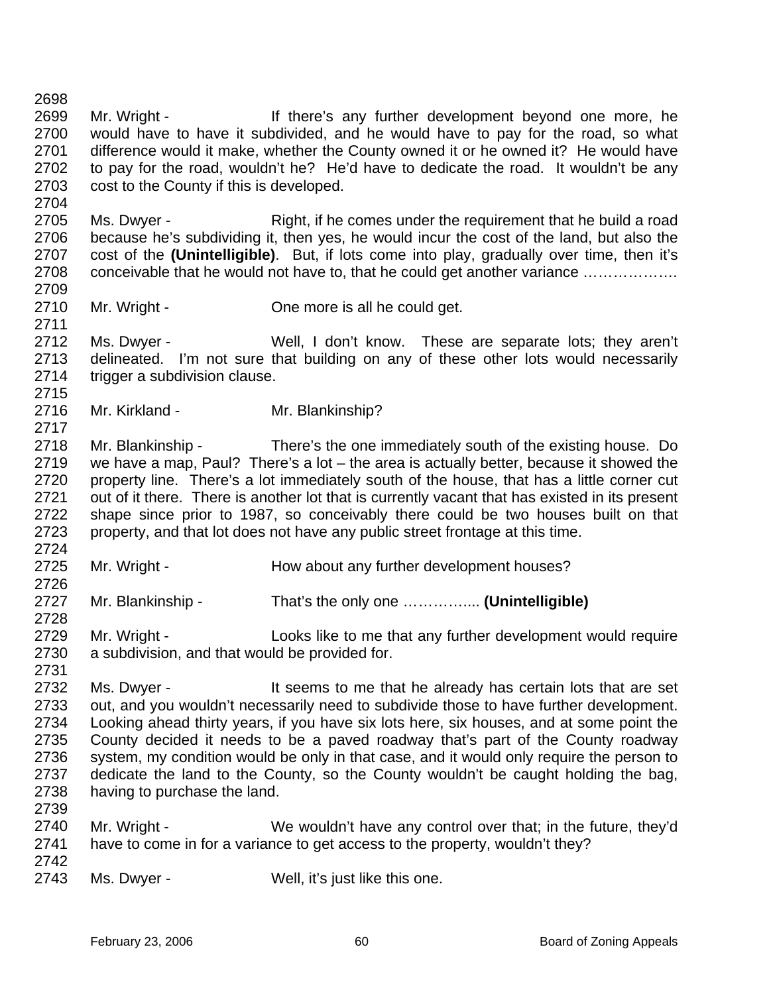2698 2699 2700 2701 2702 2703 2704 Mr. Wright - There's any further development beyond one more, he would have to have it subdivided, and he would have to pay for the road, so what difference would it make, whether the County owned it or he owned it? He would have to pay for the road, wouldn't he? He'd have to dedicate the road. It wouldn't be any cost to the County if this is developed.

2705 2706 2707 2708 2709 Ms. Dwyer - Right, if he comes under the requirement that he build a road because he's subdividing it, then yes, he would incur the cost of the land, but also the cost of the **(Unintelligible)**. But, if lots come into play, gradually over time, then it's conceivable that he would not have to, that he could get another variance ……………….

2710 Mr. Wright - Che more is all he could get.

2712 2713 2714 2715 Ms. Dwyer - Well, I don't know. These are separate lots; they aren't delineated. I'm not sure that building on any of these other lots would necessarily trigger a subdivision clause.

2716 Mr. Kirkland - Mr. Blankinship?

2718 2719 2720 2721 2722 2723 2724 Mr. Blankinship - There's the one immediately south of the existing house. Do we have a map, Paul? There's a lot – the area is actually better, because it showed the property line. There's a lot immediately south of the house, that has a little corner cut out of it there. There is another lot that is currently vacant that has existed in its present shape since prior to 1987, so conceivably there could be two houses built on that property, and that lot does not have any public street frontage at this time.

2725 Mr. Wright - The How about any further development houses?

2727 Mr. Blankinship - That's the only one ………….... **(Unintelligible)**

2729 2730 Mr. Wright - Looks like to me that any further development would require a subdivision, and that would be provided for.

2732 2733 2734 2735 2736 2737 2738 2739 Ms. Dwyer - The sect of the seems to me that he already has certain lots that are set out, and you wouldn't necessarily need to subdivide those to have further development. Looking ahead thirty years, if you have six lots here, six houses, and at some point the County decided it needs to be a paved roadway that's part of the County roadway system, my condition would be only in that case, and it would only require the person to dedicate the land to the County, so the County wouldn't be caught holding the bag, having to purchase the land.

- 2740 2741 Mr. Wright - We wouldn't have any control over that; in the future, they'd have to come in for a variance to get access to the property, wouldn't they?
- 2742

2711

2717

2726

2728

2731

2743 Ms. Dwyer - Well, it's just like this one.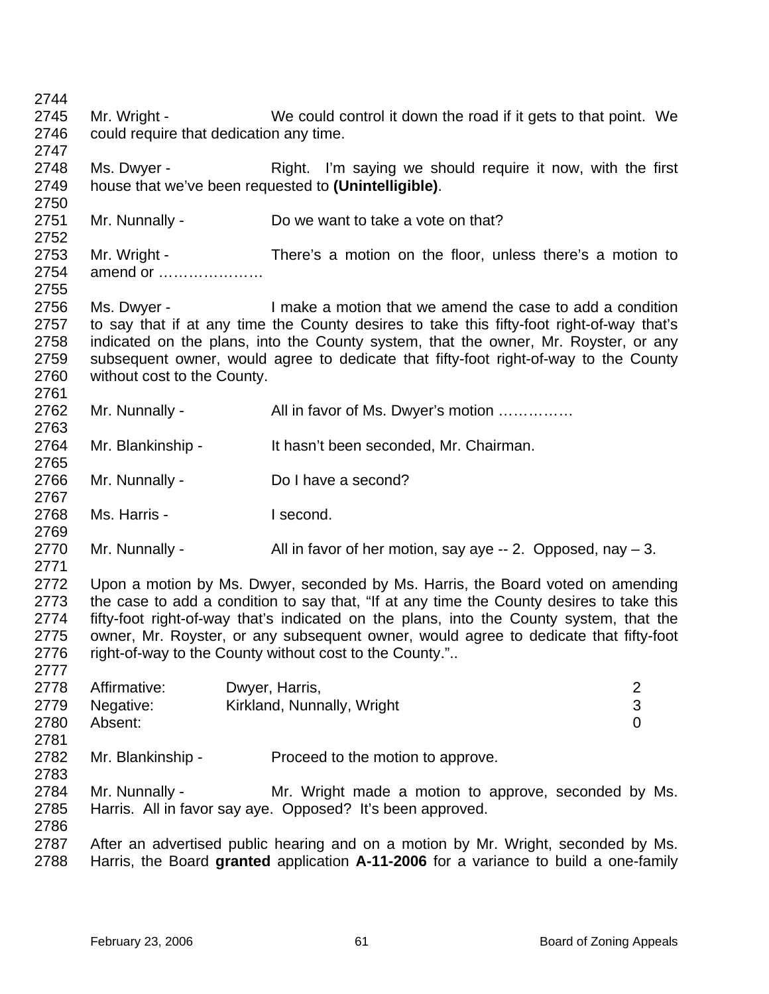2744 2745 2746 2747 2748 2749 2750 2751 2752 2753 2754 2755 2756 2757 2758 2759 2760 2761 2762 2763 2764 2765 2766 2767 2768 2769 2770 2771 2772 2773 2774 2775 2776 2777 2778 2779 2780 2781 2782 2783 2784 2785 2786 2787 2788 Mr. Wright - We could control it down the road if it gets to that point. We could require that dedication any time. Ms. Dwyer - The Right. I'm saying we should require it now, with the first house that we've been requested to **(Unintelligible)**. Mr. Nunnally - Do we want to take a vote on that? Mr. Wright - There's a motion on the floor, unless there's a motion to amend or ………………… Ms. Dwyer - I make a motion that we amend the case to add a condition to say that if at any time the County desires to take this fifty-foot right-of-way that's indicated on the plans, into the County system, that the owner, Mr. Royster, or any subsequent owner, would agree to dedicate that fifty-foot right-of-way to the County without cost to the County. Mr. Nunnally - All in favor of Ms. Dwyer's motion …………… Mr. Blankinship - It hasn't been seconded, Mr. Chairman. Mr. Nunnally - Do I have a second? Ms. Harris - I second. Mr. Nunnally -  $\blacksquare$  All in favor of her motion, say aye -- 2. Opposed, nay  $-3$ . Upon a motion by Ms. Dwyer, seconded by Ms. Harris, the Board voted on amending the case to add a condition to say that, "If at any time the County desires to take this fifty-foot right-of-way that's indicated on the plans, into the County system, that the owner, Mr. Royster, or any subsequent owner, would agree to dedicate that fifty-foot right-of-way to the County without cost to the County.".. Affirmative: Dwyer, Harris, 2 Negative: Kirkland, Nunnally, Wright 3 Absent: 0 Mr. Blankinship - Proceed to the motion to approve. Mr. Nunnally - The Mr. Wright made a motion to approve, seconded by Ms. Harris. All in favor say aye. Opposed? It's been approved. After an advertised public hearing and on a motion by Mr. Wright, seconded by Ms. Harris, the Board **granted** application **A-11-2006** for a variance to build a one-family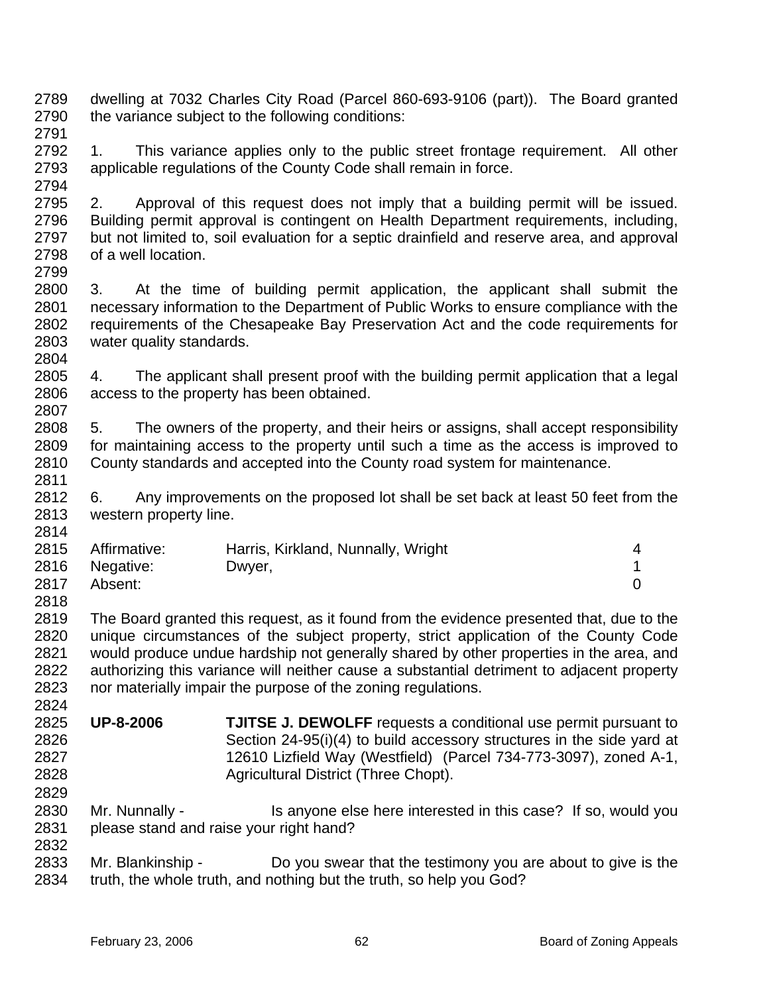- 2789 2790 2791 dwelling at 7032 Charles City Road (Parcel 860-693-9106 (part)). The Board granted the variance subject to the following conditions:
- 2792 2793 1. This variance applies only to the public street frontage requirement. All other applicable regulations of the County Code shall remain in force.
- 2795 2796 2797 2798 2799 2. Approval of this request does not imply that a building permit will be issued. Building permit approval is contingent on Health Department requirements, including, but not limited to, soil evaluation for a septic drainfield and reserve area, and approval of a well location.
- 2800 2801 2802 2803 2804 3. At the time of building permit application, the applicant shall submit the necessary information to the Department of Public Works to ensure compliance with the requirements of the Chesapeake Bay Preservation Act and the code requirements for water quality standards.
- 2805 2806 2807 4. The applicant shall present proof with the building permit application that a legal access to the property has been obtained.
- 2808 2809 2810 5. The owners of the property, and their heirs or assigns, shall accept responsibility for maintaining access to the property until such a time as the access is improved to County standards and accepted into the County road system for maintenance.
- 2812 2813 6. Any improvements on the proposed lot shall be set back at least 50 feet from the western property line.

| 2815 | Affirmative:   | Harris, Kirkland, Nunnally, Wright |  |
|------|----------------|------------------------------------|--|
|      | 2816 Negative: | Dwyer,                             |  |
| 2817 | Absent:        |                                    |  |

- 2819 2820 2821 2822 2823 The Board granted this request, as it found from the evidence presented that, due to the unique circumstances of the subject property, strict application of the County Code would produce undue hardship not generally shared by other properties in the area, and authorizing this variance will neither cause a substantial detriment to adjacent property nor materially impair the purpose of the zoning regulations.
- 2825 2826 2827 2828 **UP-8-2006 TJITSE J. DEWOLFF** requests a conditional use permit pursuant to Section 24-95(i)(4) to build accessory structures in the side yard at 12610 Lizfield Way (Westfield) (Parcel 734-773-3097), zoned A-1, Agricultural District (Three Chopt).
- 2830 2831 2832 Mr. Nunnally - Is anyone else here interested in this case? If so, would you please stand and raise your right hand?
- 2833 2834 Mr. Blankinship - Do you swear that the testimony you are about to give is the truth, the whole truth, and nothing but the truth, so help you God?

2794

2811

2814

2818

2824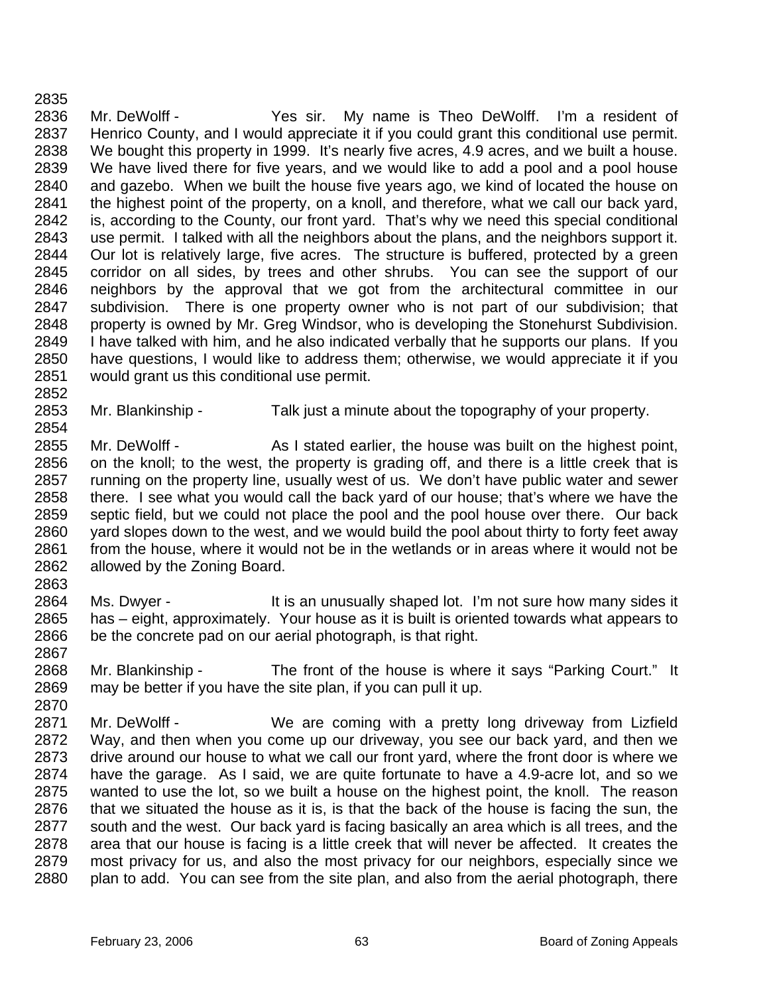2835 2836 2837 2838 2839 2840 2841 2842 2843 2844 2845 2846 2847 2848 2849 2850 2851 Mr. DeWolff - Yes sir. My name is Theo DeWolff. I'm a resident of Henrico County, and I would appreciate it if you could grant this conditional use permit. We bought this property in 1999. It's nearly five acres, 4.9 acres, and we built a house. We have lived there for five years, and we would like to add a pool and a pool house and gazebo. When we built the house five years ago, we kind of located the house on the highest point of the property, on a knoll, and therefore, what we call our back yard, is, according to the County, our front yard. That's why we need this special conditional use permit. I talked with all the neighbors about the plans, and the neighbors support it. Our lot is relatively large, five acres. The structure is buffered, protected by a green corridor on all sides, by trees and other shrubs. You can see the support of our neighbors by the approval that we got from the architectural committee in our subdivision. There is one property owner who is not part of our subdivision; that property is owned by Mr. Greg Windsor, who is developing the Stonehurst Subdivision. I have talked with him, and he also indicated verbally that he supports our plans. If you have questions, I would like to address them; otherwise, we would appreciate it if you would grant us this conditional use permit.

- 2853 Mr. Blankinship - Talk just a minute about the topography of your property.
- 2855 2856 2857 2858 2859 2860 2861 2862 Mr. DeWolff - As I stated earlier, the house was built on the highest point, on the knoll; to the west, the property is grading off, and there is a little creek that is running on the property line, usually west of us. We don't have public water and sewer there. I see what you would call the back yard of our house; that's where we have the septic field, but we could not place the pool and the pool house over there. Our back yard slopes down to the west, and we would build the pool about thirty to forty feet away from the house, where it would not be in the wetlands or in areas where it would not be allowed by the Zoning Board.
- 2864 2865 2866 Ms. Dwyer - It is an unusually shaped lot. I'm not sure how many sides it has – eight, approximately. Your house as it is built is oriented towards what appears to be the concrete pad on our aerial photograph, is that right.
- 2867 2868 2869 Mr. Blankinship - The front of the house is where it says "Parking Court." It may be better if you have the site plan, if you can pull it up.
- 2870 2871 2872 2873 2874 2875 2876 2877 2878 2879 2880 Mr. DeWolff - We are coming with a pretty long driveway from Lizfield Way, and then when you come up our driveway, you see our back yard, and then we drive around our house to what we call our front yard, where the front door is where we have the garage. As I said, we are quite fortunate to have a 4.9-acre lot, and so we wanted to use the lot, so we built a house on the highest point, the knoll. The reason that we situated the house as it is, is that the back of the house is facing the sun, the south and the west. Our back yard is facing basically an area which is all trees, and the area that our house is facing is a little creek that will never be affected. It creates the most privacy for us, and also the most privacy for our neighbors, especially since we plan to add. You can see from the site plan, and also from the aerial photograph, there

2852

2854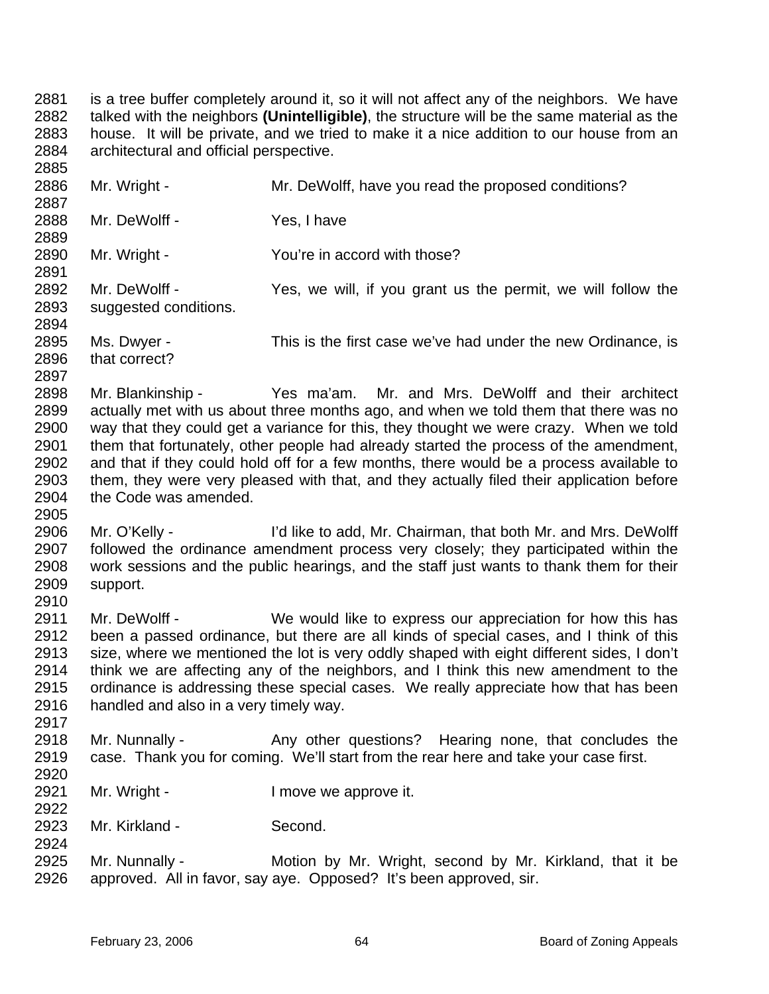2881 2882 2883 2884 2885 is a tree buffer completely around it, so it will not affect any of the neighbors. We have talked with the neighbors **(Unintelligible)**, the structure will be the same material as the house. It will be private, and we tried to make it a nice addition to our house from an architectural and official perspective.

2886 2887 2888 2889 2890 2891 2892 2893 2894 2895 2896 2897 2898 2899 2900 2901 2902 2903 2904 2905 2906 2907 2908 2909 2910 2911 2912 2913 2914 2915 2916 2917 2918 2919 2920 2921 2922 2923 2924 2925 2926 Mr. Wright - Mr. DeWolff, have you read the proposed conditions? Mr. DeWolff - Yes, I have Mr. Wright - The You're in accord with those? Mr. DeWolff - Yes, we will, if you grant us the permit, we will follow the suggested conditions. Ms. Dwyer - This is the first case we've had under the new Ordinance, is that correct? Mr. Blankinship - Yes ma'am. Mr. and Mrs. DeWolff and their architect actually met with us about three months ago, and when we told them that there was no way that they could get a variance for this, they thought we were crazy. When we told them that fortunately, other people had already started the process of the amendment, and that if they could hold off for a few months, there would be a process available to them, they were very pleased with that, and they actually filed their application before the Code was amended. Mr. O'Kelly - I'd like to add, Mr. Chairman, that both Mr. and Mrs. DeWolff followed the ordinance amendment process very closely; they participated within the work sessions and the public hearings, and the staff just wants to thank them for their support. Mr. DeWolff - We would like to express our appreciation for how this has been a passed ordinance, but there are all kinds of special cases, and I think of this size, where we mentioned the lot is very oddly shaped with eight different sides, I don't think we are affecting any of the neighbors, and I think this new amendment to the ordinance is addressing these special cases. We really appreciate how that has been handled and also in a very timely way. Mr. Nunnally - Any other questions? Hearing none, that concludes the case. Thank you for coming. We'll start from the rear here and take your case first. Mr. Wright - The Muslim Cove we approve it. Mr. Kirkland - Second. Mr. Nunnally - Motion by Mr. Wright, second by Mr. Kirkland, that it be approved. All in favor, say aye. Opposed? It's been approved, sir.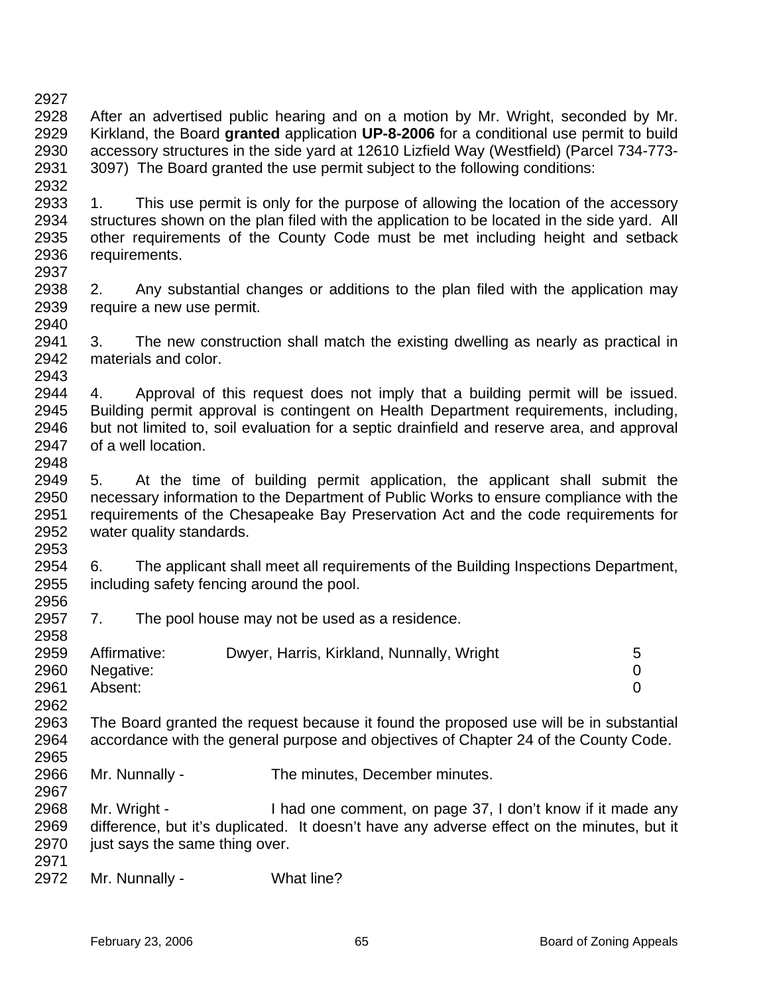2930 2931 2932 2933 2934 2935 2936 2937 2938 2939 2940 2941 2942 2943 2944 2945 2946 2947 2948 2949 2950 2951 2952 2953 2954 2955 2956 2957 2958 2959 2960 2961 2962 2963 2964 2965 2966 2967 2968 2969 accessory structures in the side yard at 12610 Lizfield Way (Westfield) (Parcel 734-773- 3097) The Board granted the use permit subject to the following conditions: 1. This use permit is only for the purpose of allowing the location of the accessory structures shown on the plan filed with the application to be located in the side yard. All other requirements of the County Code must be met including height and setback requirements. 2. Any substantial changes or additions to the plan filed with the application may require a new use permit. 3. The new construction shall match the existing dwelling as nearly as practical in materials and color. 4. Approval of this request does not imply that a building permit will be issued. Building permit approval is contingent on Health Department requirements, including, but not limited to, soil evaluation for a septic drainfield and reserve area, and approval of a well location. 5. At the time of building permit application, the applicant shall submit the necessary information to the Department of Public Works to ensure compliance with the requirements of the Chesapeake Bay Preservation Act and the code requirements for water quality standards. 6. The applicant shall meet all requirements of the Building Inspections Department, including safety fencing around the pool. 7. The pool house may not be used as a residence. Affirmative: Dwyer, Harris, Kirkland, Nunnally, Wright 5 Negative: 0 Absent: 0 The Board granted the request because it found the proposed use will be in substantial accordance with the general purpose and objectives of Chapter 24 of the County Code. Mr. Nunnally - The minutes, December minutes. Mr. Wright - I had one comment, on page 37, I don't know if it made any difference, but it's duplicated. It doesn't have any adverse effect on the minutes, but it

After an advertised public hearing and on a motion by Mr. Wright, seconded by Mr. Kirkland, the Board **granted** application **UP-8-2006** for a conditional use permit to build

- 2970 just says the same thing over.
- 2971 2972

2927 2928 2929

Mr. Nunnally - What line?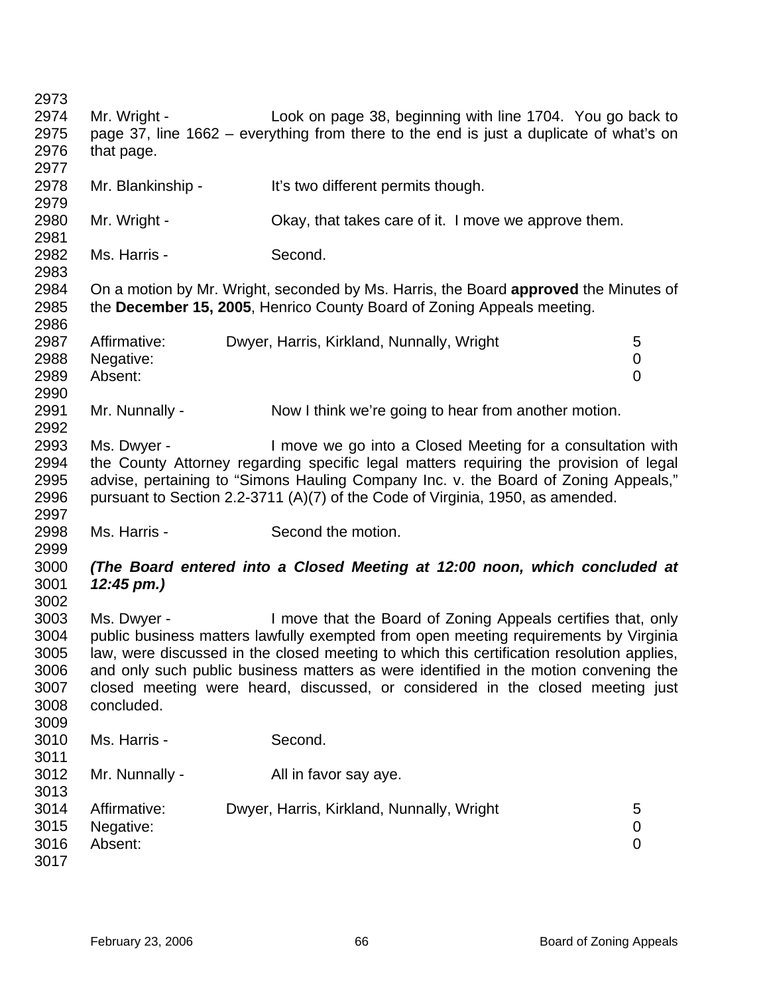2973 2974 2975 2976 2977 2978 2979 2980 2981 2982 2983 2984 2985 2986 2987 2988 2989 2990 2991 2992 2993 2994 2995 2996 2997 2998 2999 3000 3001 3002 3003 3004 3005 3006 3007 3008 3009 3010 3011 3012 3013 3014 3015 3016 3017 Mr. Wright - Look on page 38, beginning with line 1704. You go back to page 37, line 1662 – everything from there to the end is just a duplicate of what's on that page. Mr. Blankinship - It's two different permits though. Mr. Wright - Ckay, that takes care of it. I move we approve them. Ms. Harris - Second. On a motion by Mr. Wright, seconded by Ms. Harris, the Board **approved** the Minutes of the **December 15, 2005**, Henrico County Board of Zoning Appeals meeting. Affirmative: Dwyer, Harris, Kirkland, Nunnally, Wright 5 Negative: 0 Absent: 0 Mr. Nunnally - Now I think we're going to hear from another motion. Ms. Dwyer - I move we go into a Closed Meeting for a consultation with the County Attorney regarding specific legal matters requiring the provision of legal advise, pertaining to "Simons Hauling Company Inc. v. the Board of Zoning Appeals," pursuant to Section 2.2-3711 (A)(7) of the Code of Virginia, 1950, as amended. Ms. Harris - Second the motion. *(The Board entered into a Closed Meeting at 12:00 noon, which concluded at 12:45 pm.)* Ms. Dwyer - I move that the Board of Zoning Appeals certifies that, only public business matters lawfully exempted from open meeting requirements by Virginia law, were discussed in the closed meeting to which this certification resolution applies, and only such public business matters as were identified in the motion convening the closed meeting were heard, discussed, or considered in the closed meeting just concluded. Ms. Harris - Second. Mr. Nunnally - All in favor say aye. Affirmative: Dwyer, Harris, Kirkland, Nunnally, Wright 5 Negative: 0 Absent: 0